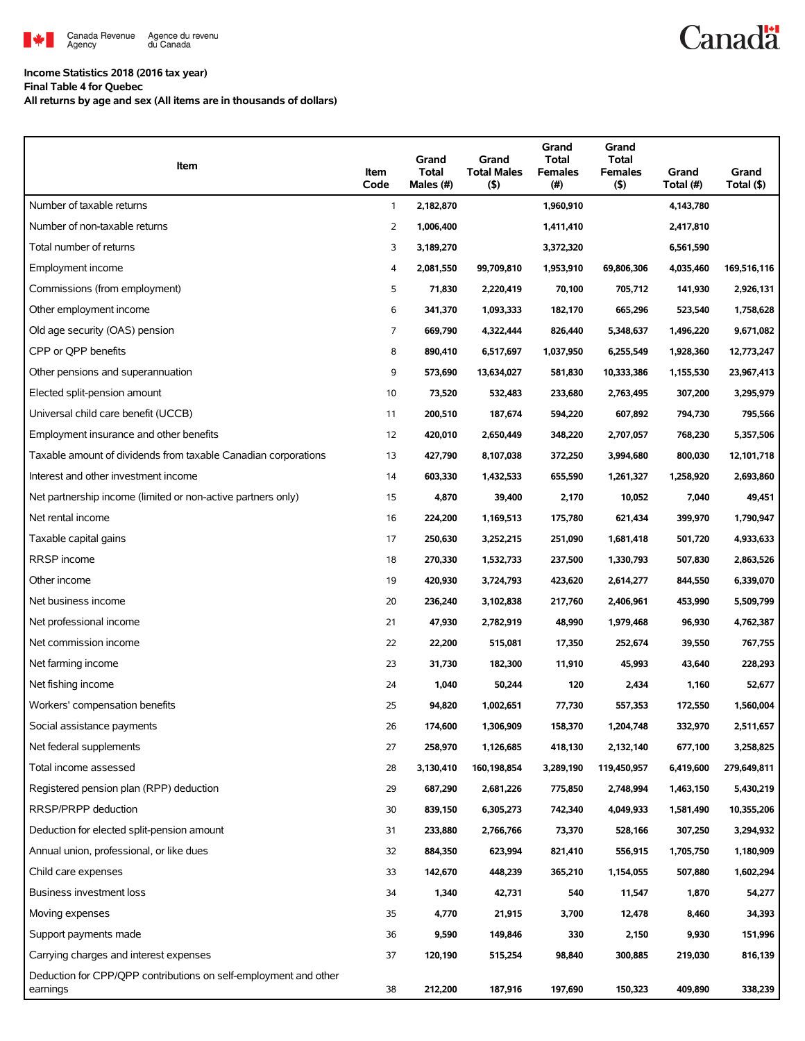

**Income Statistics 2018 (2016 tax year)**

**Final Table 4 for Quebec**

**All returns by age and sex (All items are in thousands of dollars)**

| Item                                                                         | Item<br>Code | Grand<br><b>Total</b><br>Males (#) | Grand<br><b>Total Males</b><br>(5) | Grand<br><b>Total</b><br><b>Females</b><br>$(\#)$ | Grand<br><b>Total</b><br><b>Females</b><br>$($ \$) | Grand<br>Total (#) | Grand<br>Total (\$) |
|------------------------------------------------------------------------------|--------------|------------------------------------|------------------------------------|---------------------------------------------------|----------------------------------------------------|--------------------|---------------------|
| Number of taxable returns                                                    | $\mathbf{1}$ | 2,182,870                          |                                    | 1,960,910                                         |                                                    | 4,143,780          |                     |
| Number of non-taxable returns                                                | 2            | 1,006,400                          |                                    | 1,411,410                                         |                                                    | 2,417,810          |                     |
| Total number of returns                                                      | 3            | 3,189,270                          |                                    | 3,372,320                                         |                                                    | 6,561,590          |                     |
| Employment income                                                            | 4            | 2,081,550                          | 99,709,810                         | 1,953,910                                         | 69,806,306                                         | 4,035,460          | 169,516,116         |
| Commissions (from employment)                                                | 5            | 71,830                             | 2,220,419                          | 70,100                                            | 705,712                                            | 141,930            | 2,926,131           |
| Other employment income                                                      | 6            | 341,370                            | 1,093,333                          | 182,170                                           | 665,296                                            | 523,540            | 1,758,628           |
| Old age security (OAS) pension                                               | 7            | 669,790                            | 4,322,444                          | 826,440                                           | 5,348,637                                          | 1,496,220          | 9,671,082           |
| CPP or QPP benefits                                                          | 8            | 890,410                            | 6,517,697                          | 1,037,950                                         | 6,255,549                                          | 1,928,360          | 12,773,247          |
| Other pensions and superannuation                                            | 9            | 573,690                            | 13,634,027                         | 581,830                                           | 10,333,386                                         | 1,155,530          | 23,967,413          |
| Elected split-pension amount                                                 | 10           | 73,520                             | 532,483                            | 233,680                                           | 2,763,495                                          | 307,200            | 3,295,979           |
| Universal child care benefit (UCCB)                                          | 11           | 200,510                            | 187,674                            | 594,220                                           | 607,892                                            | 794,730            | 795,566             |
| Employment insurance and other benefits                                      | 12           | 420,010                            | 2,650,449                          | 348,220                                           | 2,707,057                                          | 768,230            | 5,357,506           |
| Taxable amount of dividends from taxable Canadian corporations               | 13           | 427,790                            | 8,107,038                          | 372,250                                           | 3,994,680                                          | 800,030            | 12,101,718          |
| Interest and other investment income                                         | 14           | 603,330                            | 1,432,533                          | 655,590                                           | 1,261,327                                          | 1,258,920          | 2,693,860           |
| Net partnership income (limited or non-active partners only)                 | 15           | 4,870                              | 39,400                             | 2,170                                             | 10,052                                             | 7,040              | 49,451              |
| Net rental income                                                            | 16           | 224,200                            | 1,169,513                          | 175,780                                           | 621,434                                            | 399,970            | 1,790,947           |
| Taxable capital gains                                                        | 17           | 250,630                            | 3,252,215                          | 251,090                                           | 1,681,418                                          | 501,720            | 4,933,633           |
| <b>RRSP</b> income                                                           | 18           | 270,330                            | 1,532,733                          | 237,500                                           | 1,330,793                                          | 507,830            | 2,863,526           |
| Other income                                                                 | 19           | 420,930                            | 3,724,793                          | 423,620                                           | 2,614,277                                          | 844,550            | 6,339,070           |
| Net business income                                                          | 20           | 236,240                            | 3,102,838                          | 217,760                                           | 2,406,961                                          | 453,990            | 5,509,799           |
| Net professional income                                                      | 21           | 47,930                             | 2,782,919                          | 48,990                                            | 1,979,468                                          | 96,930             | 4,762,387           |
| Net commission income                                                        | 22           | 22,200                             | 515,081                            | 17,350                                            | 252,674                                            | 39,550             | 767,755             |
| Net farming income                                                           | 23           | 31,730                             | 182,300                            | 11,910                                            | 45,993                                             | 43,640             | 228,293             |
| Net fishing income                                                           | 24           | 1,040                              | 50,244                             | 120                                               | 2,434                                              | 1,160              | 52,677              |
| Workers' compensation benefits                                               | 25           | 94,820                             | 1,002,651                          | 77,730                                            | 557,353                                            | 172,550            | 1,560,004           |
| Social assistance payments                                                   | 26           | 174,600                            | 1,306,909                          | 158,370                                           | 1,204,748                                          | 332,970            | 2,511,657           |
| Net federal supplements                                                      | 27           | 258,970                            | 1,126,685                          | 418,130                                           | 2,132,140                                          | 677,100            | 3,258,825           |
| Total income assessed                                                        | 28           | 3,130,410                          | 160,198,854                        | 3,289,190                                         | 119,450,957                                        | 6,419,600          | 279,649,811         |
| Registered pension plan (RPP) deduction                                      | 29           | 687,290                            | 2,681,226                          | 775,850                                           | 2,748,994                                          | 1,463,150          | 5,430,219           |
| RRSP/PRPP deduction                                                          | 30           | 839,150                            | 6,305,273                          | 742,340                                           | 4,049,933                                          | 1,581,490          | 10,355,206          |
| Deduction for elected split-pension amount                                   | 31           | 233,880                            | 2,766,766                          | 73,370                                            | 528,166                                            | 307,250            | 3,294,932           |
| Annual union, professional, or like dues                                     | 32           | 884,350                            | 623,994                            | 821,410                                           | 556,915                                            | 1,705,750          | 1,180,909           |
| Child care expenses                                                          | 33           | 142,670                            | 448,239                            | 365,210                                           | 1,154,055                                          | 507,880            | 1,602,294           |
| <b>Business investment loss</b>                                              | 34           | 1,340                              | 42,731                             | 540                                               | 11,547                                             | 1,870              | 54,277              |
| Moving expenses                                                              | 35           | 4,770                              | 21,915                             | 3,700                                             | 12,478                                             | 8,460              | 34,393              |
| Support payments made                                                        | 36           | 9,590                              | 149,846                            | 330                                               | 2,150                                              | 9,930              | 151,996             |
| Carrying charges and interest expenses                                       | 37           | 120,190                            | 515,254                            | 98,840                                            | 300,885                                            | 219,030            | 816,139             |
| Deduction for CPP/QPP contributions on self-employment and other<br>earnings | 38           | 212,200                            | 187,916                            | 197,690                                           | 150,323                                            | 409,890            | 338,239             |

Canadä<sup>t</sup>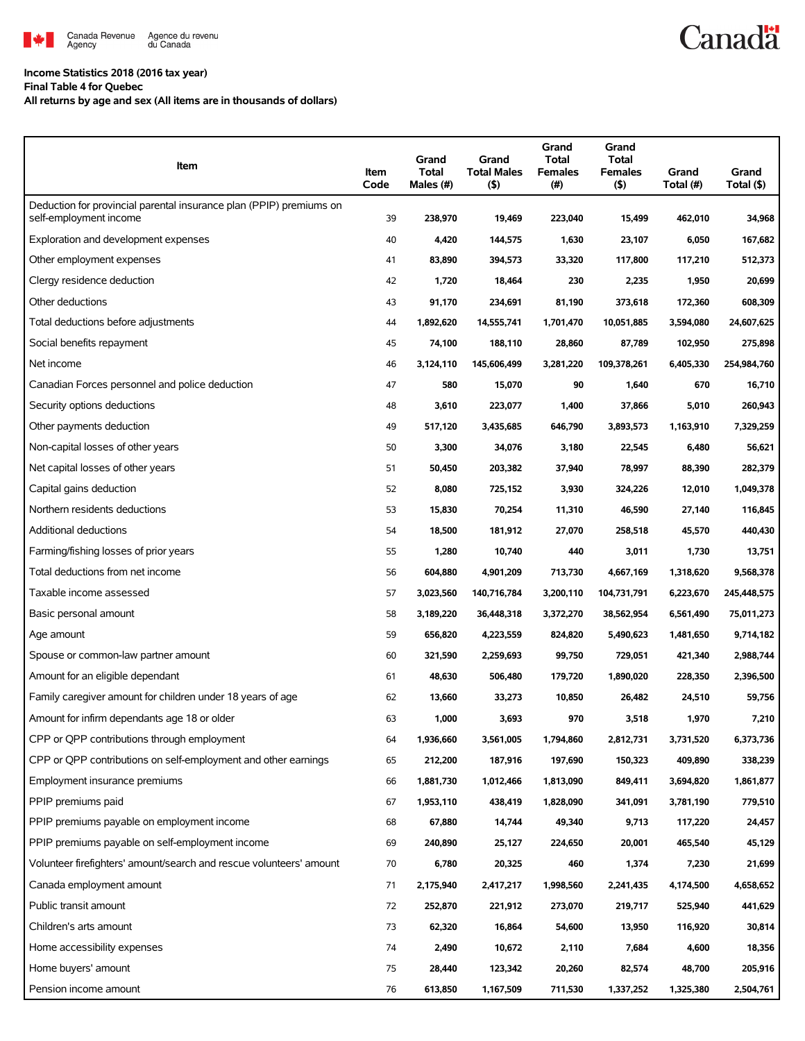

## **Income Statistics 2018 (2016 tax year)**

#### **Final Table 4 for Quebec**

**All returns by age and sex (All items are in thousands of dollars)**

| Item                                                                | Item<br>Code | Grand<br>Total<br>Males (#) | Grand<br><b>Total Males</b><br>(5) | Grand<br><b>Total</b><br><b>Females</b><br>(#) | Grand<br><b>Total</b><br><b>Females</b><br>$($ \$) | Grand<br>Total (#) | Grand<br>Total (\$) |
|---------------------------------------------------------------------|--------------|-----------------------------|------------------------------------|------------------------------------------------|----------------------------------------------------|--------------------|---------------------|
| Deduction for provincial parental insurance plan (PPIP) premiums on |              |                             |                                    |                                                |                                                    |                    |                     |
| self-employment income                                              | 39           | 238,970                     | 19,469                             | 223,040                                        | 15,499                                             | 462,010            | 34,968              |
| Exploration and development expenses                                | 40           | 4,420                       | 144,575                            | 1,630                                          | 23,107                                             | 6,050              | 167,682             |
| Other employment expenses                                           | 41           | 83,890                      | 394,573                            | 33,320                                         | 117,800                                            | 117,210            | 512,373             |
| Clergy residence deduction                                          | 42           | 1,720                       | 18,464                             | 230                                            | 2,235                                              | 1,950              | 20,699              |
| Other deductions                                                    | 43           | 91,170                      | 234,691                            | 81,190                                         | 373,618                                            | 172,360            | 608,309             |
| Total deductions before adjustments                                 | 44           | 1,892,620                   | 14,555,741                         | 1,701,470                                      | 10,051,885                                         | 3,594,080          | 24,607,625          |
| Social benefits repayment                                           | 45           | 74,100                      | 188,110                            | 28,860                                         | 87,789                                             | 102,950            | 275,898             |
| Net income                                                          | 46           | 3,124,110                   | 145,606,499                        | 3,281,220                                      | 109,378,261                                        | 6,405,330          | 254,984,760         |
| Canadian Forces personnel and police deduction                      | 47           | 580                         | 15,070                             | 90                                             | 1,640                                              | 670                | 16,710              |
| Security options deductions                                         | 48           | 3,610                       | 223,077                            | 1,400                                          | 37,866                                             | 5,010              | 260,943             |
| Other payments deduction                                            | 49           | 517,120                     | 3,435,685                          | 646,790                                        | 3,893,573                                          | 1,163,910          | 7,329,259           |
| Non-capital losses of other years                                   | 50           | 3,300                       | 34,076                             | 3,180                                          | 22,545                                             | 6,480              | 56,621              |
| Net capital losses of other years                                   | 51           | 50,450                      | 203,382                            | 37,940                                         | 78,997                                             | 88,390             | 282,379             |
| Capital gains deduction                                             | 52           | 8,080                       | 725,152                            | 3,930                                          | 324,226                                            | 12,010             | 1,049,378           |
| Northern residents deductions                                       | 53           | 15,830                      | 70,254                             | 11,310                                         | 46,590                                             | 27,140             | 116,845             |
| Additional deductions                                               | 54           | 18,500                      | 181,912                            | 27,070                                         | 258,518                                            | 45,570             | 440,430             |
| Farming/fishing losses of prior years                               | 55           | 1,280                       | 10,740                             | 440                                            | 3,011                                              | 1,730              | 13,751              |
| Total deductions from net income                                    | 56           | 604,880                     | 4,901,209                          | 713,730                                        | 4,667,169                                          | 1,318,620          | 9,568,378           |
| Taxable income assessed                                             | 57           | 3,023,560                   | 140,716,784                        | 3,200,110                                      | 104,731,791                                        | 6,223,670          | 245,448,575         |
| Basic personal amount                                               | 58           | 3,189,220                   | 36,448,318                         | 3,372,270                                      | 38,562,954                                         | 6,561,490          | 75,011,273          |
| Age amount                                                          | 59           | 656,820                     | 4,223,559                          | 824,820                                        | 5,490,623                                          | 1,481,650          | 9,714,182           |
| Spouse or common-law partner amount                                 | 60           | 321,590                     | 2,259,693                          | 99,750                                         | 729,051                                            | 421,340            | 2,988,744           |
| Amount for an eligible dependant                                    | 61           | 48,630                      | 506,480                            | 179,720                                        | 1,890,020                                          | 228,350            | 2,396,500           |
| Family caregiver amount for children under 18 years of age          | 62           | 13,660                      | 33,273                             | 10,850                                         | 26,482                                             | 24,510             | 59,756              |
| Amount for infirm dependants age 18 or older                        | 63           | 1,000                       | 3,693                              | 970                                            | 3,518                                              | 1,970              | 7,210               |
| CPP or QPP contributions through employment                         | 64           | 1,936,660                   | 3,561,005                          | 1,794,860                                      | 2,812,731                                          | 3,731,520          | 6,373,736           |
| CPP or QPP contributions on self-employment and other earnings      | 65           | 212,200                     | 187,916                            | 197,690                                        | 150,323                                            | 409,890            | 338,239             |
| Employment insurance premiums                                       | 66           | 1,881,730                   | 1,012,466                          | 1,813,090                                      | 849,411                                            | 3,694,820          | 1,861,877           |
| PPIP premiums paid                                                  | 67           | 1,953,110                   | 438,419                            | 1,828,090                                      | 341,091                                            | 3,781,190          | 779,510             |
| PPIP premiums payable on employment income                          | 68           | 67,880                      | 14,744                             | 49,340                                         | 9,713                                              | 117,220            | 24,457              |
| PPIP premiums payable on self-employment income                     | 69           | 240,890                     | 25,127                             | 224,650                                        | 20,001                                             | 465,540            | 45,129              |
| Volunteer firefighters' amount/search and rescue volunteers' amount | 70           | 6,780                       | 20,325                             | 460                                            | 1,374                                              | 7,230              | 21,699              |
| Canada employment amount                                            | 71           | 2,175,940                   | 2,417,217                          | 1,998,560                                      | 2,241,435                                          | 4,174,500          | 4,658,652           |
| Public transit amount                                               | 72           | 252,870                     | 221,912                            | 273,070                                        | 219,717                                            | 525,940            | 441,629             |
| Children's arts amount                                              | 73           | 62,320                      | 16,864                             | 54,600                                         | 13,950                                             | 116,920            | 30,814              |
| Home accessibility expenses                                         | 74           | 2,490                       | 10,672                             | 2,110                                          | 7,684                                              | 4,600              | 18,356              |
| Home buyers' amount                                                 | 75           | 28,440                      | 123,342                            | 20,260                                         | 82,574                                             | 48,700             | 205,916             |
| Pension income amount                                               | 76           | 613,850                     | 1,167,509                          | 711,530                                        | 1,337,252                                          | 1,325,380          | 2,504,761           |

**Canadä**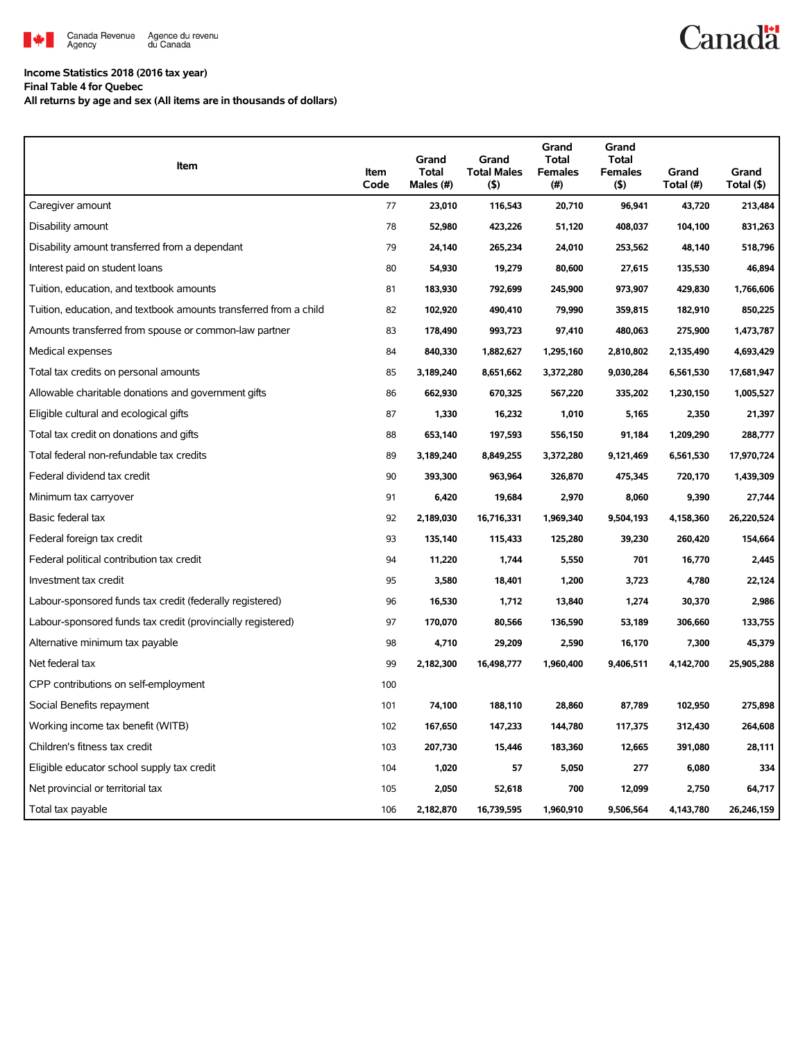

### **Income Statistics 2018 (2016 tax year)**

**Final Table 4 for Quebec**

**All returns by age and sex (All items are in thousands of dollars)**

| Item                                                              | Item<br>Code | Grand<br><b>Total</b><br>Males (#) | Grand<br><b>Total Males</b><br>(5) | Grand<br>Total<br><b>Females</b><br>$(\#)$ | Grand<br><b>Total</b><br><b>Females</b><br>(5) | Grand<br>Total (#) | Grand<br>Total (\$) |
|-------------------------------------------------------------------|--------------|------------------------------------|------------------------------------|--------------------------------------------|------------------------------------------------|--------------------|---------------------|
| Caregiver amount                                                  | 77           | 23,010                             | 116,543                            | 20,710                                     | 96,941                                         | 43,720             | 213,484             |
| Disability amount                                                 | 78           | 52,980                             | 423,226                            | 51,120                                     | 408,037                                        | 104,100            | 831,263             |
| Disability amount transferred from a dependant                    | 79           | 24,140                             | 265,234                            | 24,010                                     | 253,562                                        | 48,140             | 518,796             |
| Interest paid on student loans                                    | 80           | 54,930                             | 19,279                             | 80,600                                     | 27,615                                         | 135,530            | 46,894              |
| Tuition, education, and textbook amounts                          | 81           | 183,930                            | 792,699                            | 245,900                                    | 973,907                                        | 429,830            | 1,766,606           |
| Tuition, education, and textbook amounts transferred from a child | 82           | 102,920                            | 490,410                            | 79,990                                     | 359,815                                        | 182,910            | 850,225             |
| Amounts transferred from spouse or common-law partner             | 83           | 178,490                            | 993,723                            | 97,410                                     | 480,063                                        | 275,900            | 1,473,787           |
| Medical expenses                                                  | 84           | 840,330                            | 1,882,627                          | 1,295,160                                  | 2,810,802                                      | 2,135,490          | 4,693,429           |
| Total tax credits on personal amounts                             | 85           | 3,189,240                          | 8,651,662                          | 3,372,280                                  | 9,030,284                                      | 6,561,530          | 17,681,947          |
| Allowable charitable donations and government gifts               | 86           | 662,930                            | 670,325                            | 567,220                                    | 335,202                                        | 1,230,150          | 1,005,527           |
| Eligible cultural and ecological gifts                            | 87           | 1,330                              | 16,232                             | 1,010                                      | 5,165                                          | 2,350              | 21,397              |
| Total tax credit on donations and gifts                           | 88           | 653,140                            | 197,593                            | 556,150                                    | 91,184                                         | 1,209,290          | 288,777             |
| Total federal non-refundable tax credits                          | 89           | 3,189,240                          | 8,849,255                          | 3,372,280                                  | 9,121,469                                      | 6,561,530          | 17,970,724          |
| Federal dividend tax credit                                       | 90           | 393,300                            | 963,964                            | 326,870                                    | 475,345                                        | 720,170            | 1,439,309           |
| Minimum tax carryover                                             | 91           | 6,420                              | 19,684                             | 2,970                                      | 8,060                                          | 9,390              | 27,744              |
| Basic federal tax                                                 | 92           | 2,189,030                          | 16,716,331                         | 1,969,340                                  | 9,504,193                                      | 4,158,360          | 26,220,524          |
| Federal foreign tax credit                                        | 93           | 135,140                            | 115,433                            | 125,280                                    | 39,230                                         | 260,420            | 154,664             |
| Federal political contribution tax credit                         | 94           | 11,220                             | 1,744                              | 5,550                                      | 701                                            | 16,770             | 2,445               |
| Investment tax credit                                             | 95           | 3,580                              | 18,401                             | 1,200                                      | 3,723                                          | 4,780              | 22,124              |
| Labour-sponsored funds tax credit (federally registered)          | 96           | 16,530                             | 1,712                              | 13,840                                     | 1,274                                          | 30,370             | 2,986               |
| Labour-sponsored funds tax credit (provincially registered)       | 97           | 170,070                            | 80,566                             | 136,590                                    | 53,189                                         | 306,660            | 133,755             |
| Alternative minimum tax payable                                   | 98           | 4,710                              | 29,209                             | 2,590                                      | 16,170                                         | 7,300              | 45,379              |
| Net federal tax                                                   | 99           | 2,182,300                          | 16,498,777                         | 1,960,400                                  | 9,406,511                                      | 4,142,700          | 25,905,288          |
| CPP contributions on self-employment                              | 100          |                                    |                                    |                                            |                                                |                    |                     |
| Social Benefits repayment                                         | 101          | 74,100                             | 188,110                            | 28,860                                     | 87,789                                         | 102,950            | 275,898             |
| Working income tax benefit (WITB)                                 | 102          | 167,650                            | 147,233                            | 144,780                                    | 117,375                                        | 312,430            | 264,608             |
| Children's fitness tax credit                                     | 103          | 207,730                            | 15,446                             | 183,360                                    | 12,665                                         | 391,080            | 28,111              |
| Eligible educator school supply tax credit                        | 104          | 1,020                              | 57                                 | 5,050                                      | 277                                            | 6,080              | 334                 |
| Net provincial or territorial tax                                 | 105          | 2,050                              | 52,618                             | 700                                        | 12,099                                         | 2,750              | 64,717              |
| Total tax payable                                                 | 106          | 2,182,870                          | 16,739,595                         | 1,960,910                                  | 9,506,564                                      | 4,143,780          | 26,246,159          |

# **Canadä**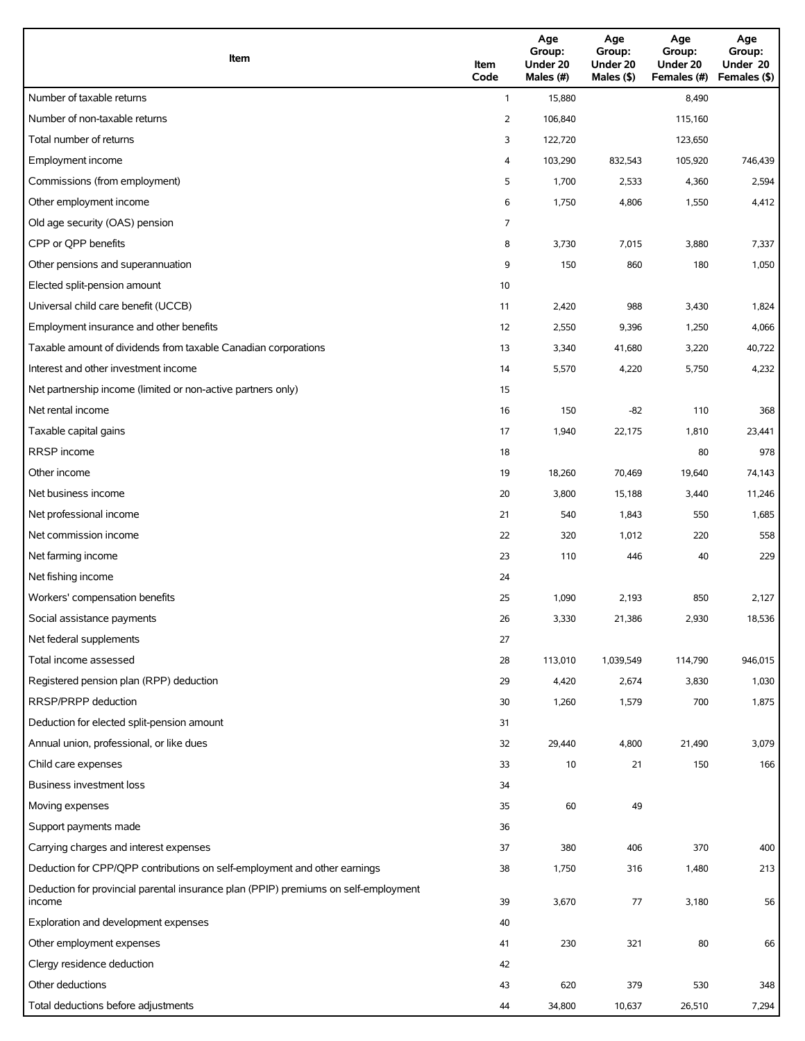| Item                                                                                          | Item<br>Code | Age<br>Group:<br>Under 20<br>Males (#) | Age<br>Group:<br>Under 20<br>Males (\$) | Age<br>Group:<br>Under 20<br>Females (#) | Age<br>Group:<br>Under 20<br>Females (\$) |
|-----------------------------------------------------------------------------------------------|--------------|----------------------------------------|-----------------------------------------|------------------------------------------|-------------------------------------------|
| Number of taxable returns                                                                     | $\mathbf{1}$ | 15,880                                 |                                         | 8,490                                    |                                           |
| Number of non-taxable returns                                                                 | 2            | 106,840                                |                                         | 115,160                                  |                                           |
| Total number of returns                                                                       | 3            | 122,720                                |                                         | 123,650                                  |                                           |
| Employment income                                                                             | 4            | 103,290                                | 832,543                                 | 105,920                                  | 746,439                                   |
| Commissions (from employment)                                                                 | 5            | 1,700                                  | 2,533                                   | 4,360                                    | 2,594                                     |
| Other employment income                                                                       | 6            | 1,750                                  | 4,806                                   | 1,550                                    | 4,412                                     |
| Old age security (OAS) pension                                                                | 7            |                                        |                                         |                                          |                                           |
| CPP or QPP benefits                                                                           | 8            | 3,730                                  | 7,015                                   | 3,880                                    | 7,337                                     |
| Other pensions and superannuation                                                             | 9            | 150                                    | 860                                     | 180                                      | 1,050                                     |
| Elected split-pension amount                                                                  | 10           |                                        |                                         |                                          |                                           |
| Universal child care benefit (UCCB)                                                           | 11           | 2,420                                  | 988                                     | 3,430                                    | 1,824                                     |
| Employment insurance and other benefits                                                       | 12           | 2,550                                  | 9,396                                   | 1,250                                    | 4,066                                     |
| Taxable amount of dividends from taxable Canadian corporations                                | 13           | 3,340                                  | 41,680                                  | 3,220                                    | 40,722                                    |
| Interest and other investment income                                                          | 14           | 5,570                                  | 4,220                                   | 5,750                                    | 4,232                                     |
| Net partnership income (limited or non-active partners only)                                  | 15           |                                        |                                         |                                          |                                           |
| Net rental income                                                                             | 16           | 150                                    | $-82$                                   | 110                                      | 368                                       |
| Taxable capital gains                                                                         | 17           | 1,940                                  | 22,175                                  | 1,810                                    | 23,441                                    |
| <b>RRSP</b> income                                                                            | 18           |                                        |                                         | 80                                       | 978                                       |
| Other income                                                                                  | 19           | 18,260                                 | 70,469                                  | 19,640                                   | 74,143                                    |
| Net business income                                                                           | 20           | 3,800                                  | 15,188                                  | 3,440                                    | 11,246                                    |
| Net professional income                                                                       | 21           | 540                                    | 1,843                                   | 550                                      | 1,685                                     |
| Net commission income                                                                         | 22           | 320                                    | 1,012                                   | 220                                      | 558                                       |
| Net farming income                                                                            | 23           | 110                                    | 446                                     | 40                                       | 229                                       |
| Net fishing income                                                                            | 24           |                                        |                                         |                                          |                                           |
| Workers' compensation benefits                                                                | 25           | 1,090                                  | 2,193                                   | 850                                      | 2,127                                     |
| Social assistance payments                                                                    | 26           | 3,330                                  | 21,386                                  | 2,930                                    | 18,536                                    |
| Net federal supplements                                                                       | 27           |                                        |                                         |                                          |                                           |
| Total income assessed                                                                         | 28           | 113,010                                | 1,039,549                               | 114,790                                  | 946,015                                   |
| Registered pension plan (RPP) deduction                                                       | 29           | 4,420                                  | 2,674                                   | 3,830                                    | 1,030                                     |
| RRSP/PRPP deduction                                                                           | 30           | 1,260                                  | 1,579                                   | 700                                      | 1,875                                     |
| Deduction for elected split-pension amount                                                    | 31           |                                        |                                         |                                          |                                           |
| Annual union, professional, or like dues                                                      | 32           | 29,440                                 | 4,800                                   | 21,490                                   | 3,079                                     |
| Child care expenses                                                                           | 33           | 10                                     | 21                                      | 150                                      | 166                                       |
| <b>Business investment loss</b>                                                               | 34           |                                        |                                         |                                          |                                           |
| Moving expenses                                                                               | 35           | 60                                     | 49                                      |                                          |                                           |
| Support payments made                                                                         | 36           |                                        |                                         |                                          |                                           |
| Carrying charges and interest expenses                                                        | 37           | 380                                    | 406                                     | 370                                      | 400                                       |
| Deduction for CPP/QPP contributions on self-employment and other earnings                     | 38           | 1,750                                  | 316                                     | 1,480                                    | 213                                       |
| Deduction for provincial parental insurance plan (PPIP) premiums on self-employment<br>income | 39           | 3,670                                  | 77                                      | 3,180                                    | 56                                        |
| Exploration and development expenses                                                          | 40           |                                        |                                         |                                          |                                           |
| Other employment expenses                                                                     | 41           | 230                                    | 321                                     | 80                                       | 66                                        |
| Clergy residence deduction                                                                    | 42           |                                        |                                         |                                          |                                           |
| Other deductions                                                                              | 43           | 620                                    | 379                                     | 530                                      | 348                                       |
| Total deductions before adjustments                                                           | 44           | 34,800                                 | 10,637                                  | 26,510                                   | 7,294                                     |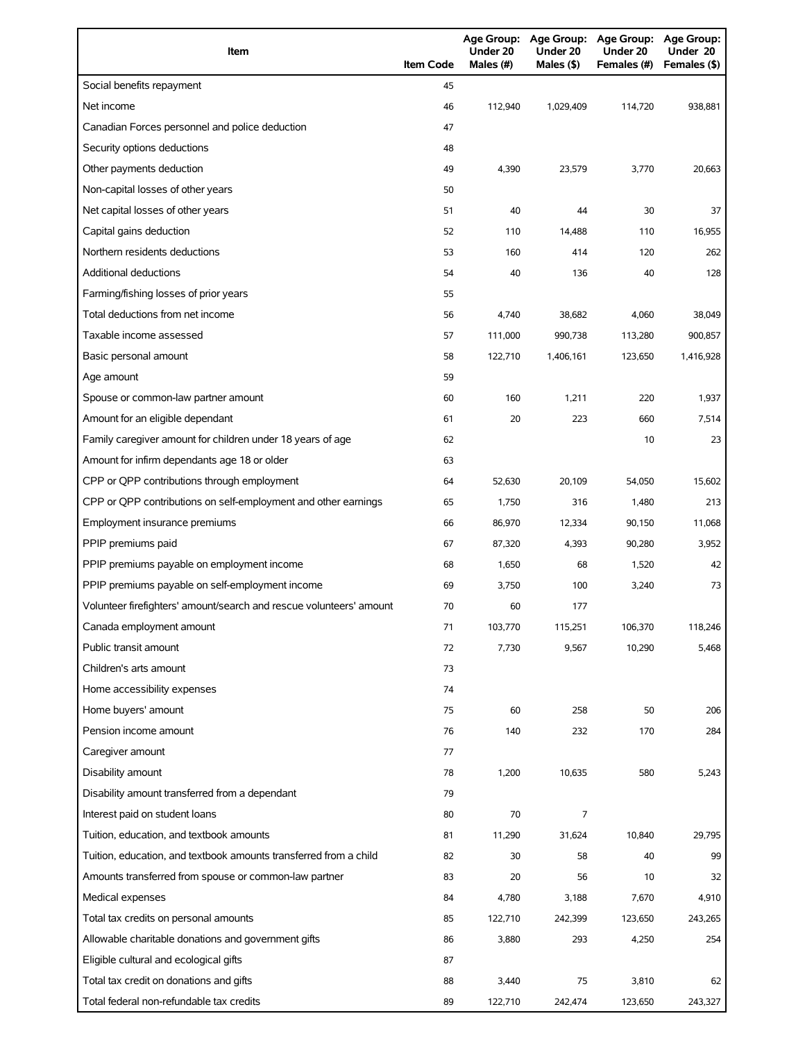| Item                                                                | <b>Item Code</b> | <b>Age Group:</b><br>Under 20<br>Males (#) | <b>Age Group:</b><br>Under 20<br>Males (\$) | Age Group: Age Group:<br>Under 20<br>Females (#) | Under 20<br>Females (\$) |
|---------------------------------------------------------------------|------------------|--------------------------------------------|---------------------------------------------|--------------------------------------------------|--------------------------|
| Social benefits repayment                                           | 45               |                                            |                                             |                                                  |                          |
| Net income                                                          | 46               | 112,940                                    | 1,029,409                                   | 114,720                                          | 938,881                  |
| Canadian Forces personnel and police deduction                      | 47               |                                            |                                             |                                                  |                          |
| Security options deductions                                         | 48               |                                            |                                             |                                                  |                          |
| Other payments deduction                                            | 49               | 4,390                                      | 23,579                                      | 3,770                                            | 20,663                   |
| Non-capital losses of other years                                   | 50               |                                            |                                             |                                                  |                          |
| Net capital losses of other years                                   | 51               | 40                                         | 44                                          | 30                                               | 37                       |
| Capital gains deduction                                             | 52               | 110                                        | 14,488                                      | 110                                              | 16,955                   |
| Northern residents deductions                                       | 53               | 160                                        | 414                                         | 120                                              | 262                      |
| <b>Additional deductions</b>                                        | 54               | 40                                         | 136                                         | 40                                               | 128                      |
| Farming/fishing losses of prior years                               | 55               |                                            |                                             |                                                  |                          |
| Total deductions from net income                                    | 56               | 4,740                                      | 38,682                                      | 4,060                                            | 38,049                   |
| Taxable income assessed                                             | 57               | 111,000                                    | 990,738                                     | 113,280                                          | 900,857                  |
| Basic personal amount                                               | 58               | 122,710                                    | 1,406,161                                   | 123,650                                          | 1,416,928                |
| Age amount                                                          | 59               |                                            |                                             |                                                  |                          |
| Spouse or common-law partner amount                                 | 60               | 160                                        | 1,211                                       | 220                                              | 1,937                    |
| Amount for an eligible dependant                                    | 61               | 20                                         | 223                                         | 660                                              | 7,514                    |
| Family caregiver amount for children under 18 years of age          | 62               |                                            |                                             | 10                                               | 23                       |
| Amount for infirm dependants age 18 or older                        | 63               |                                            |                                             |                                                  |                          |
| CPP or QPP contributions through employment                         | 64               | 52,630                                     | 20,109                                      | 54,050                                           | 15,602                   |
| CPP or QPP contributions on self-employment and other earnings      | 65               | 1,750                                      | 316                                         | 1,480                                            | 213                      |
| Employment insurance premiums                                       | 66               | 86,970                                     | 12,334                                      | 90,150                                           | 11,068                   |
| PPIP premiums paid                                                  | 67               | 87,320                                     | 4,393                                       | 90,280                                           | 3,952                    |
| PPIP premiums payable on employment income                          | 68               | 1,650                                      | 68                                          | 1,520                                            | 42                       |
| PPIP premiums payable on self-employment income                     | 69               | 3,750                                      | 100                                         | 3,240                                            | 73                       |
| Volunteer firefighters' amount/search and rescue volunteers' amount | 70               | 60                                         | 177                                         |                                                  |                          |
| Canada employment amount                                            | 71               | 103,770                                    | 115,251                                     | 106,370                                          | 118,246                  |
| Public transit amount                                               | 72               | 7,730                                      | 9,567                                       | 10,290                                           | 5,468                    |
| Children's arts amount                                              | 73               |                                            |                                             |                                                  |                          |
| Home accessibility expenses                                         | 74               |                                            |                                             |                                                  |                          |
| Home buyers' amount                                                 | 75               | 60                                         | 258                                         | 50                                               | 206                      |
| Pension income amount                                               | 76               | 140                                        | 232                                         | 170                                              | 284                      |
| Caregiver amount                                                    | 77               |                                            |                                             |                                                  |                          |
| Disability amount                                                   | 78               | 1,200                                      | 10,635                                      | 580                                              | 5,243                    |
| Disability amount transferred from a dependant                      | 79               |                                            |                                             |                                                  |                          |
| Interest paid on student loans                                      | 80               | 70                                         | 7                                           |                                                  |                          |
| Tuition, education, and textbook amounts                            | 81               | 11,290                                     | 31,624                                      | 10,840                                           | 29,795                   |
| Tuition, education, and textbook amounts transferred from a child   | 82               | 30                                         | 58                                          | 40                                               | 99                       |
| Amounts transferred from spouse or common-law partner               | 83               | 20                                         | 56                                          | 10                                               | 32                       |
| Medical expenses                                                    | 84               | 4,780                                      | 3,188                                       | 7,670                                            | 4,910                    |
| Total tax credits on personal amounts                               | 85               | 122,710                                    | 242,399                                     | 123,650                                          | 243,265                  |
| Allowable charitable donations and government gifts                 | 86               | 3,880                                      | 293                                         | 4,250                                            | 254                      |
| Eligible cultural and ecological gifts                              | 87               |                                            |                                             |                                                  |                          |
| Total tax credit on donations and gifts                             | 88               | 3,440                                      | 75                                          | 3,810                                            | 62                       |
| Total federal non-refundable tax credits                            | 89               | 122,710                                    | 242,474                                     | 123,650                                          | 243,327                  |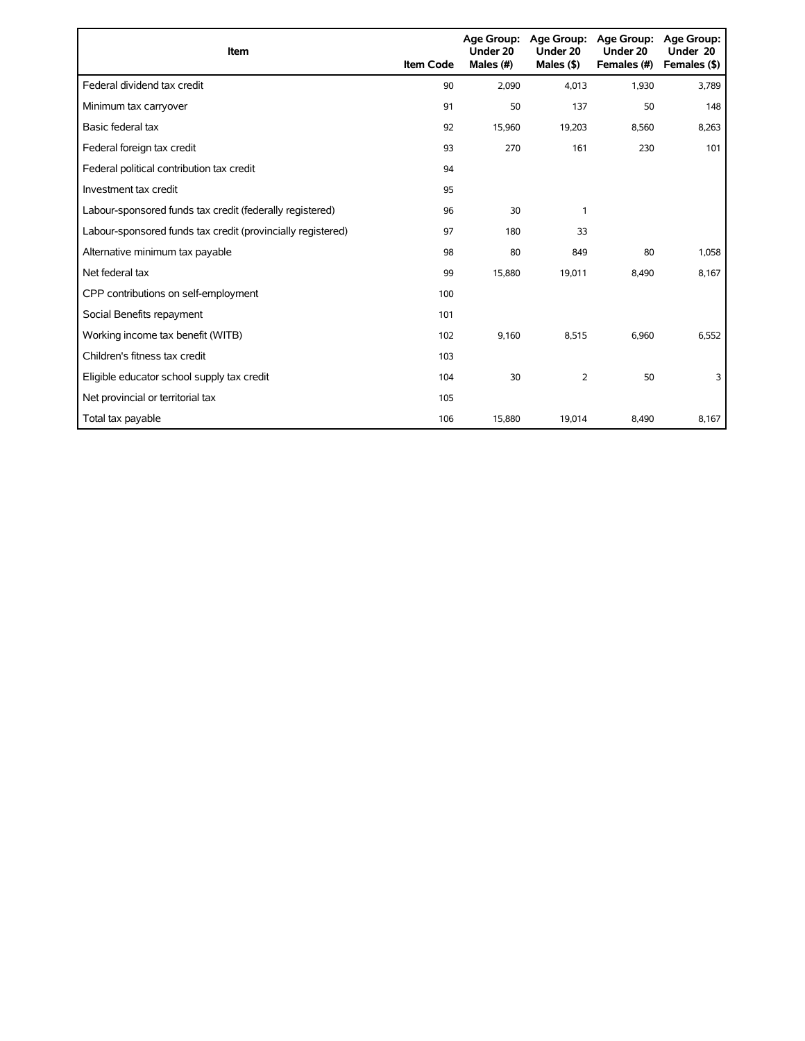| <b>Item</b>                                                 | <b>Item Code</b> | Age Group:<br>Under 20<br>Males (#) | Age Group:<br>Under 20<br>Males $($ \$) | Age Group:<br>Under 20<br>Females (#) | <b>Age Group:</b><br>Under 20<br>Females (\$) |
|-------------------------------------------------------------|------------------|-------------------------------------|-----------------------------------------|---------------------------------------|-----------------------------------------------|
| Federal dividend tax credit                                 | 90               | 2,090                               | 4,013                                   | 1,930                                 | 3,789                                         |
| Minimum tax carryover                                       | 91               | 50                                  | 137                                     | 50                                    | 148                                           |
| Basic federal tax                                           | 92               | 15,960                              | 19,203                                  | 8,560                                 | 8,263                                         |
| Federal foreign tax credit                                  | 93               | 270                                 | 161                                     | 230                                   | 101                                           |
| Federal political contribution tax credit                   | 94               |                                     |                                         |                                       |                                               |
| Investment tax credit                                       | 95               |                                     |                                         |                                       |                                               |
| Labour-sponsored funds tax credit (federally registered)    | 96               | 30                                  | 1                                       |                                       |                                               |
| Labour-sponsored funds tax credit (provincially registered) | 97               | 180                                 | 33                                      |                                       |                                               |
| Alternative minimum tax payable                             | 98               | 80                                  | 849                                     | 80                                    | 1,058                                         |
| Net federal tax                                             | 99               | 15,880                              | 19,011                                  | 8,490                                 | 8,167                                         |
| CPP contributions on self-employment                        | 100              |                                     |                                         |                                       |                                               |
| Social Benefits repayment                                   | 101              |                                     |                                         |                                       |                                               |
| Working income tax benefit (WITB)                           | 102              | 9,160                               | 8,515                                   | 6,960                                 | 6,552                                         |
| Children's fitness tax credit                               | 103              |                                     |                                         |                                       |                                               |
| Eligible educator school supply tax credit                  | 104              | 30                                  | $\overline{2}$                          | 50                                    | 3                                             |
| Net provincial or territorial tax                           | 105              |                                     |                                         |                                       |                                               |
| Total tax payable                                           | 106              | 15,880                              | 19,014                                  | 8,490                                 | 8,167                                         |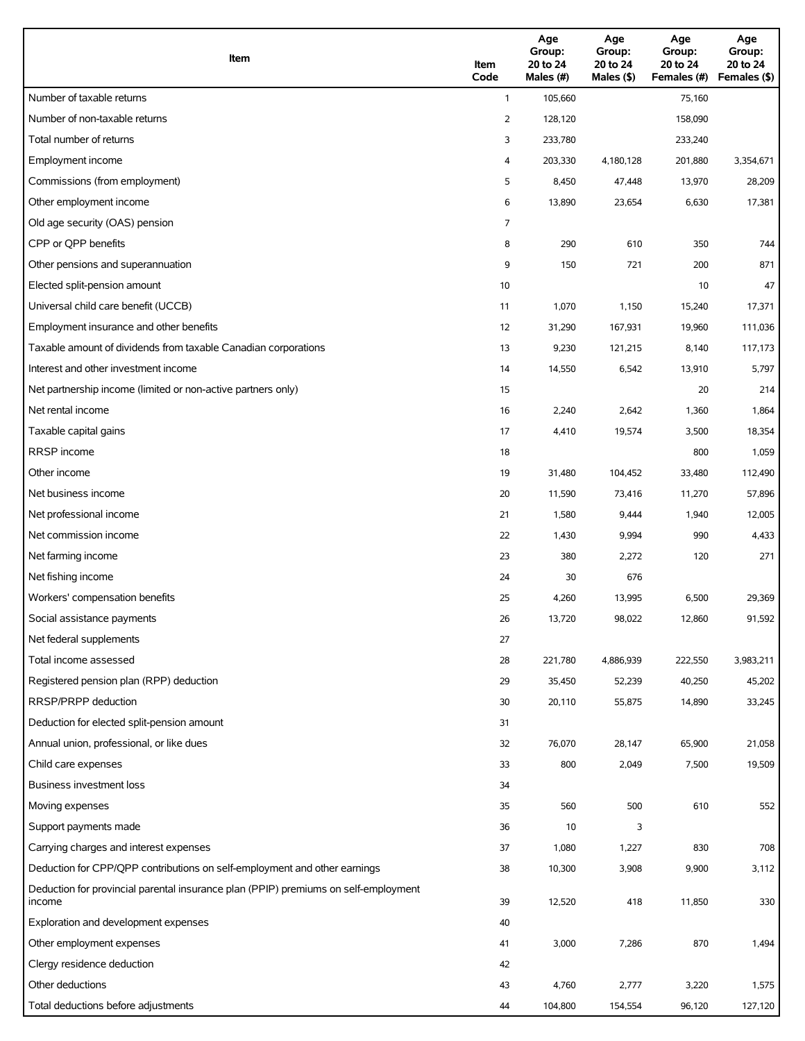| Item                                                                                          | Item<br>Code | Age<br>Group:<br>20 to 24<br>Males (#) | Age<br>Group:<br>20 to 24<br>Males (\$) | Age<br>Group:<br>20 to 24<br>Females (#) | Age<br>Group:<br>20 to 24<br>Females (\$) |
|-----------------------------------------------------------------------------------------------|--------------|----------------------------------------|-----------------------------------------|------------------------------------------|-------------------------------------------|
| Number of taxable returns                                                                     | $\mathbf{1}$ | 105,660                                |                                         | 75,160                                   |                                           |
| Number of non-taxable returns                                                                 | 2            | 128,120                                |                                         | 158,090                                  |                                           |
| Total number of returns                                                                       | 3            | 233,780                                |                                         | 233,240                                  |                                           |
| Employment income                                                                             | 4            | 203,330                                | 4,180,128                               | 201,880                                  | 3,354,671                                 |
| Commissions (from employment)                                                                 | 5            | 8,450                                  | 47,448                                  | 13,970                                   | 28,209                                    |
| Other employment income                                                                       | 6            | 13,890                                 | 23,654                                  | 6,630                                    | 17,381                                    |
| Old age security (OAS) pension                                                                | 7            |                                        |                                         |                                          |                                           |
| CPP or OPP benefits                                                                           | 8            | 290                                    | 610                                     | 350                                      | 744                                       |
| Other pensions and superannuation                                                             | 9            | 150                                    | 721                                     | 200                                      | 871                                       |
| Elected split-pension amount                                                                  | 10           |                                        |                                         | 10                                       | 47                                        |
| Universal child care benefit (UCCB)                                                           | 11           | 1,070                                  | 1,150                                   | 15,240                                   | 17,371                                    |
| Employment insurance and other benefits                                                       | 12           | 31,290                                 | 167,931                                 | 19,960                                   | 111,036                                   |
| Taxable amount of dividends from taxable Canadian corporations                                | 13           | 9,230                                  | 121,215                                 | 8,140                                    | 117,173                                   |
| Interest and other investment income                                                          | 14           | 14,550                                 | 6,542                                   | 13,910                                   | 5,797                                     |
| Net partnership income (limited or non-active partners only)                                  | 15           |                                        |                                         | 20                                       | 214                                       |
| Net rental income                                                                             | 16           | 2,240                                  | 2,642                                   | 1,360                                    | 1,864                                     |
| Taxable capital gains                                                                         | 17           | 4,410                                  | 19,574                                  | 3,500                                    | 18,354                                    |
| <b>RRSP</b> income                                                                            | 18           |                                        |                                         | 800                                      | 1,059                                     |
| Other income                                                                                  | 19           | 31,480                                 | 104,452                                 | 33,480                                   | 112,490                                   |
| Net business income                                                                           | 20           | 11,590                                 | 73,416                                  | 11,270                                   | 57,896                                    |
| Net professional income                                                                       | 21           | 1,580                                  | 9,444                                   | 1,940                                    | 12,005                                    |
| Net commission income                                                                         | 22           | 1,430                                  | 9,994                                   | 990                                      | 4,433                                     |
| Net farming income                                                                            | 23           | 380                                    | 2,272                                   | 120                                      | 271                                       |
| Net fishing income                                                                            | 24           | 30                                     | 676                                     |                                          |                                           |
| Workers' compensation benefits                                                                | 25           | 4,260                                  | 13,995                                  | 6,500                                    | 29,369                                    |
| Social assistance payments                                                                    | 26           | 13,720                                 | 98,022                                  | 12,860                                   | 91,592                                    |
| Net federal supplements                                                                       | 27           |                                        |                                         |                                          |                                           |
| Total income assessed                                                                         | 28           | 221,780                                | 4,886,939                               | 222,550                                  | 3,983,211                                 |
| Registered pension plan (RPP) deduction                                                       | 29           | 35,450                                 | 52,239                                  | 40,250                                   | 45,202                                    |
| RRSP/PRPP deduction                                                                           | 30           | 20,110                                 | 55,875                                  | 14,890                                   | 33,245                                    |
| Deduction for elected split-pension amount                                                    | 31           |                                        |                                         |                                          |                                           |
| Annual union, professional, or like dues                                                      | 32           | 76,070                                 | 28,147                                  | 65,900                                   | 21,058                                    |
| Child care expenses                                                                           | 33           | 800                                    | 2,049                                   | 7,500                                    | 19,509                                    |
| Business investment loss                                                                      | 34           |                                        |                                         |                                          |                                           |
| Moving expenses                                                                               | 35           | 560                                    | 500                                     | 610                                      | 552                                       |
| Support payments made                                                                         | 36           | 10                                     | 3                                       |                                          |                                           |
| Carrying charges and interest expenses                                                        | 37           | 1,080                                  | 1,227                                   | 830                                      | 708                                       |
| Deduction for CPP/QPP contributions on self-employment and other earnings                     | 38           | 10,300                                 | 3,908                                   | 9,900                                    | 3,112                                     |
| Deduction for provincial parental insurance plan (PPIP) premiums on self-employment<br>income | 39           | 12,520                                 | 418                                     | 11,850                                   | 330                                       |
| Exploration and development expenses                                                          | 40           |                                        |                                         |                                          |                                           |
| Other employment expenses                                                                     | 41           | 3,000                                  | 7,286                                   | 870                                      | 1,494                                     |
| Clergy residence deduction                                                                    | 42           |                                        |                                         |                                          |                                           |
| Other deductions                                                                              | 43           | 4,760                                  | 2,777                                   | 3,220                                    | 1,575                                     |
| Total deductions before adjustments                                                           | 44           | 104,800                                | 154,554                                 | 96,120                                   | 127,120                                   |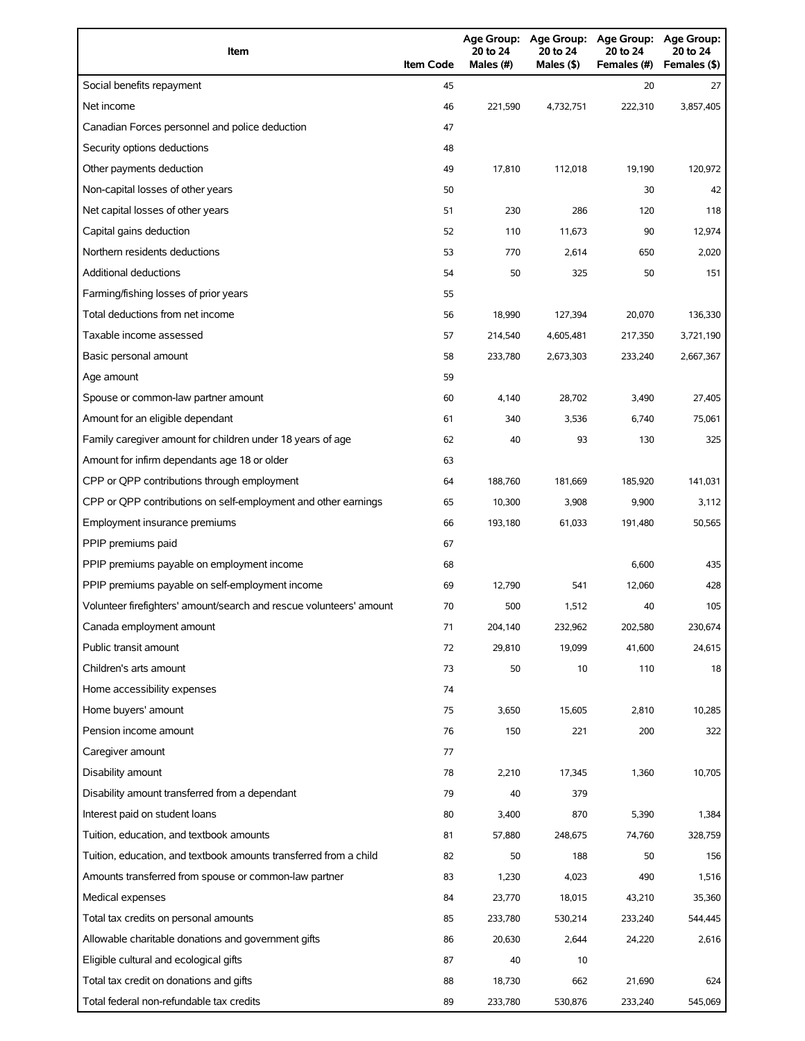| Item                                                                | <b>Item Code</b> | 20 to 24<br>Males $(H)$ | 20 to 24<br>Males (\$) | Age Group: Age Group: Age Group:<br>20 to 24<br>Females (#) | <b>Age Group:</b><br>20 to 24<br>Females (\$) |
|---------------------------------------------------------------------|------------------|-------------------------|------------------------|-------------------------------------------------------------|-----------------------------------------------|
| Social benefits repayment                                           | 45               |                         |                        | 20                                                          | 27                                            |
| Net income                                                          | 46               | 221.590                 | 4,732,751              | 222,310                                                     | 3,857,405                                     |
| Canadian Forces personnel and police deduction                      | 47               |                         |                        |                                                             |                                               |
| Security options deductions                                         | 48               |                         |                        |                                                             |                                               |
| Other payments deduction                                            | 49               | 17,810                  | 112,018                | 19,190                                                      | 120,972                                       |
| Non-capital losses of other years                                   | 50               |                         |                        | 30                                                          | 42                                            |
| Net capital losses of other years                                   | 51               | 230                     | 286                    | 120                                                         | 118                                           |
| Capital gains deduction                                             | 52               | 110                     | 11,673                 | 90                                                          | 12,974                                        |
| Northern residents deductions                                       | 53               | 770                     | 2,614                  | 650                                                         | 2,020                                         |
| Additional deductions                                               | 54               | 50                      | 325                    | 50                                                          | 151                                           |
| Farming/fishing losses of prior years                               | 55               |                         |                        |                                                             |                                               |
| Total deductions from net income                                    | 56               | 18,990                  | 127,394                | 20,070                                                      | 136,330                                       |
| Taxable income assessed                                             | 57               | 214,540                 | 4,605,481              | 217,350                                                     | 3,721,190                                     |
| Basic personal amount                                               | 58               | 233,780                 | 2,673,303              | 233,240                                                     | 2,667,367                                     |
| Age amount                                                          | 59               |                         |                        |                                                             |                                               |
| Spouse or common-law partner amount                                 | 60               | 4,140                   | 28,702                 | 3,490                                                       | 27,405                                        |
| Amount for an eligible dependant                                    | 61               | 340                     | 3,536                  | 6,740                                                       | 75,061                                        |
| Family caregiver amount for children under 18 years of age          | 62               | 40                      | 93                     | 130                                                         | 325                                           |
| Amount for infirm dependants age 18 or older                        | 63               |                         |                        |                                                             |                                               |
| CPP or QPP contributions through employment                         | 64               | 188,760                 | 181,669                | 185,920                                                     | 141,031                                       |
| CPP or QPP contributions on self-employment and other earnings      | 65               | 10,300                  | 3,908                  | 9,900                                                       | 3,112                                         |
| Employment insurance premiums                                       | 66               | 193,180                 | 61,033                 | 191,480                                                     | 50,565                                        |
| PPIP premiums paid                                                  | 67               |                         |                        |                                                             |                                               |
| PPIP premiums payable on employment income                          | 68               |                         |                        | 6,600                                                       | 435                                           |
| PPIP premiums payable on self-employment income                     | 69               | 12,790                  | 541                    | 12,060                                                      | 428                                           |
| Volunteer firefighters' amount/search and rescue volunteers' amount | 70               | 500                     | 1,512                  | 40                                                          | 105                                           |
| Canada employment amount                                            | 71               | 204,140                 | 232,962                | 202,580                                                     | 230,674                                       |
| Public transit amount                                               | 72               | 29,810                  | 19,099                 | 41,600                                                      | 24,615                                        |
| Children's arts amount                                              | 73               | 50                      | 10                     | 110                                                         | 18                                            |
| Home accessibility expenses                                         | 74               |                         |                        |                                                             |                                               |
| Home buyers' amount                                                 | 75               | 3,650                   | 15,605                 | 2,810                                                       | 10,285                                        |
| Pension income amount                                               | 76               | 150                     | 221                    | 200                                                         | 322                                           |
| Caregiver amount                                                    | 77               |                         |                        |                                                             |                                               |
| Disability amount                                                   | 78               | 2,210                   | 17,345                 | 1,360                                                       | 10,705                                        |
| Disability amount transferred from a dependant                      | 79               | 40                      | 379                    |                                                             |                                               |
| Interest paid on student loans                                      | 80               | 3,400                   | 870                    | 5,390                                                       | 1,384                                         |
| Tuition, education, and textbook amounts                            | 81               | 57,880                  | 248,675                | 74,760                                                      | 328,759                                       |
| Tuition, education, and textbook amounts transferred from a child   | 82               | 50                      | 188                    | 50                                                          | 156                                           |
| Amounts transferred from spouse or common-law partner               | 83               | 1,230                   | 4,023                  | 490                                                         | 1,516                                         |
| Medical expenses                                                    | 84               | 23,770                  | 18,015                 | 43,210                                                      | 35,360                                        |
| Total tax credits on personal amounts                               | 85               | 233,780                 | 530,214                | 233,240                                                     | 544,445                                       |
| Allowable charitable donations and government gifts                 | 86               | 20,630                  | 2,644                  | 24,220                                                      | 2,616                                         |
| Eligible cultural and ecological gifts                              | 87               | 40                      | 10                     |                                                             |                                               |
| Total tax credit on donations and gifts                             | 88               | 18,730                  | 662                    | 21,690                                                      | 624                                           |
| Total federal non-refundable tax credits                            | 89               | 233,780                 | 530,876                | 233,240                                                     | 545,069                                       |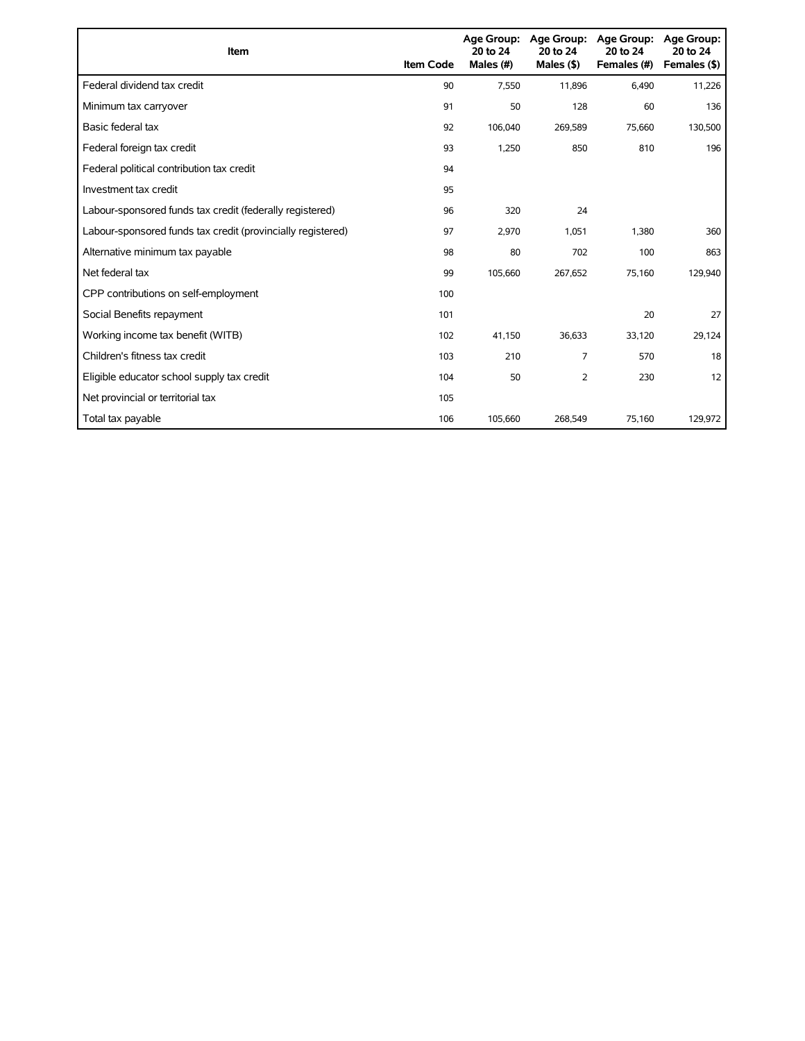| <b>Item</b>                                                 | <b>Item Code</b> | <b>Age Group:</b><br>20 to 24<br>Males (#) | <b>Age Group:</b><br>20 to 24<br>Males $($ \$) | <b>Age Group:</b><br>20 to 24<br>Females (#) | <b>Age Group:</b><br>20 to 24<br>Females (\$) |
|-------------------------------------------------------------|------------------|--------------------------------------------|------------------------------------------------|----------------------------------------------|-----------------------------------------------|
| Federal dividend tax credit                                 | 90               | 7,550                                      | 11,896                                         | 6,490                                        | 11,226                                        |
| Minimum tax carryover                                       | 91               | 50                                         | 128                                            | 60                                           | 136                                           |
| Basic federal tax                                           | 92               | 106.040                                    | 269,589                                        | 75,660                                       | 130,500                                       |
| Federal foreign tax credit                                  | 93               | 1,250                                      | 850                                            | 810                                          | 196                                           |
| Federal political contribution tax credit                   | 94               |                                            |                                                |                                              |                                               |
| Investment tax credit                                       | 95               |                                            |                                                |                                              |                                               |
| Labour-sponsored funds tax credit (federally registered)    | 96               | 320                                        | 24                                             |                                              |                                               |
| Labour-sponsored funds tax credit (provincially registered) | 97               | 2,970                                      | 1,051                                          | 1,380                                        | 360                                           |
| Alternative minimum tax payable                             | 98               | 80                                         | 702                                            | 100                                          | 863                                           |
| Net federal tax                                             | 99               | 105,660                                    | 267,652                                        | 75,160                                       | 129,940                                       |
| CPP contributions on self-employment                        | 100              |                                            |                                                |                                              |                                               |
| Social Benefits repayment                                   | 101              |                                            |                                                | 20                                           | 27                                            |
| Working income tax benefit (WITB)                           | 102              | 41,150                                     | 36,633                                         | 33,120                                       | 29,124                                        |
| Children's fitness tax credit                               | 103              | 210                                        | 7                                              | 570                                          | 18                                            |
| Eligible educator school supply tax credit                  | 104              | 50                                         | 2                                              | 230                                          | 12                                            |
| Net provincial or territorial tax                           | 105              |                                            |                                                |                                              |                                               |
| Total tax payable                                           | 106              | 105,660                                    | 268,549                                        | 75,160                                       | 129,972                                       |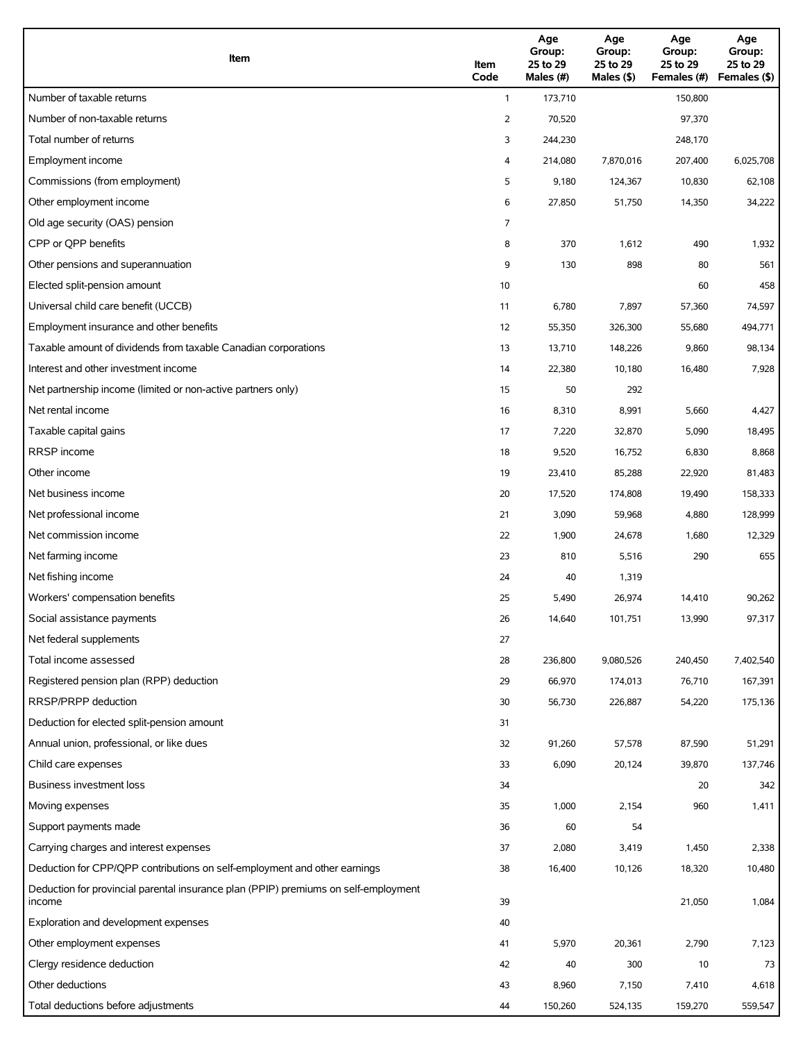| Item                                                                                          | Item<br>Code | Age<br>Group:<br>25 to 29<br>Males (#) | Age<br>Group:<br>25 to 29<br>Males (\$) | Age<br>Group:<br>25 to 29<br>Females (#) | Age<br>Group:<br>25 to 29<br>Females (\$) |
|-----------------------------------------------------------------------------------------------|--------------|----------------------------------------|-----------------------------------------|------------------------------------------|-------------------------------------------|
| Number of taxable returns                                                                     | $\mathbf{1}$ | 173,710                                |                                         | 150,800                                  |                                           |
| Number of non-taxable returns                                                                 | 2            | 70,520                                 |                                         | 97,370                                   |                                           |
| Total number of returns                                                                       | 3            | 244,230                                |                                         | 248,170                                  |                                           |
| Employment income                                                                             | 4            | 214,080                                | 7,870,016                               | 207,400                                  | 6,025,708                                 |
| Commissions (from employment)                                                                 | 5            | 9,180                                  | 124,367                                 | 10,830                                   | 62,108                                    |
| Other employment income                                                                       | 6            | 27,850                                 | 51,750                                  | 14,350                                   | 34,222                                    |
| Old age security (OAS) pension                                                                | 7            |                                        |                                         |                                          |                                           |
| CPP or QPP benefits                                                                           | 8            | 370                                    | 1,612                                   | 490                                      | 1,932                                     |
| Other pensions and superannuation                                                             | 9            | 130                                    | 898                                     | 80                                       | 561                                       |
| Elected split-pension amount                                                                  | 10           |                                        |                                         | 60                                       | 458                                       |
| Universal child care benefit (UCCB)                                                           | 11           | 6,780                                  | 7,897                                   | 57,360                                   | 74,597                                    |
| Employment insurance and other benefits                                                       | 12           | 55,350                                 | 326,300                                 | 55,680                                   | 494,771                                   |
| Taxable amount of dividends from taxable Canadian corporations                                | 13           | 13,710                                 | 148,226                                 | 9,860                                    | 98,134                                    |
| Interest and other investment income                                                          | 14           | 22,380                                 | 10,180                                  | 16,480                                   | 7,928                                     |
| Net partnership income (limited or non-active partners only)                                  | 15           | 50                                     | 292                                     |                                          |                                           |
| Net rental income                                                                             | 16           | 8,310                                  | 8,991                                   | 5,660                                    | 4,427                                     |
| Taxable capital gains                                                                         | 17           | 7,220                                  | 32,870                                  | 5,090                                    | 18,495                                    |
| <b>RRSP</b> income                                                                            | 18           | 9,520                                  | 16,752                                  | 6,830                                    | 8,868                                     |
| Other income                                                                                  | 19           | 23,410                                 | 85,288                                  | 22,920                                   | 81,483                                    |
| Net business income                                                                           | 20           | 17,520                                 | 174,808                                 | 19,490                                   | 158,333                                   |
| Net professional income                                                                       | 21           | 3,090                                  | 59,968                                  | 4,880                                    | 128,999                                   |
| Net commission income                                                                         | 22           | 1,900                                  | 24,678                                  | 1,680                                    | 12,329                                    |
| Net farming income                                                                            | 23           | 810                                    | 5,516                                   | 290                                      | 655                                       |
| Net fishing income                                                                            | 24           | 40                                     | 1,319                                   |                                          |                                           |
| Workers' compensation benefits                                                                | 25           | 5,490                                  | 26,974                                  | 14,410                                   | 90,262                                    |
| Social assistance payments                                                                    | 26           | 14,640                                 | 101,751                                 | 13,990                                   | 97,317                                    |
| Net federal supplements                                                                       | 27           |                                        |                                         |                                          |                                           |
| Total income assessed                                                                         | 28           | 236,800                                | 9,080,526                               | 240,450                                  | 7,402,540                                 |
| Registered pension plan (RPP) deduction                                                       | 29           | 66,970                                 | 174,013                                 | 76,710                                   | 167,391                                   |
| RRSP/PRPP deduction                                                                           | 30           | 56,730                                 | 226,887                                 | 54,220                                   | 175,136                                   |
| Deduction for elected split-pension amount                                                    | 31           |                                        |                                         |                                          |                                           |
| Annual union, professional, or like dues                                                      | 32           | 91,260                                 | 57,578                                  | 87,590                                   | 51,291                                    |
| Child care expenses                                                                           | 33           | 6,090                                  | 20,124                                  | 39,870                                   | 137,746                                   |
| Business investment loss                                                                      | 34           |                                        |                                         | 20                                       | 342                                       |
| Moving expenses                                                                               | 35           | 1,000                                  | 2,154                                   | 960                                      | 1,411                                     |
| Support payments made                                                                         | 36           | 60                                     | 54                                      |                                          |                                           |
| Carrying charges and interest expenses                                                        | 37           | 2,080                                  | 3,419                                   | 1,450                                    | 2,338                                     |
| Deduction for CPP/QPP contributions on self-employment and other earnings                     | 38           | 16,400                                 | 10,126                                  | 18,320                                   | 10,480                                    |
| Deduction for provincial parental insurance plan (PPIP) premiums on self-employment<br>income | 39           |                                        |                                         | 21,050                                   | 1,084                                     |
| Exploration and development expenses                                                          | 40           |                                        |                                         |                                          |                                           |
| Other employment expenses                                                                     | 41           | 5,970                                  | 20,361                                  | 2,790                                    | 7,123                                     |
| Clergy residence deduction                                                                    | 42           | 40                                     | 300                                     | 10                                       | 73                                        |
| Other deductions                                                                              | 43           | 8,960                                  | 7,150                                   | 7,410                                    | 4,618                                     |
| Total deductions before adjustments                                                           | 44           | 150,260                                | 524,135                                 | 159,270                                  | 559,547                                   |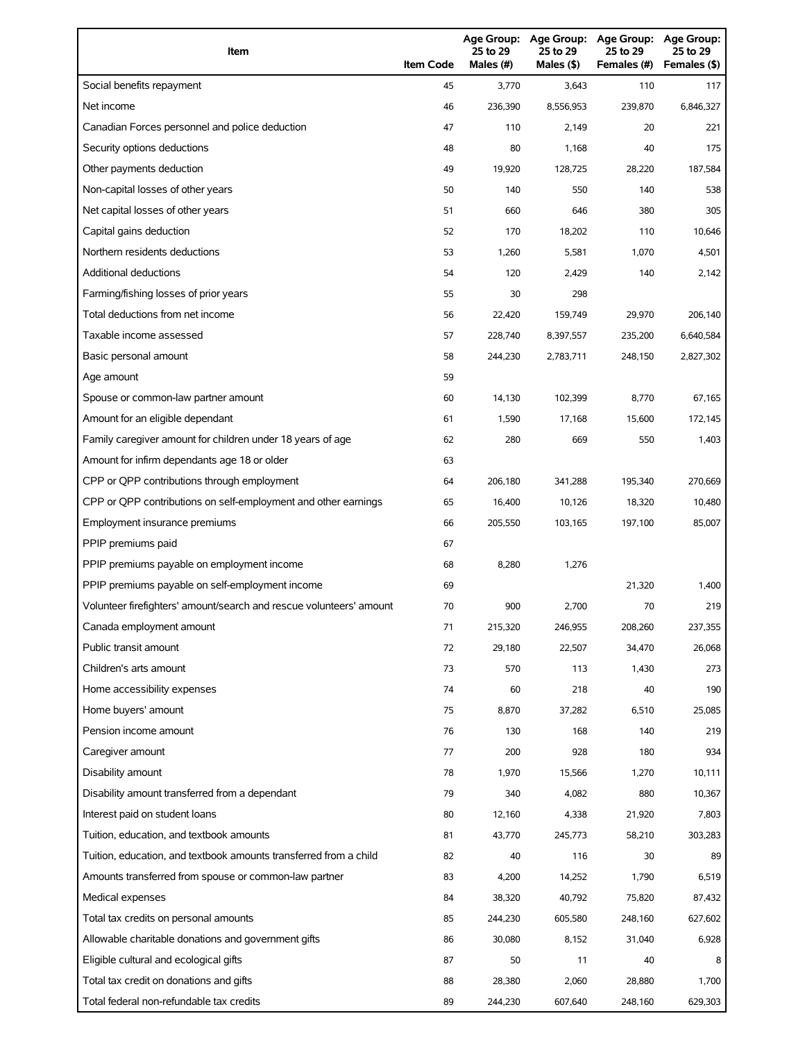| Item                                                                | <b>Item Code</b> | 25 to 29<br>Males (#) | 25 to 29<br>Males (\$) | Age Group: Age Group: Age Group:<br>25 to 29<br>Females (#) | Age Group:<br>25 to 29<br>Females (\$) |
|---------------------------------------------------------------------|------------------|-----------------------|------------------------|-------------------------------------------------------------|----------------------------------------|
| Social benefits repayment                                           | 45               | 3,770                 | 3,643                  | 110                                                         | 117                                    |
| Net income                                                          | 46               | 236,390               | 8,556,953              | 239,870                                                     | 6,846,327                              |
| Canadian Forces personnel and police deduction                      | 47               | 110                   | 2,149                  | 20                                                          | 221                                    |
| Security options deductions                                         | 48               | 80                    | 1,168                  | 40                                                          | 175                                    |
| Other payments deduction                                            | 49               | 19,920                | 128,725                | 28,220                                                      | 187,584                                |
| Non-capital losses of other years                                   | 50               | 140                   | 550                    | 140                                                         | 538                                    |
| Net capital losses of other years                                   | 51               | 660                   | 646                    | 380                                                         | 305                                    |
| Capital gains deduction                                             | 52               | 170                   | 18,202                 | 110                                                         | 10,646                                 |
| Northern residents deductions                                       | 53               | 1,260                 | 5,581                  | 1,070                                                       | 4,501                                  |
| <b>Additional deductions</b>                                        | 54               | 120                   | 2,429                  | 140                                                         | 2,142                                  |
| Farming/fishing losses of prior years                               | 55               | 30                    | 298                    |                                                             |                                        |
| Total deductions from net income                                    | 56               | 22,420                | 159,749                | 29,970                                                      | 206,140                                |
| Taxable income assessed                                             | 57               | 228,740               | 8,397,557              | 235,200                                                     | 6,640,584                              |
| Basic personal amount                                               | 58               | 244,230               | 2,783,711              | 248,150                                                     | 2,827,302                              |
| Age amount                                                          | 59               |                       |                        |                                                             |                                        |
| Spouse or common-law partner amount                                 | 60               | 14.130                | 102,399                | 8,770                                                       | 67,165                                 |
| Amount for an eligible dependant                                    | 61               | 1,590                 | 17,168                 | 15,600                                                      | 172,145                                |
| Family caregiver amount for children under 18 years of age          | 62               | 280                   | 669                    | 550                                                         | 1,403                                  |
| Amount for infirm dependants age 18 or older                        | 63               |                       |                        |                                                             |                                        |
| CPP or QPP contributions through employment                         | 64               | 206,180               | 341,288                | 195,340                                                     | 270,669                                |
| CPP or QPP contributions on self-employment and other earnings      | 65               | 16,400                | 10,126                 | 18,320                                                      | 10,480                                 |
| Employment insurance premiums                                       | 66               | 205,550               | 103,165                | 197,100                                                     | 85,007                                 |
| PPIP premiums paid                                                  | 67               |                       |                        |                                                             |                                        |
| PPIP premiums payable on employment income                          | 68               | 8,280                 | 1,276                  |                                                             |                                        |
| PPIP premiums payable on self-employment income                     | 69               |                       |                        | 21,320                                                      | 1,400                                  |
| Volunteer firefighters' amount/search and rescue volunteers' amount | 70               | 900                   | 2,700                  | 70                                                          | 219                                    |
| Canada employment amount                                            | 71               | 215,320               | 246,955                | 208,260                                                     | 237,355                                |
| Public transit amount                                               | 72               | 29,180                | 22,507                 | 34,470                                                      | 26,068                                 |
| Children's arts amount                                              | 73               | 570                   | 113                    | 1,430                                                       | 273                                    |
| Home accessibility expenses                                         | 74               | 60                    | 218                    | 40                                                          | 190                                    |
| Home buyers' amount                                                 | 75               | 8,870                 | 37,282                 | 6,510                                                       | 25,085                                 |
| Pension income amount                                               | 76               | 130                   | 168                    | 140                                                         | 219                                    |
| Caregiver amount                                                    | 77               | 200                   | 928                    | 180                                                         | 934                                    |
| Disability amount                                                   | 78               | 1,970                 | 15,566                 | 1,270                                                       | 10,111                                 |
| Disability amount transferred from a dependant                      | 79               | 340                   | 4,082                  | 880                                                         | 10,367                                 |
| Interest paid on student loans                                      | 80               | 12,160                | 4,338                  | 21,920                                                      | 7,803                                  |
| Tuition, education, and textbook amounts                            | 81               | 43,770                | 245,773                | 58,210                                                      | 303,283                                |
| Tuition, education, and textbook amounts transferred from a child   | 82               | 40                    | 116                    | 30                                                          | 89                                     |
| Amounts transferred from spouse or common-law partner               | 83               | 4,200                 | 14,252                 | 1,790                                                       | 6,519                                  |
| Medical expenses                                                    | 84               | 38,320                | 40,792                 | 75,820                                                      | 87,432                                 |
| Total tax credits on personal amounts                               | 85               | 244,230               | 605,580                | 248,160                                                     | 627,602                                |
| Allowable charitable donations and government gifts                 | 86               | 30,080                | 8,152                  | 31,040                                                      | 6,928                                  |
| Eligible cultural and ecological gifts                              | 87               | 50                    | 11                     | 40                                                          |                                        |
| Total tax credit on donations and gifts                             | 88               | 28,380                | 2,060                  | 28,880                                                      | 1,700                                  |
| Total federal non-refundable tax credits                            | 89               | 244,230               | 607,640                | 248,160                                                     | 629,303                                |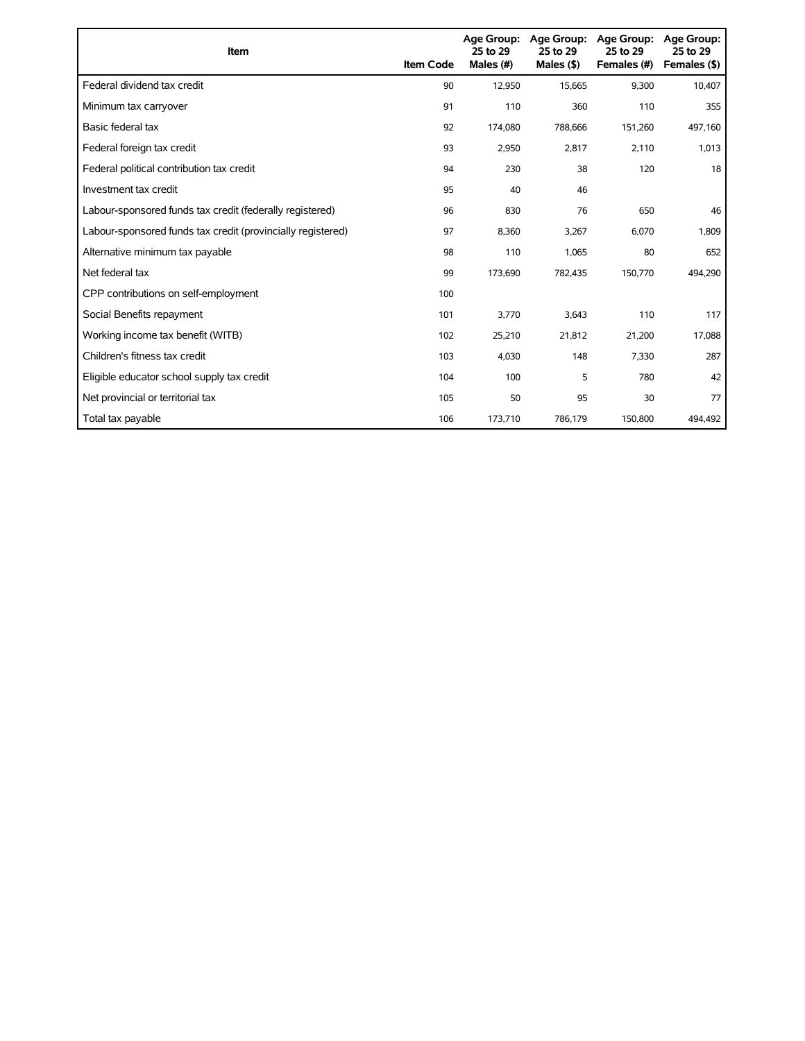| <b>Item</b>                                                 | <b>Item Code</b> | 25 to 29<br>Males (#) | Age Group: Age Group:<br>25 to 29<br>Males $(§)$ | Age Group:<br>25 to 29<br>Females (#) | Age Group:<br>25 to 29<br>Females (\$) |
|-------------------------------------------------------------|------------------|-----------------------|--------------------------------------------------|---------------------------------------|----------------------------------------|
| Federal dividend tax credit                                 | 90               | 12,950                | 15,665                                           | 9,300                                 | 10,407                                 |
| Minimum tax carryover                                       | 91               | 110                   | 360                                              | 110                                   | 355                                    |
| Basic federal tax                                           | 92               | 174,080               | 788,666                                          | 151,260                               | 497,160                                |
| Federal foreign tax credit                                  | 93               | 2,950                 | 2,817                                            | 2,110                                 | 1,013                                  |
| Federal political contribution tax credit                   | 94               | 230                   | 38                                               | 120                                   | 18                                     |
| Investment tax credit                                       | 95               | 40                    | 46                                               |                                       |                                        |
| Labour-sponsored funds tax credit (federally registered)    | 96               | 830                   | 76                                               | 650                                   | 46                                     |
| Labour-sponsored funds tax credit (provincially registered) | 97               | 8,360                 | 3,267                                            | 6,070                                 | 1,809                                  |
| Alternative minimum tax payable                             | 98               | 110                   | 1,065                                            | 80                                    | 652                                    |
| Net federal tax                                             | 99               | 173,690               | 782,435                                          | 150,770                               | 494,290                                |
| CPP contributions on self-employment                        | 100              |                       |                                                  |                                       |                                        |
| Social Benefits repayment                                   | 101              | 3,770                 | 3,643                                            | 110                                   | 117                                    |
| Working income tax benefit (WITB)                           | 102              | 25,210                | 21,812                                           | 21,200                                | 17,088                                 |
| Children's fitness tax credit                               | 103              | 4,030                 | 148                                              | 7,330                                 | 287                                    |
| Eligible educator school supply tax credit                  | 104              | 100                   | 5                                                | 780                                   | 42                                     |
| Net provincial or territorial tax                           | 105              | 50                    | 95                                               | 30                                    | 77                                     |
| Total tax payable                                           | 106              | 173,710               | 786,179                                          | 150,800                               | 494,492                                |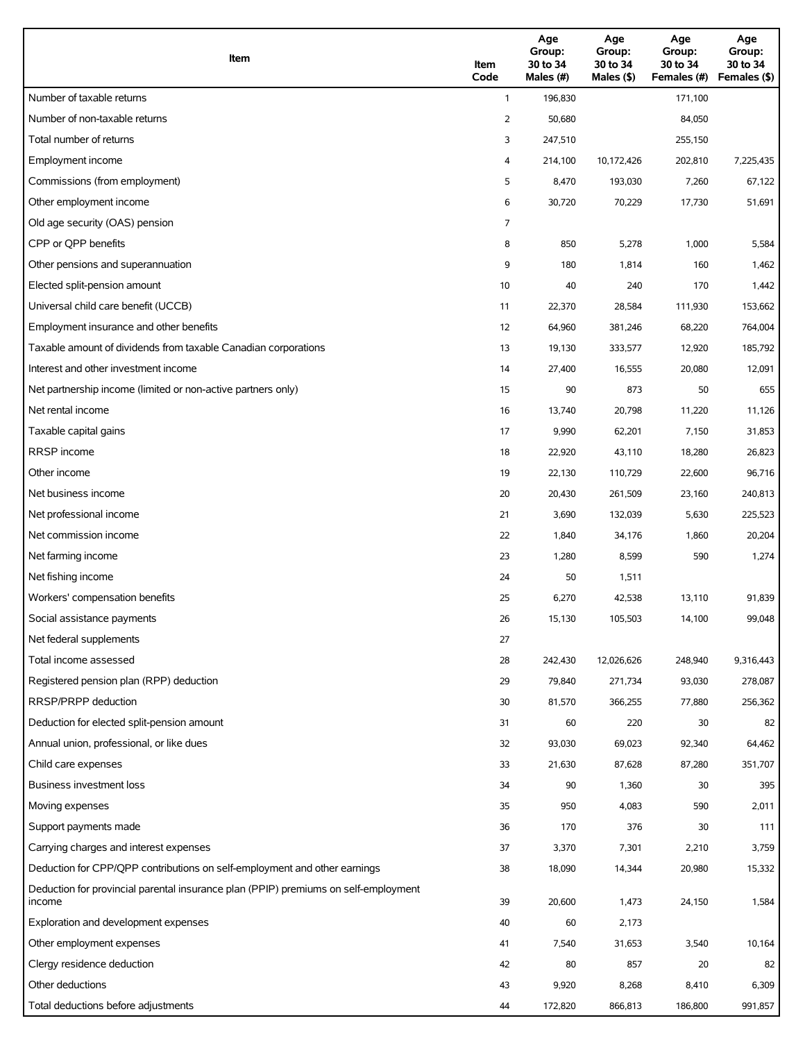| Item                                                                                          | Item<br>Code | Age<br>Group:<br>30 to 34<br>Males (#) | Age<br>Group:<br>30 to 34<br>Males (\$) | Age<br>Group:<br>30 to 34<br>Females (#) | Age<br>Group:<br>30 to 34<br>Females (\$) |
|-----------------------------------------------------------------------------------------------|--------------|----------------------------------------|-----------------------------------------|------------------------------------------|-------------------------------------------|
| Number of taxable returns                                                                     | $\mathbf{1}$ | 196,830                                |                                         | 171,100                                  |                                           |
| Number of non-taxable returns                                                                 | 2            | 50,680                                 |                                         | 84,050                                   |                                           |
| Total number of returns                                                                       | 3            | 247,510                                |                                         | 255,150                                  |                                           |
| Employment income                                                                             | 4            | 214,100                                | 10,172,426                              | 202,810                                  | 7,225,435                                 |
| Commissions (from employment)                                                                 | 5            | 8,470                                  | 193,030                                 | 7,260                                    | 67,122                                    |
| Other employment income                                                                       | 6            | 30,720                                 | 70,229                                  | 17,730                                   | 51,691                                    |
| Old age security (OAS) pension                                                                | 7            |                                        |                                         |                                          |                                           |
| CPP or QPP benefits                                                                           | 8            | 850                                    | 5,278                                   | 1,000                                    | 5,584                                     |
| Other pensions and superannuation                                                             | 9            | 180                                    | 1,814                                   | 160                                      | 1,462                                     |
| Elected split-pension amount                                                                  | 10           | 40                                     | 240                                     | 170                                      | 1,442                                     |
| Universal child care benefit (UCCB)                                                           | 11           | 22,370                                 | 28,584                                  | 111,930                                  | 153,662                                   |
| Employment insurance and other benefits                                                       | 12           | 64,960                                 | 381,246                                 | 68,220                                   | 764,004                                   |
| Taxable amount of dividends from taxable Canadian corporations                                | 13           | 19,130                                 | 333,577                                 | 12,920                                   | 185,792                                   |
| Interest and other investment income                                                          | 14           | 27,400                                 | 16,555                                  | 20,080                                   | 12,091                                    |
| Net partnership income (limited or non-active partners only)                                  | 15           | 90                                     | 873                                     | 50                                       | 655                                       |
| Net rental income                                                                             | 16           | 13,740                                 | 20,798                                  | 11,220                                   | 11,126                                    |
| Taxable capital gains                                                                         | 17           | 9,990                                  | 62,201                                  | 7,150                                    | 31,853                                    |
| <b>RRSP</b> income                                                                            | 18           | 22,920                                 | 43,110                                  | 18,280                                   | 26,823                                    |
| Other income                                                                                  | 19           | 22,130                                 | 110,729                                 | 22,600                                   | 96,716                                    |
| Net business income                                                                           | 20           | 20,430                                 | 261,509                                 | 23,160                                   | 240,813                                   |
| Net professional income                                                                       | 21           | 3,690                                  | 132,039                                 | 5,630                                    | 225,523                                   |
| Net commission income                                                                         | 22           | 1,840                                  | 34,176                                  | 1,860                                    | 20,204                                    |
| Net farming income                                                                            | 23           | 1,280                                  | 8,599                                   | 590                                      | 1,274                                     |
| Net fishing income                                                                            | 24           | 50                                     | 1,511                                   |                                          |                                           |
| Workers' compensation benefits                                                                | 25           | 6,270                                  | 42,538                                  | 13,110                                   | 91,839                                    |
| Social assistance payments                                                                    | 26           | 15,130                                 | 105,503                                 | 14,100                                   | 99,048                                    |
| Net federal supplements                                                                       | 27           |                                        |                                         |                                          |                                           |
| Total income assessed                                                                         | 28           | 242,430                                | 12,026,626                              | 248,940                                  | 9,316,443                                 |
| Registered pension plan (RPP) deduction                                                       | 29           | 79,840                                 | 271,734                                 | 93,030                                   | 278,087                                   |
| RRSP/PRPP deduction                                                                           | 30           | 81,570                                 | 366,255                                 | 77,880                                   | 256,362                                   |
| Deduction for elected split-pension amount                                                    | 31           | 60                                     | 220                                     | 30                                       | 82                                        |
| Annual union, professional, or like dues                                                      | 32           | 93,030                                 | 69,023                                  | 92,340                                   | 64,462                                    |
| Child care expenses                                                                           | 33           | 21,630                                 | 87,628                                  | 87,280                                   | 351,707                                   |
| Business investment loss                                                                      | 34           | 90                                     | 1,360                                   | 30                                       | 395                                       |
| Moving expenses                                                                               | 35           | 950                                    | 4,083                                   | 590                                      | 2,011                                     |
| Support payments made                                                                         | 36           | 170                                    | 376                                     | 30                                       | 111                                       |
| Carrying charges and interest expenses                                                        | 37           | 3,370                                  | 7,301                                   | 2,210                                    | 3,759                                     |
| Deduction for CPP/QPP contributions on self-employment and other earnings                     | 38           | 18,090                                 | 14,344                                  | 20,980                                   | 15,332                                    |
| Deduction for provincial parental insurance plan (PPIP) premiums on self-employment<br>income | 39           | 20,600                                 | 1,473                                   | 24,150                                   | 1,584                                     |
| Exploration and development expenses                                                          | 40           | 60                                     | 2,173                                   |                                          |                                           |
| Other employment expenses                                                                     | 41           | 7,540                                  | 31,653                                  | 3,540                                    | 10,164                                    |
| Clergy residence deduction                                                                    | 42           | 80                                     | 857                                     | 20                                       | 82                                        |
| Other deductions                                                                              | 43           | 9,920                                  | 8,268                                   | 8,410                                    | 6,309                                     |
| Total deductions before adjustments                                                           | 44           | 172,820                                | 866,813                                 | 186,800                                  | 991,857                                   |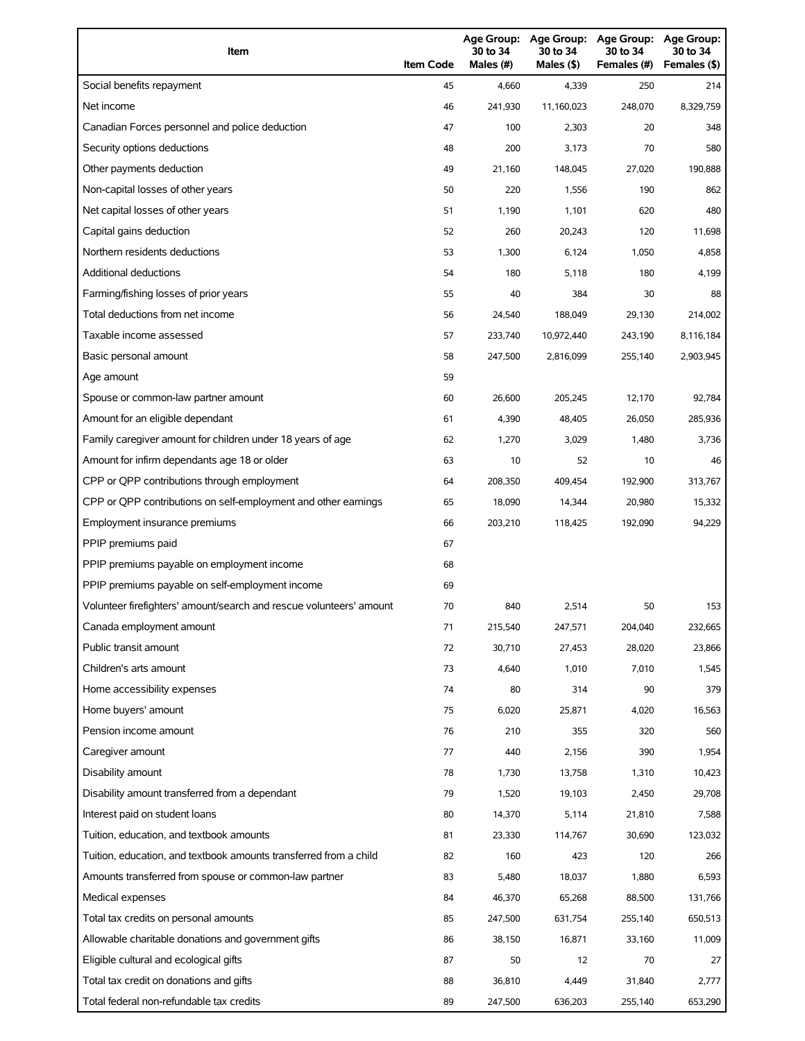| Item                                                                | <b>Item Code</b> | 30 to 34<br>Males (#) | 30 to 34<br>Males (\$) | Age Group: Age Group: Age Group:<br>30 to 34<br>Females (#) | Age Group:<br>30 to 34<br>Females (\$) |
|---------------------------------------------------------------------|------------------|-----------------------|------------------------|-------------------------------------------------------------|----------------------------------------|
| Social benefits repayment                                           | 45               | 4,660                 | 4,339                  | 250                                                         | 214                                    |
| Net income                                                          | 46               | 241,930               | 11,160,023             | 248,070                                                     | 8,329,759                              |
| Canadian Forces personnel and police deduction                      | 47               | 100                   | 2,303                  | 20                                                          | 348                                    |
| Security options deductions                                         | 48               | 200                   | 3,173                  | 70                                                          | 580                                    |
| Other payments deduction                                            | 49               | 21,160                | 148,045                | 27,020                                                      | 190,888                                |
| Non-capital losses of other years                                   | 50               | 220                   | 1,556                  | 190                                                         | 862                                    |
| Net capital losses of other years                                   | 51               | 1,190                 | 1,101                  | 620                                                         | 480                                    |
| Capital gains deduction                                             | 52               | 260                   | 20,243                 | 120                                                         | 11,698                                 |
| Northern residents deductions                                       | 53               | 1,300                 | 6,124                  | 1,050                                                       | 4,858                                  |
| Additional deductions                                               | 54               | 180                   | 5,118                  | 180                                                         | 4,199                                  |
| Farming/fishing losses of prior years                               | 55               | 40                    | 384                    | 30                                                          | 88                                     |
| Total deductions from net income                                    | 56               | 24,540                | 188,049                | 29,130                                                      | 214,002                                |
| Taxable income assessed                                             | 57               | 233,740               | 10,972,440             | 243,190                                                     | 8,116,184                              |
| Basic personal amount                                               | 58               | 247,500               | 2,816,099              | 255,140                                                     | 2,903,945                              |
| Age amount                                                          | 59               |                       |                        |                                                             |                                        |
| Spouse or common-law partner amount                                 | 60               | 26,600                | 205,245                | 12,170                                                      | 92,784                                 |
| Amount for an eligible dependant                                    | 61               | 4,390                 | 48,405                 | 26,050                                                      | 285,936                                |
| Family caregiver amount for children under 18 years of age          | 62               | 1,270                 | 3,029                  | 1,480                                                       | 3,736                                  |
| Amount for infirm dependants age 18 or older                        | 63               | 10                    | 52                     | 10                                                          | 46                                     |
| CPP or QPP contributions through employment                         | 64               | 208,350               | 409,454                | 192,900                                                     | 313,767                                |
| CPP or QPP contributions on self-employment and other earnings      | 65               | 18,090                | 14,344                 | 20,980                                                      | 15,332                                 |
| Employment insurance premiums                                       | 66               | 203,210               | 118,425                | 192,090                                                     | 94,229                                 |
| PPIP premiums paid                                                  | 67               |                       |                        |                                                             |                                        |
| PPIP premiums payable on employment income                          | 68               |                       |                        |                                                             |                                        |
| PPIP premiums payable on self-employment income                     | 69               |                       |                        |                                                             |                                        |
| Volunteer firefighters' amount/search and rescue volunteers' amount | 70               | 840                   | 2,514                  | 50                                                          | 153                                    |
| Canada employment amount                                            | 71               | 215,540               | 247,571                | 204,040                                                     | 232,665                                |
| Public transit amount                                               | 72               | 30,710                | 27,453                 | 28,020                                                      | 23,866                                 |
| Children's arts amount                                              | 73               | 4,640                 | 1,010                  | 7,010                                                       | 1,545                                  |
| Home accessibility expenses                                         | 74               | 80                    | 314                    | 90                                                          | 379                                    |
| Home buyers' amount                                                 | 75               | 6,020                 | 25,871                 | 4,020                                                       | 16,563                                 |
| Pension income amount                                               | 76               | 210                   | 355                    | 320                                                         | 560                                    |
| Caregiver amount                                                    | 77               | 440                   | 2,156                  | 390                                                         | 1,954                                  |
| Disability amount                                                   | 78               | 1,730                 | 13,758                 | 1,310                                                       | 10,423                                 |
| Disability amount transferred from a dependant                      | 79               | 1,520                 | 19,103                 | 2,450                                                       | 29,708                                 |
| Interest paid on student loans                                      | 80               | 14,370                | 5,114                  | 21,810                                                      | 7,588                                  |
| Tuition, education, and textbook amounts                            | 81               | 23,330                | 114,767                | 30,690                                                      | 123,032                                |
| Tuition, education, and textbook amounts transferred from a child   | 82               | 160                   | 423                    | 120                                                         | 266                                    |
| Amounts transferred from spouse or common-law partner               | 83               | 5,480                 | 18,037                 | 1,880                                                       | 6,593                                  |
| Medical expenses                                                    | 84               | 46,370                | 65,268                 | 88,500                                                      | 131,766                                |
| Total tax credits on personal amounts                               | 85               | 247,500               | 631,754                | 255,140                                                     | 650,513                                |
| Allowable charitable donations and government gifts                 | 86               | 38,150                | 16,871                 | 33,160                                                      | 11,009                                 |
| Eligible cultural and ecological gifts                              | 87               | 50                    | 12                     | 70                                                          | 27                                     |
| Total tax credit on donations and gifts                             | 88               | 36,810                | 4,449                  | 31,840                                                      | 2,777                                  |
| Total federal non-refundable tax credits                            | 89               | 247,500               | 636,203                | 255,140                                                     | 653,290                                |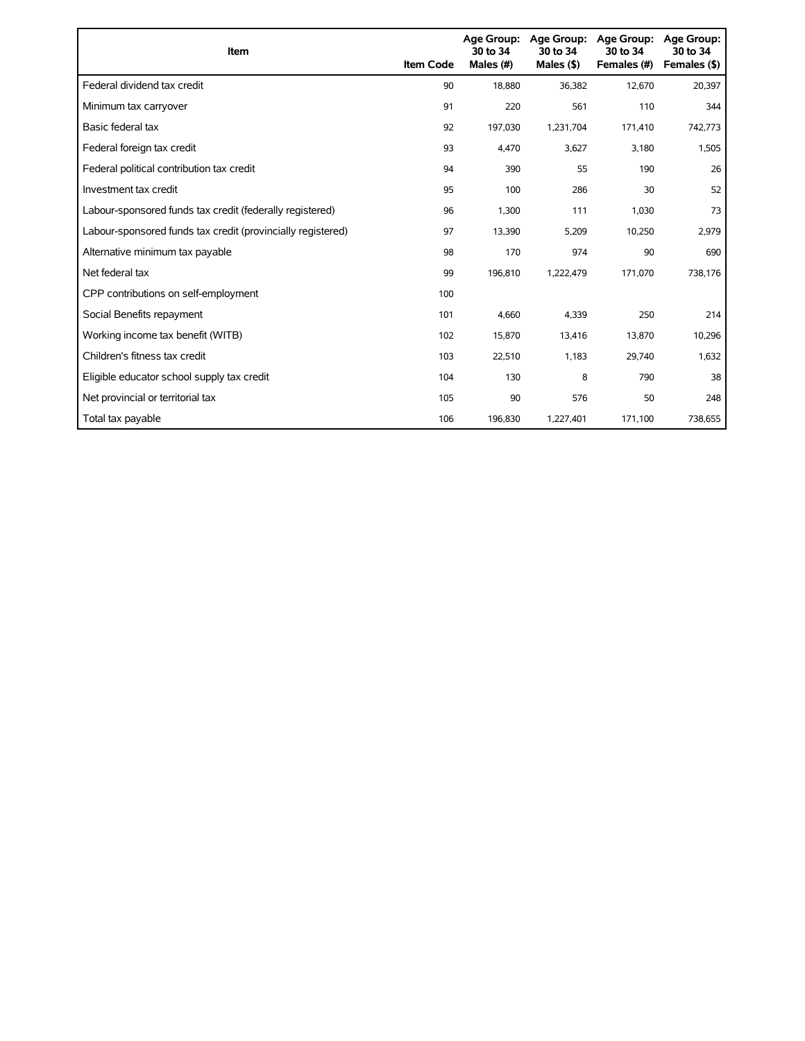| <b>Item</b>                                                 | <b>Item Code</b> | <b>Age Group:</b><br>30 to 34<br>Males (#) | Age Group:<br>30 to 34<br>Males $(§)$ | <b>Age Group:</b><br>30 to 34<br>Females (#) | <b>Age Group:</b><br>30 to 34<br>Females (\$) |
|-------------------------------------------------------------|------------------|--------------------------------------------|---------------------------------------|----------------------------------------------|-----------------------------------------------|
| Federal dividend tax credit                                 | 90               | 18,880                                     | 36,382                                | 12,670                                       | 20,397                                        |
| Minimum tax carryover                                       | 91               | 220                                        | 561                                   | 110                                          | 344                                           |
| Basic federal tax                                           | 92               | 197,030                                    | 1,231,704                             | 171,410                                      | 742,773                                       |
| Federal foreign tax credit                                  | 93               | 4,470                                      | 3,627                                 | 3,180                                        | 1,505                                         |
| Federal political contribution tax credit                   | 94               | 390                                        | 55                                    | 190                                          | 26                                            |
| Investment tax credit                                       | 95               | 100                                        | 286                                   | 30                                           | 52                                            |
| Labour-sponsored funds tax credit (federally registered)    | 96               | 1,300                                      | 111                                   | 1,030                                        | 73                                            |
| Labour-sponsored funds tax credit (provincially registered) | 97               | 13,390                                     | 5,209                                 | 10,250                                       | 2,979                                         |
| Alternative minimum tax payable                             | 98               | 170                                        | 974                                   | 90                                           | 690                                           |
| Net federal tax                                             | 99               | 196,810                                    | 1,222,479                             | 171,070                                      | 738,176                                       |
| CPP contributions on self-employment                        | 100              |                                            |                                       |                                              |                                               |
| Social Benefits repayment                                   | 101              | 4,660                                      | 4,339                                 | 250                                          | 214                                           |
| Working income tax benefit (WITB)                           | 102              | 15,870                                     | 13,416                                | 13,870                                       | 10,296                                        |
| Children's fitness tax credit                               | 103              | 22,510                                     | 1,183                                 | 29,740                                       | 1,632                                         |
| Eligible educator school supply tax credit                  | 104              | 130                                        | 8                                     | 790                                          | 38                                            |
| Net provincial or territorial tax                           | 105              | 90                                         | 576                                   | 50                                           | 248                                           |
| Total tax payable                                           | 106              | 196,830                                    | 1,227,401                             | 171,100                                      | 738,655                                       |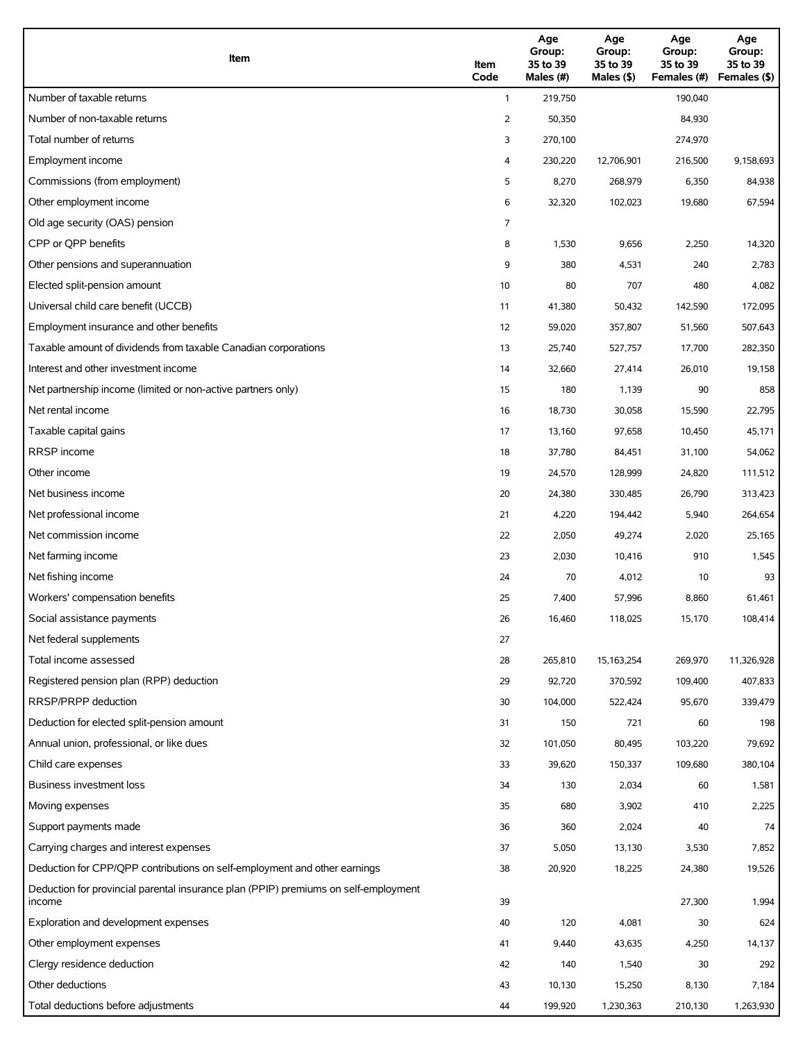| Item                                                                                          | Item<br>Code | Age<br>Group:<br>35 to 39<br>Males (#) | Age<br>Group:<br>35 to 39<br>Males (\$) | Age<br>Group:<br>35 to 39<br>Females (#) | Age<br>Group:<br>35 to 39<br>Females (\$) |
|-----------------------------------------------------------------------------------------------|--------------|----------------------------------------|-----------------------------------------|------------------------------------------|-------------------------------------------|
| Number of taxable returns                                                                     | $\mathbf{1}$ | 219,750                                |                                         | 190,040                                  |                                           |
| Number of non-taxable returns                                                                 | 2            | 50,350                                 |                                         | 84,930                                   |                                           |
| Total number of returns                                                                       | 3            | 270,100                                |                                         | 274,970                                  |                                           |
| Employment income                                                                             | 4            | 230,220                                | 12,706,901                              | 216,500                                  | 9,158,693                                 |
| Commissions (from employment)                                                                 | 5            | 8,270                                  | 268,979                                 | 6,350                                    | 84,938                                    |
| Other employment income                                                                       | 6            | 32,320                                 | 102,023                                 | 19,680                                   | 67,594                                    |
| Old age security (OAS) pension                                                                | 7            |                                        |                                         |                                          |                                           |
| CPP or QPP benefits                                                                           | 8            | 1,530                                  | 9,656                                   | 2,250                                    | 14,320                                    |
| Other pensions and superannuation                                                             | 9            | 380                                    | 4,531                                   | 240                                      | 2,783                                     |
| Elected split-pension amount                                                                  | 10           | 80                                     | 707                                     | 480                                      | 4,082                                     |
| Universal child care benefit (UCCB)                                                           | 11           | 41,380                                 | 50,432                                  | 142,590                                  | 172,095                                   |
| Employment insurance and other benefits                                                       | 12           | 59,020                                 | 357,807                                 | 51,560                                   | 507,643                                   |
| Taxable amount of dividends from taxable Canadian corporations                                | 13           | 25,740                                 | 527,757                                 | 17,700                                   | 282,350                                   |
| Interest and other investment income                                                          | 14           | 32,660                                 | 27,414                                  | 26,010                                   | 19,158                                    |
| Net partnership income (limited or non-active partners only)                                  | 15           | 180                                    | 1,139                                   | 90                                       | 858                                       |
| Net rental income                                                                             | 16           | 18,730                                 | 30,058                                  | 15,590                                   | 22,795                                    |
| Taxable capital gains                                                                         | 17           | 13,160                                 | 97,658                                  | 10,450                                   | 45,171                                    |
| <b>RRSP</b> income                                                                            | 18           | 37,780                                 | 84,451                                  | 31,100                                   | 54,062                                    |
| Other income                                                                                  | 19           | 24,570                                 | 128,999                                 | 24,820                                   | 111,512                                   |
| Net business income                                                                           | 20           | 24,380                                 | 330,485                                 | 26,790                                   | 313,423                                   |
| Net professional income                                                                       | 21           | 4,220                                  | 194,442                                 | 5,940                                    | 264,654                                   |
| Net commission income                                                                         | 22           | 2,050                                  | 49,274                                  | 2,020                                    | 25,165                                    |
| Net farming income                                                                            | 23           | 2,030                                  | 10,416                                  | 910                                      | 1,545                                     |
| Net fishing income                                                                            | 24           | 70                                     | 4,012                                   | 10                                       | 93                                        |
| Workers' compensation benefits                                                                | 25           | 7,400                                  | 57,996                                  | 8,860                                    | 61,461                                    |
| Social assistance payments                                                                    | 26           | 16,460                                 | 118,025                                 | 15,170                                   | 108,414                                   |
| Net federal supplements                                                                       | 27           |                                        |                                         |                                          |                                           |
| Total income assessed                                                                         | 28           | 265,810                                | 15, 163, 254                            | 269,970                                  | 11,326,928                                |
| Registered pension plan (RPP) deduction                                                       | 29           | 92,720                                 | 370,592                                 | 109,400                                  | 407,833                                   |
| RRSP/PRPP deduction                                                                           | 30           | 104,000                                | 522,424                                 | 95,670                                   | 339,479                                   |
| Deduction for elected split-pension amount                                                    | 31           | 150                                    | 721                                     | 60                                       | 198                                       |
| Annual union, professional, or like dues                                                      | 32           | 101,050                                | 80,495                                  | 103,220                                  | 79,692                                    |
| Child care expenses                                                                           | 33           | 39,620                                 | 150,337                                 | 109,680                                  | 380,104                                   |
| <b>Business investment loss</b>                                                               | 34           | 130                                    | 2,034                                   | 60                                       | 1,581                                     |
| Moving expenses                                                                               | 35           | 680                                    | 3,902                                   | 410                                      | 2,225                                     |
| Support payments made                                                                         | 36           | 360                                    | 2,024                                   | 40                                       | 74                                        |
| Carrying charges and interest expenses                                                        | 37           | 5,050                                  | 13,130                                  | 3,530                                    | 7,852                                     |
| Deduction for CPP/QPP contributions on self-employment and other earnings                     | 38           | 20,920                                 | 18,225                                  | 24,380                                   | 19,526                                    |
| Deduction for provincial parental insurance plan (PPIP) premiums on self-employment<br>income | 39           |                                        |                                         | 27,300                                   | 1,994                                     |
| Exploration and development expenses                                                          | 40           | 120                                    | 4,081                                   | 30                                       | 624                                       |
| Other employment expenses                                                                     | 41           | 9,440                                  | 43,635                                  | 4,250                                    | 14,137                                    |
| Clergy residence deduction                                                                    | 42           | 140                                    | 1,540                                   | 30                                       | 292                                       |
| Other deductions                                                                              | 43           | 10,130                                 | 15,250                                  | 8,130                                    | 7,184                                     |
| Total deductions before adjustments                                                           | 44           | 199,920                                | 1,230,363                               | 210,130                                  | 1,263,930                                 |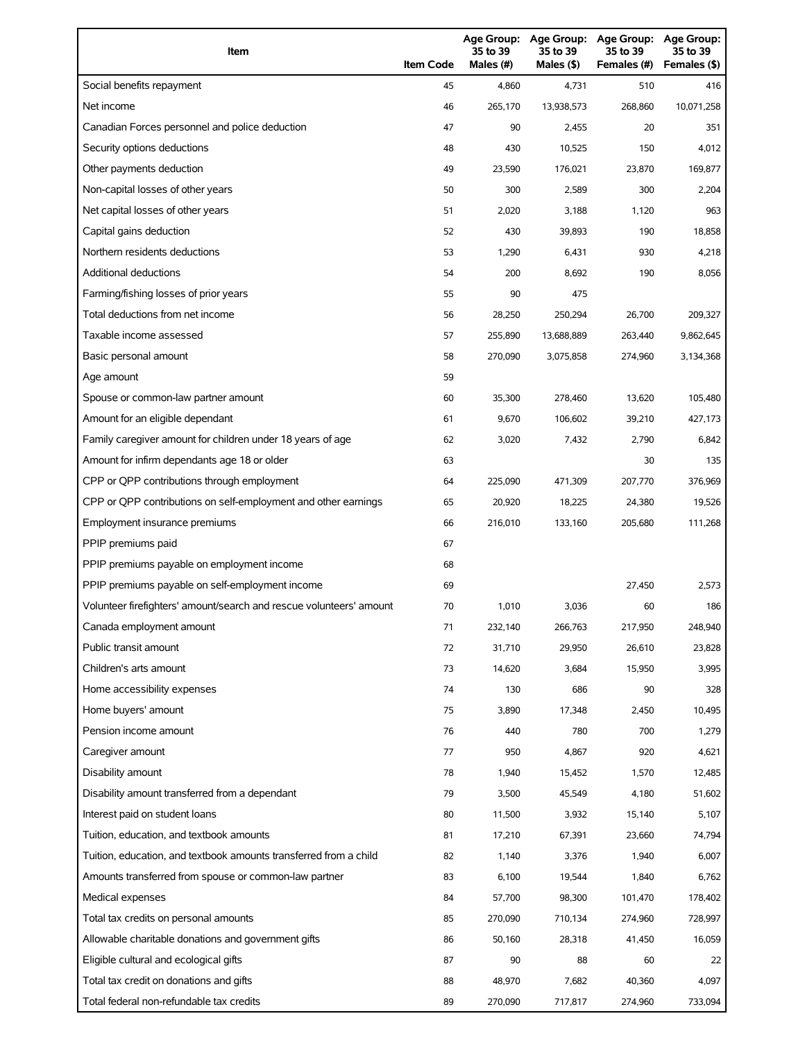| Item                                                                | <b>Item Code</b> | 35 to 39<br>Males (#) | 35 to 39<br>Males (\$) | Age Group: Age Group: Age Group:<br>35 to 39<br>Females (#) | Age Group:<br>35 to 39<br>Females (\$) |
|---------------------------------------------------------------------|------------------|-----------------------|------------------------|-------------------------------------------------------------|----------------------------------------|
| Social benefits repayment                                           | 45               | 4,860                 | 4,731                  | 510                                                         | 416                                    |
| Net income                                                          | 46               | 265,170               | 13,938,573             | 268,860                                                     | 10,071,258                             |
| Canadian Forces personnel and police deduction                      | 47               | 90                    | 2,455                  | 20                                                          | 351                                    |
| Security options deductions                                         | 48               | 430                   | 10,525                 | 150                                                         | 4,012                                  |
| Other payments deduction                                            | 49               | 23,590                | 176,021                | 23,870                                                      | 169,877                                |
| Non-capital losses of other years                                   | 50               | 300                   | 2,589                  | 300                                                         | 2,204                                  |
| Net capital losses of other years                                   | 51               | 2,020                 | 3,188                  | 1,120                                                       | 963                                    |
| Capital gains deduction                                             | 52               | 430                   | 39,893                 | 190                                                         | 18,858                                 |
| Northern residents deductions                                       | 53               | 1,290                 | 6,431                  | 930                                                         | 4,218                                  |
| Additional deductions                                               | 54               | 200                   | 8,692                  | 190                                                         | 8,056                                  |
| Farming/fishing losses of prior years                               | 55               | 90                    | 475                    |                                                             |                                        |
| Total deductions from net income                                    | 56               | 28,250                | 250,294                | 26,700                                                      | 209,327                                |
| Taxable income assessed                                             | 57               | 255,890               | 13,688,889             | 263,440                                                     | 9,862,645                              |
| Basic personal amount                                               | 58               | 270,090               | 3,075,858              | 274,960                                                     | 3,134,368                              |
| Age amount                                                          | 59               |                       |                        |                                                             |                                        |
| Spouse or common-law partner amount                                 | 60               | 35,300                | 278,460                | 13,620                                                      | 105,480                                |
| Amount for an eligible dependant                                    | 61               | 9,670                 | 106,602                | 39,210                                                      | 427,173                                |
| Family caregiver amount for children under 18 years of age          | 62               | 3,020                 | 7,432                  | 2,790                                                       | 6,842                                  |
| Amount for infirm dependants age 18 or older                        | 63               |                       |                        | 30                                                          | 135                                    |
| CPP or QPP contributions through employment                         | 64               | 225,090               | 471,309                | 207,770                                                     | 376,969                                |
| CPP or QPP contributions on self-employment and other earnings      | 65               | 20,920                | 18,225                 | 24,380                                                      | 19,526                                 |
| Employment insurance premiums                                       | 66               | 216,010               | 133,160                | 205,680                                                     | 111,268                                |
| PPIP premiums paid                                                  | 67               |                       |                        |                                                             |                                        |
| PPIP premiums payable on employment income                          | 68               |                       |                        |                                                             |                                        |
| PPIP premiums payable on self-employment income                     | 69               |                       |                        | 27,450                                                      | 2,573                                  |
| Volunteer firefighters' amount/search and rescue volunteers' amount | 70               | 1,010                 | 3,036                  | 60                                                          | 186                                    |
| Canada employment amount                                            | 71               | 232,140               | 266,763                | 217,950                                                     | 248,940                                |
| Public transit amount                                               | 72               | 31,710                | 29,950                 | 26,610                                                      | 23,828                                 |
| Children's arts amount                                              | 73               | 14,620                | 3,684                  | 15,950                                                      | 3,995                                  |
| Home accessibility expenses                                         | 74               | 130                   | 686                    | 90                                                          | 328                                    |
| Home buyers' amount                                                 | 75               | 3,890                 | 17,348                 | 2,450                                                       | 10,495                                 |
| Pension income amount                                               | 76               | 440                   | 780                    | 700                                                         | 1,279                                  |
| Caregiver amount                                                    | 77               | 950                   | 4,867                  | 920                                                         | 4,621                                  |
| Disability amount                                                   | 78               | 1,940                 | 15,452                 | 1,570                                                       | 12,485                                 |
| Disability amount transferred from a dependant                      | 79               | 3,500                 | 45,549                 | 4,180                                                       | 51,602                                 |
| Interest paid on student loans                                      | 80               | 11,500                | 3,932                  | 15,140                                                      | 5,107                                  |
| Tuition, education, and textbook amounts                            | 81               | 17,210                | 67,391                 | 23,660                                                      | 74,794                                 |
| Tuition, education, and textbook amounts transferred from a child   | 82               | 1,140                 | 3,376                  | 1,940                                                       | 6,007                                  |
| Amounts transferred from spouse or common-law partner               | 83               | 6,100                 | 19,544                 | 1,840                                                       | 6,762                                  |
| Medical expenses                                                    | 84               | 57,700                | 98,300                 | 101,470                                                     | 178,402                                |
| Total tax credits on personal amounts                               | 85               | 270,090               | 710,134                | 274,960                                                     | 728,997                                |
| Allowable charitable donations and government gifts                 | 86               | 50,160                | 28,318                 | 41,450                                                      | 16,059                                 |
| Eligible cultural and ecological gifts                              | 87               | 90                    | 88                     | 60                                                          | 22                                     |
| Total tax credit on donations and gifts                             | 88               | 48,970                | 7,682                  | 40,360                                                      | 4,097                                  |
| Total federal non-refundable tax credits                            | 89               | 270,090               | 717,817                | 274,960                                                     | 733,094                                |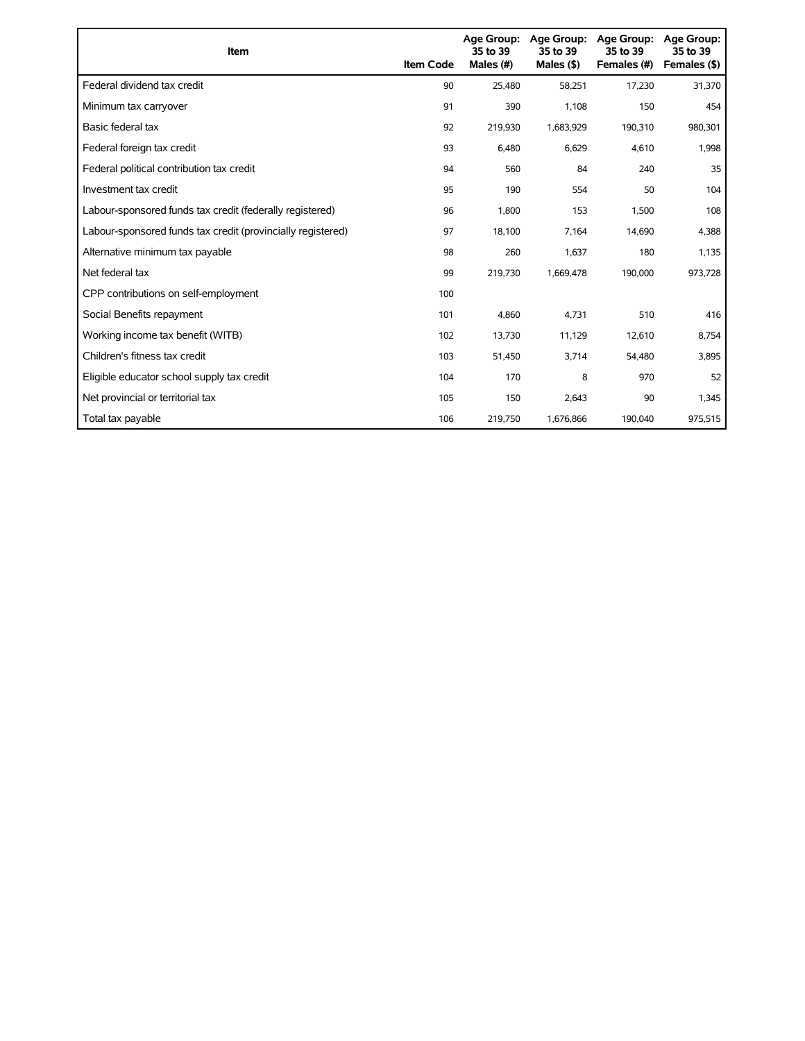| <b>Item</b>                                                 | <b>Item Code</b> | 35 to 39<br>Males (#) | Age Group: Age Group:<br>35 to 39<br>Males $(§)$ | Age Group:<br>35 to 39<br>Females (#) | Age Group:<br>35 to 39<br>Females (\$) |
|-------------------------------------------------------------|------------------|-----------------------|--------------------------------------------------|---------------------------------------|----------------------------------------|
| Federal dividend tax credit                                 | 90               | 25,480                | 58,251                                           | 17,230                                | 31,370                                 |
| Minimum tax carryover                                       | 91               | 390                   | 1,108                                            | 150                                   | 454                                    |
| Basic federal tax                                           | 92               | 219,930               | 1,683,929                                        | 190,310                               | 980,301                                |
| Federal foreign tax credit                                  | 93               | 6,480                 | 6,629                                            | 4,610                                 | 1,998                                  |
| Federal political contribution tax credit                   | 94               | 560                   | 84                                               | 240                                   | 35                                     |
| Investment tax credit                                       | 95               | 190                   | 554                                              | 50                                    | 104                                    |
| Labour-sponsored funds tax credit (federally registered)    | 96               | 1,800                 | 153                                              | 1,500                                 | 108                                    |
| Labour-sponsored funds tax credit (provincially registered) | 97               | 18,100                | 7,164                                            | 14,690                                | 4,388                                  |
| Alternative minimum tax payable                             | 98               | 260                   | 1,637                                            | 180                                   | 1,135                                  |
| Net federal tax                                             | 99               | 219,730               | 1,669,478                                        | 190,000                               | 973,728                                |
| CPP contributions on self-employment                        | 100              |                       |                                                  |                                       |                                        |
| Social Benefits repayment                                   | 101              | 4,860                 | 4,731                                            | 510                                   | 416                                    |
| Working income tax benefit (WITB)                           | 102              | 13,730                | 11,129                                           | 12,610                                | 8,754                                  |
| Children's fitness tax credit                               | 103              | 51,450                | 3,714                                            | 54,480                                | 3,895                                  |
| Eligible educator school supply tax credit                  | 104              | 170                   | 8                                                | 970                                   | 52                                     |
| Net provincial or territorial tax                           | 105              | 150                   | 2,643                                            | 90                                    | 1,345                                  |
| Total tax payable                                           | 106              | 219,750               | 1,676,866                                        | 190,040                               | 975,515                                |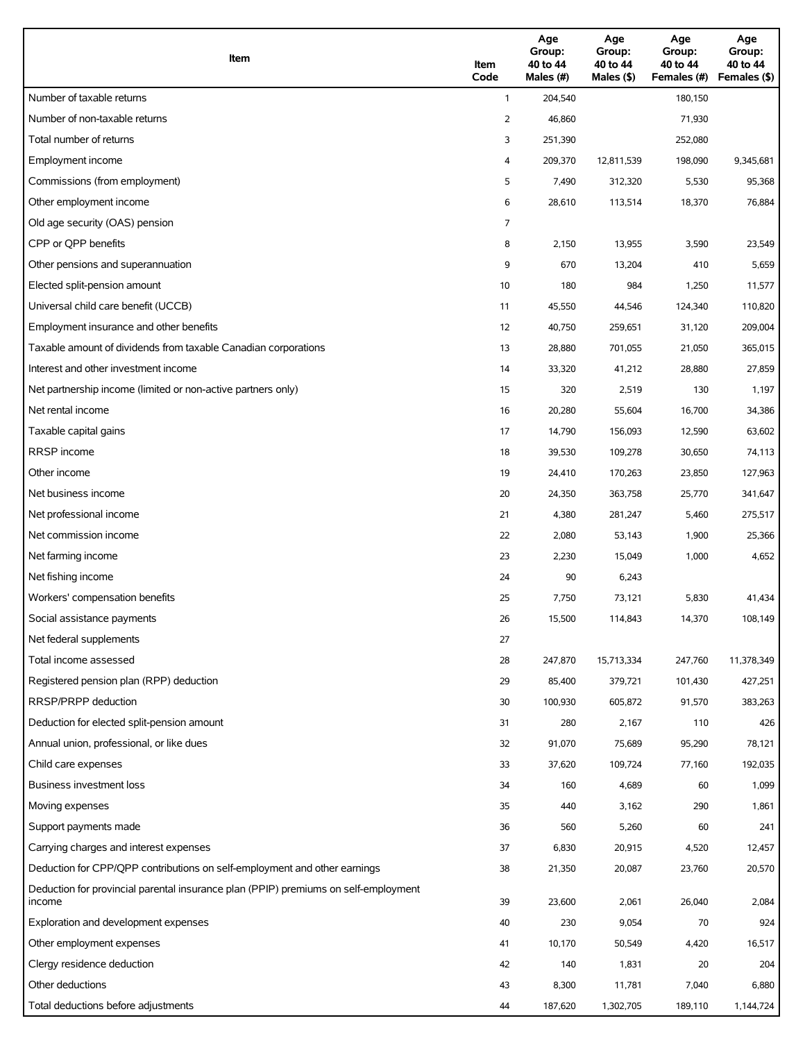| Item                                                                                          | Item<br>Code | Age<br>Group:<br>40 to 44<br>Males (#) | Age<br>Group:<br>40 to 44<br>Males (\$) | Age<br>Group:<br>40 to 44<br>Females (#) | Age<br>Group:<br>40 to 44<br>Females (\$) |
|-----------------------------------------------------------------------------------------------|--------------|----------------------------------------|-----------------------------------------|------------------------------------------|-------------------------------------------|
| Number of taxable returns                                                                     | $\mathbf{1}$ | 204,540                                |                                         | 180,150                                  |                                           |
| Number of non-taxable returns                                                                 | 2            | 46,860                                 |                                         | 71,930                                   |                                           |
| Total number of returns                                                                       | 3            | 251,390                                |                                         | 252,080                                  |                                           |
| Employment income                                                                             | 4            | 209,370                                | 12,811,539                              | 198,090                                  | 9,345,681                                 |
| Commissions (from employment)                                                                 | 5            | 7,490                                  | 312,320                                 | 5,530                                    | 95,368                                    |
| Other employment income                                                                       | 6            | 28,610                                 | 113,514                                 | 18,370                                   | 76,884                                    |
| Old age security (OAS) pension                                                                | 7            |                                        |                                         |                                          |                                           |
| CPP or QPP benefits                                                                           | 8            | 2,150                                  | 13,955                                  | 3,590                                    | 23,549                                    |
| Other pensions and superannuation                                                             | 9            | 670                                    | 13,204                                  | 410                                      | 5,659                                     |
| Elected split-pension amount                                                                  | 10           | 180                                    | 984                                     | 1,250                                    | 11,577                                    |
| Universal child care benefit (UCCB)                                                           | 11           | 45,550                                 | 44,546                                  | 124,340                                  | 110,820                                   |
| Employment insurance and other benefits                                                       | 12           | 40,750                                 | 259,651                                 | 31,120                                   | 209,004                                   |
| Taxable amount of dividends from taxable Canadian corporations                                | 13           | 28,880                                 | 701,055                                 | 21,050                                   | 365,015                                   |
| Interest and other investment income                                                          | 14           | 33,320                                 | 41,212                                  | 28,880                                   | 27,859                                    |
| Net partnership income (limited or non-active partners only)                                  | 15           | 320                                    | 2,519                                   | 130                                      | 1,197                                     |
| Net rental income                                                                             | 16           | 20,280                                 | 55,604                                  | 16,700                                   | 34,386                                    |
| Taxable capital gains                                                                         | 17           | 14,790                                 | 156,093                                 | 12,590                                   | 63,602                                    |
| <b>RRSP</b> income                                                                            | 18           | 39,530                                 | 109,278                                 | 30,650                                   | 74,113                                    |
| Other income                                                                                  | 19           | 24,410                                 | 170,263                                 | 23,850                                   | 127,963                                   |
| Net business income                                                                           | 20           | 24,350                                 | 363,758                                 | 25,770                                   | 341,647                                   |
| Net professional income                                                                       | 21           | 4,380                                  | 281,247                                 | 5,460                                    | 275,517                                   |
| Net commission income                                                                         | 22           | 2,080                                  | 53,143                                  | 1,900                                    | 25,366                                    |
| Net farming income                                                                            | 23           | 2,230                                  | 15,049                                  | 1,000                                    | 4,652                                     |
| Net fishing income                                                                            | 24           | 90                                     | 6,243                                   |                                          |                                           |
| Workers' compensation benefits                                                                | 25           | 7,750                                  | 73,121                                  | 5,830                                    | 41,434                                    |
| Social assistance payments                                                                    | 26           | 15,500                                 | 114,843                                 | 14,370                                   | 108,149                                   |
| Net federal supplements                                                                       | 27           |                                        |                                         |                                          |                                           |
| Total income assessed                                                                         | 28           | 247,870                                | 15,713,334                              | 247,760                                  | 11,378,349                                |
| Registered pension plan (RPP) deduction                                                       | 29           | 85,400                                 | 379,721                                 | 101,430                                  | 427,251                                   |
| RRSP/PRPP deduction                                                                           | 30           | 100,930                                | 605,872                                 | 91,570                                   | 383,263                                   |
| Deduction for elected split-pension amount                                                    | 31           | 280                                    | 2,167                                   | 110                                      | 426                                       |
| Annual union, professional, or like dues                                                      | 32           | 91,070                                 | 75,689                                  | 95,290                                   | 78,121                                    |
| Child care expenses                                                                           | 33           | 37,620                                 | 109,724                                 | 77,160                                   | 192,035                                   |
| Business investment loss                                                                      | 34           | 160                                    | 4,689                                   | 60                                       | 1,099                                     |
| Moving expenses                                                                               | 35           | 440                                    | 3,162                                   | 290                                      | 1,861                                     |
| Support payments made                                                                         | 36           | 560                                    | 5,260                                   | 60                                       | 241                                       |
| Carrying charges and interest expenses                                                        | 37           | 6,830                                  | 20,915                                  | 4,520                                    | 12,457                                    |
| Deduction for CPP/QPP contributions on self-employment and other earnings                     | 38           | 21,350                                 | 20,087                                  | 23,760                                   | 20,570                                    |
| Deduction for provincial parental insurance plan (PPIP) premiums on self-employment<br>income | 39           | 23,600                                 | 2,061                                   | 26,040                                   | 2,084                                     |
| Exploration and development expenses                                                          | 40           | 230                                    | 9,054                                   | 70                                       | 924                                       |
| Other employment expenses                                                                     | 41           | 10,170                                 | 50,549                                  | 4,420                                    | 16,517                                    |
| Clergy residence deduction                                                                    | 42           | 140                                    | 1,831                                   | 20                                       | 204                                       |
| Other deductions                                                                              | 43           | 8,300                                  | 11,781                                  | 7,040                                    | 6,880                                     |
| Total deductions before adjustments                                                           | 44           | 187,620                                | 1,302,705                               | 189,110                                  | 1,144,724                                 |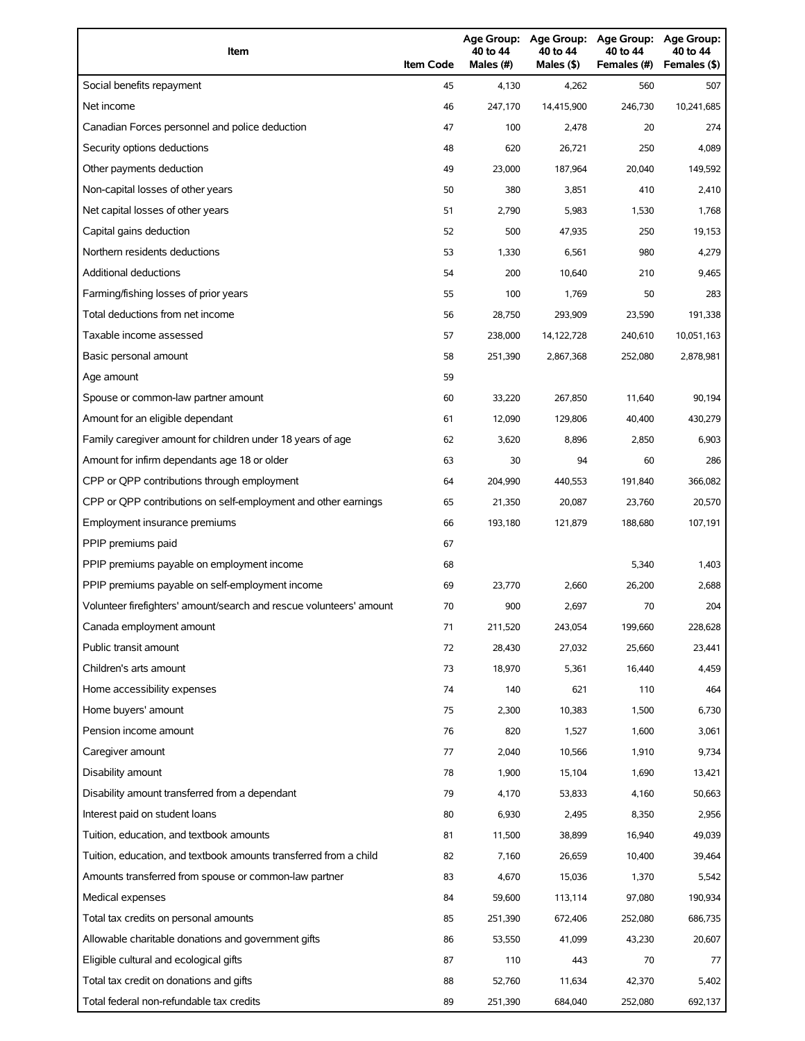| Item                                                                | <b>Item Code</b> | 40 to 44<br>Males (#) | 40 to 44<br>Males (\$) | Age Group: Age Group: Age Group:<br>40 to 44<br>Females (#) | Age Group:<br>40 to 44<br>Females (\$) |
|---------------------------------------------------------------------|------------------|-----------------------|------------------------|-------------------------------------------------------------|----------------------------------------|
| Social benefits repayment                                           | 45               | 4,130                 | 4,262                  | 560                                                         | 507                                    |
| Net income                                                          | 46               | 247,170               | 14,415,900             | 246,730                                                     | 10,241,685                             |
| Canadian Forces personnel and police deduction                      | 47               | 100                   | 2,478                  | 20                                                          | 274                                    |
| Security options deductions                                         | 48               | 620                   | 26,721                 | 250                                                         | 4,089                                  |
| Other payments deduction                                            | 49               | 23,000                | 187,964                | 20,040                                                      | 149,592                                |
| Non-capital losses of other years                                   | 50               | 380                   | 3,851                  | 410                                                         | 2,410                                  |
| Net capital losses of other years                                   | 51               | 2,790                 | 5,983                  | 1,530                                                       | 1,768                                  |
| Capital gains deduction                                             | 52               | 500                   | 47,935                 | 250                                                         | 19,153                                 |
| Northern residents deductions                                       | 53               | 1,330                 | 6,561                  | 980                                                         | 4,279                                  |
| Additional deductions                                               | 54               | 200                   | 10,640                 | 210                                                         | 9,465                                  |
| Farming/fishing losses of prior years                               | 55               | 100                   | 1,769                  | 50                                                          | 283                                    |
| Total deductions from net income                                    | 56               | 28,750                | 293,909                | 23,590                                                      | 191,338                                |
| Taxable income assessed                                             | 57               | 238,000               | 14,122,728             | 240,610                                                     | 10,051,163                             |
| Basic personal amount                                               | 58               | 251,390               | 2,867,368              | 252,080                                                     | 2,878,981                              |
| Age amount                                                          | 59               |                       |                        |                                                             |                                        |
| Spouse or common-law partner amount                                 | 60               | 33,220                | 267,850                | 11,640                                                      | 90,194                                 |
| Amount for an eligible dependant                                    | 61               | 12,090                | 129,806                | 40,400                                                      | 430,279                                |
| Family caregiver amount for children under 18 years of age          | 62               | 3,620                 | 8,896                  | 2,850                                                       | 6,903                                  |
| Amount for infirm dependants age 18 or older                        | 63               | 30                    | 94                     | 60                                                          | 286                                    |
| CPP or QPP contributions through employment                         | 64               | 204,990               | 440,553                | 191,840                                                     | 366,082                                |
| CPP or QPP contributions on self-employment and other earnings      | 65               | 21,350                | 20,087                 | 23,760                                                      | 20,570                                 |
| Employment insurance premiums                                       | 66               | 193,180               | 121,879                | 188,680                                                     | 107,191                                |
| PPIP premiums paid                                                  | 67               |                       |                        |                                                             |                                        |
| PPIP premiums payable on employment income                          | 68               |                       |                        | 5,340                                                       | 1,403                                  |
| PPIP premiums payable on self-employment income                     | 69               | 23,770                | 2,660                  | 26,200                                                      | 2,688                                  |
| Volunteer firefighters' amount/search and rescue volunteers' amount | 70               | 900                   | 2,697                  | 70                                                          | 204                                    |
| Canada employment amount                                            | 71               | 211,520               | 243,054                | 199,660                                                     | 228,628                                |
| Public transit amount                                               | 72               | 28,430                | 27,032                 | 25,660                                                      | 23,441                                 |
| Children's arts amount                                              | 73               | 18,970                | 5,361                  | 16,440                                                      | 4,459                                  |
| Home accessibility expenses                                         | 74               | 140                   | 621                    | 110                                                         | 464                                    |
| Home buyers' amount                                                 | 75               | 2,300                 | 10,383                 | 1,500                                                       | 6,730                                  |
| Pension income amount                                               | 76               | 820                   | 1,527                  | 1,600                                                       | 3,061                                  |
| Caregiver amount                                                    | 77               | 2,040                 | 10,566                 | 1,910                                                       | 9,734                                  |
| Disability amount                                                   | 78               | 1,900                 | 15,104                 | 1,690                                                       | 13,421                                 |
| Disability amount transferred from a dependant                      | 79               | 4,170                 | 53,833                 | 4,160                                                       | 50,663                                 |
| Interest paid on student loans                                      | 80               | 6,930                 | 2,495                  | 8,350                                                       | 2,956                                  |
| Tuition, education, and textbook amounts                            | 81               | 11,500                | 38,899                 | 16,940                                                      | 49,039                                 |
| Tuition, education, and textbook amounts transferred from a child   | 82               | 7,160                 | 26,659                 | 10,400                                                      | 39,464                                 |
| Amounts transferred from spouse or common-law partner               | 83               | 4,670                 | 15,036                 | 1,370                                                       | 5,542                                  |
| Medical expenses                                                    | 84               | 59,600                | 113,114                | 97,080                                                      | 190,934                                |
| Total tax credits on personal amounts                               | 85               | 251,390               | 672,406                | 252,080                                                     | 686,735                                |
| Allowable charitable donations and government gifts                 | 86               | 53,550                | 41,099                 | 43,230                                                      | 20,607                                 |
| Eligible cultural and ecological gifts                              | 87               | 110                   | 443                    | 70                                                          | 77                                     |
| Total tax credit on donations and gifts                             | 88               | 52,760                | 11,634                 | 42,370                                                      | 5,402                                  |
| Total federal non-refundable tax credits                            | 89               | 251,390               | 684,040                | 252,080                                                     | 692,137                                |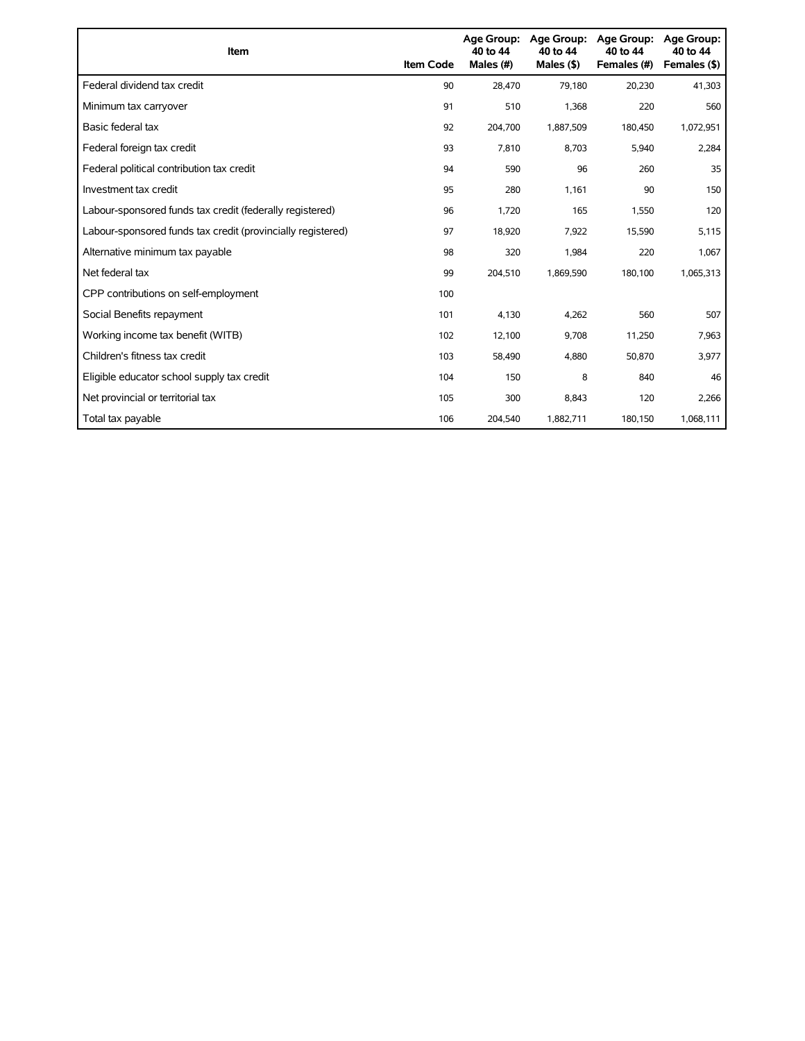| Item                                                        | <b>Item Code</b> | <b>Age Group:</b><br>40 to 44<br>Males (#) | Age Group:<br>40 to 44<br>Males $(§)$ | <b>Age Group:</b><br>40 to 44<br>Females (#) | <b>Age Group:</b><br>40 to 44<br>Females (\$) |
|-------------------------------------------------------------|------------------|--------------------------------------------|---------------------------------------|----------------------------------------------|-----------------------------------------------|
| Federal dividend tax credit                                 | 90               | 28,470                                     | 79.180                                | 20,230                                       | 41,303                                        |
| Minimum tax carryover                                       | 91               | 510                                        | 1,368                                 | 220                                          | 560                                           |
| Basic federal tax                                           | 92               | 204,700                                    | 1,887,509                             | 180,450                                      | 1,072,951                                     |
| Federal foreign tax credit                                  | 93               | 7,810                                      | 8,703                                 | 5,940                                        | 2,284                                         |
| Federal political contribution tax credit                   | 94               | 590                                        | 96                                    | 260                                          | 35                                            |
| Investment tax credit                                       | 95               | 280                                        | 1,161                                 | 90                                           | 150                                           |
| Labour-sponsored funds tax credit (federally registered)    | 96               | 1.720                                      | 165                                   | 1,550                                        | 120                                           |
| Labour-sponsored funds tax credit (provincially registered) | 97               | 18,920                                     | 7,922                                 | 15,590                                       | 5,115                                         |
| Alternative minimum tax payable                             | 98               | 320                                        | 1,984                                 | 220                                          | 1,067                                         |
| Net federal tax                                             | 99               | 204,510                                    | 1,869,590                             | 180,100                                      | 1,065,313                                     |
| CPP contributions on self-employment                        | 100              |                                            |                                       |                                              |                                               |
| Social Benefits repayment                                   | 101              | 4,130                                      | 4,262                                 | 560                                          | 507                                           |
| Working income tax benefit (WITB)                           | 102              | 12,100                                     | 9,708                                 | 11,250                                       | 7,963                                         |
| Children's fitness tax credit                               | 103              | 58,490                                     | 4,880                                 | 50,870                                       | 3,977                                         |
| Eligible educator school supply tax credit                  | 104              | 150                                        | 8                                     | 840                                          | 46                                            |
| Net provincial or territorial tax                           | 105              | 300                                        | 8,843                                 | 120                                          | 2,266                                         |
| Total tax payable                                           | 106              | 204,540                                    | 1,882,711                             | 180,150                                      | 1,068,111                                     |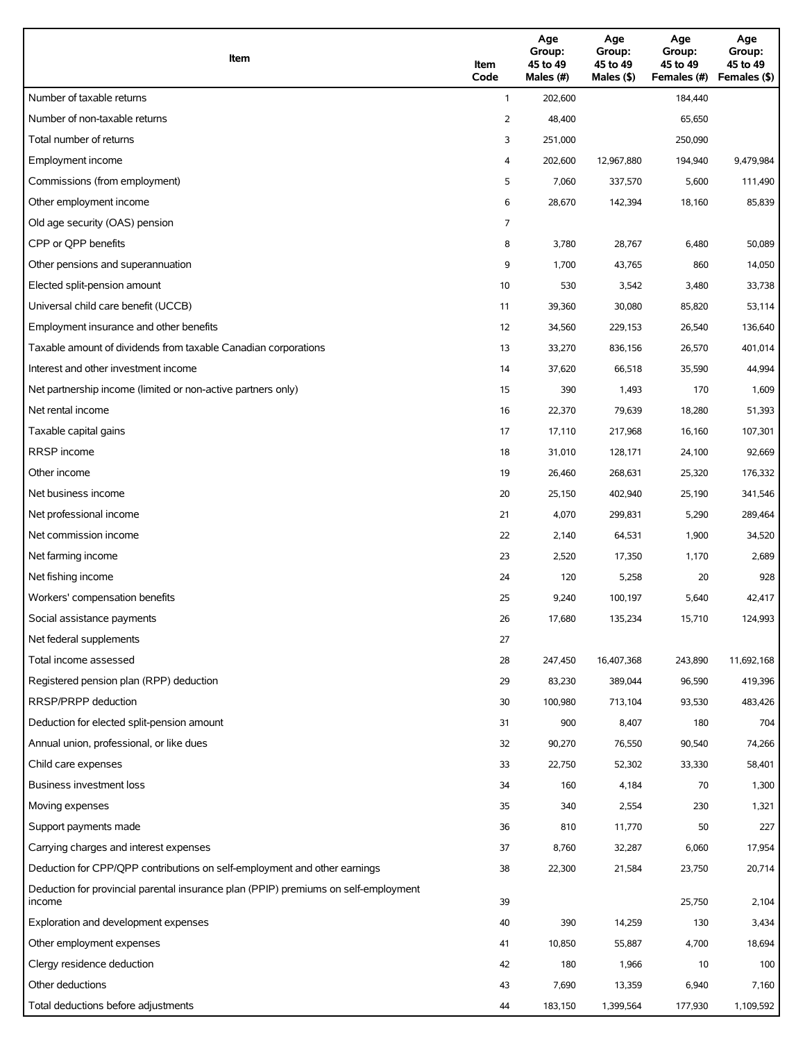| Item                                                                                          | Item<br>Code | Age<br>Group:<br>45 to 49<br>Males (#) | Age<br>Group:<br>45 to 49<br>Males (\$) | Age<br>Group:<br>45 to 49<br>Females (#) | Age<br>Group:<br>45 to 49<br>Females (\$) |
|-----------------------------------------------------------------------------------------------|--------------|----------------------------------------|-----------------------------------------|------------------------------------------|-------------------------------------------|
| Number of taxable returns                                                                     | $\mathbf{1}$ | 202,600                                |                                         | 184,440                                  |                                           |
| Number of non-taxable returns                                                                 | 2            | 48,400                                 |                                         | 65,650                                   |                                           |
| Total number of returns                                                                       | 3            | 251,000                                |                                         | 250,090                                  |                                           |
| Employment income                                                                             | 4            | 202,600                                | 12,967,880                              | 194,940                                  | 9,479,984                                 |
| Commissions (from employment)                                                                 | 5            | 7,060                                  | 337,570                                 | 5,600                                    | 111,490                                   |
| Other employment income                                                                       | 6            | 28,670                                 | 142,394                                 | 18,160                                   | 85,839                                    |
| Old age security (OAS) pension                                                                | 7            |                                        |                                         |                                          |                                           |
| CPP or QPP benefits                                                                           | 8            | 3,780                                  | 28,767                                  | 6,480                                    | 50,089                                    |
| Other pensions and superannuation                                                             | 9            | 1,700                                  | 43,765                                  | 860                                      | 14,050                                    |
| Elected split-pension amount                                                                  | 10           | 530                                    | 3,542                                   | 3,480                                    | 33,738                                    |
| Universal child care benefit (UCCB)                                                           | 11           | 39,360                                 | 30,080                                  | 85,820                                   | 53,114                                    |
| Employment insurance and other benefits                                                       | 12           | 34,560                                 | 229,153                                 | 26,540                                   | 136,640                                   |
| Taxable amount of dividends from taxable Canadian corporations                                | 13           | 33,270                                 | 836,156                                 | 26,570                                   | 401,014                                   |
| Interest and other investment income                                                          | 14           | 37,620                                 | 66,518                                  | 35,590                                   | 44,994                                    |
| Net partnership income (limited or non-active partners only)                                  | 15           | 390                                    | 1,493                                   | 170                                      | 1,609                                     |
| Net rental income                                                                             | 16           | 22,370                                 | 79,639                                  | 18,280                                   | 51,393                                    |
| Taxable capital gains                                                                         | 17           | 17,110                                 | 217,968                                 | 16,160                                   | 107,301                                   |
| <b>RRSP</b> income                                                                            | 18           | 31,010                                 | 128,171                                 | 24,100                                   | 92,669                                    |
| Other income                                                                                  | 19           | 26,460                                 | 268,631                                 | 25,320                                   | 176,332                                   |
| Net business income                                                                           | 20           | 25,150                                 | 402,940                                 | 25,190                                   | 341,546                                   |
| Net professional income                                                                       | 21           | 4,070                                  | 299,831                                 | 5,290                                    | 289,464                                   |
| Net commission income                                                                         | 22           | 2,140                                  | 64,531                                  | 1,900                                    | 34,520                                    |
| Net farming income                                                                            | 23           | 2,520                                  | 17,350                                  | 1,170                                    | 2,689                                     |
| Net fishing income                                                                            | 24           | 120                                    | 5,258                                   | 20                                       | 928                                       |
| Workers' compensation benefits                                                                | 25           | 9,240                                  | 100,197                                 | 5,640                                    | 42,417                                    |
| Social assistance payments                                                                    | 26           | 17,680                                 | 135,234                                 | 15,710                                   | 124,993                                   |
| Net federal supplements                                                                       | 27           |                                        |                                         |                                          |                                           |
| Total income assessed                                                                         | 28           | 247,450                                | 16,407,368                              | 243,890                                  | 11,692,168                                |
| Registered pension plan (RPP) deduction                                                       | 29           | 83,230                                 | 389,044                                 | 96,590                                   | 419,396                                   |
| RRSP/PRPP deduction                                                                           | 30           | 100,980                                | 713,104                                 | 93,530                                   | 483,426                                   |
| Deduction for elected split-pension amount                                                    | 31           | 900                                    | 8,407                                   | 180                                      | 704                                       |
| Annual union, professional, or like dues                                                      | 32           | 90,270                                 | 76,550                                  | 90,540                                   | 74,266                                    |
| Child care expenses                                                                           | 33           | 22,750                                 | 52,302                                  | 33,330                                   | 58,401                                    |
| Business investment loss                                                                      | 34           | 160                                    | 4,184                                   | 70                                       | 1,300                                     |
| Moving expenses                                                                               | 35           | 340                                    | 2,554                                   | 230                                      | 1,321                                     |
| Support payments made                                                                         | 36           | 810                                    | 11,770                                  | 50                                       | 227                                       |
| Carrying charges and interest expenses                                                        | 37           | 8,760                                  | 32,287                                  | 6,060                                    | 17,954                                    |
| Deduction for CPP/QPP contributions on self-employment and other earnings                     | 38           | 22,300                                 | 21,584                                  | 23,750                                   | 20,714                                    |
| Deduction for provincial parental insurance plan (PPIP) premiums on self-employment<br>income | 39           |                                        |                                         | 25,750                                   | 2,104                                     |
| Exploration and development expenses                                                          | 40           | 390                                    | 14,259                                  | 130                                      | 3,434                                     |
| Other employment expenses                                                                     | 41           | 10,850                                 | 55,887                                  | 4,700                                    | 18,694                                    |
| Clergy residence deduction                                                                    | 42           | 180                                    | 1,966                                   | 10                                       | 100                                       |
| Other deductions                                                                              | 43           | 7,690                                  | 13,359                                  | 6,940                                    | 7,160                                     |
| Total deductions before adjustments                                                           | 44           | 183,150                                | 1,399,564                               | 177,930                                  | 1,109,592                                 |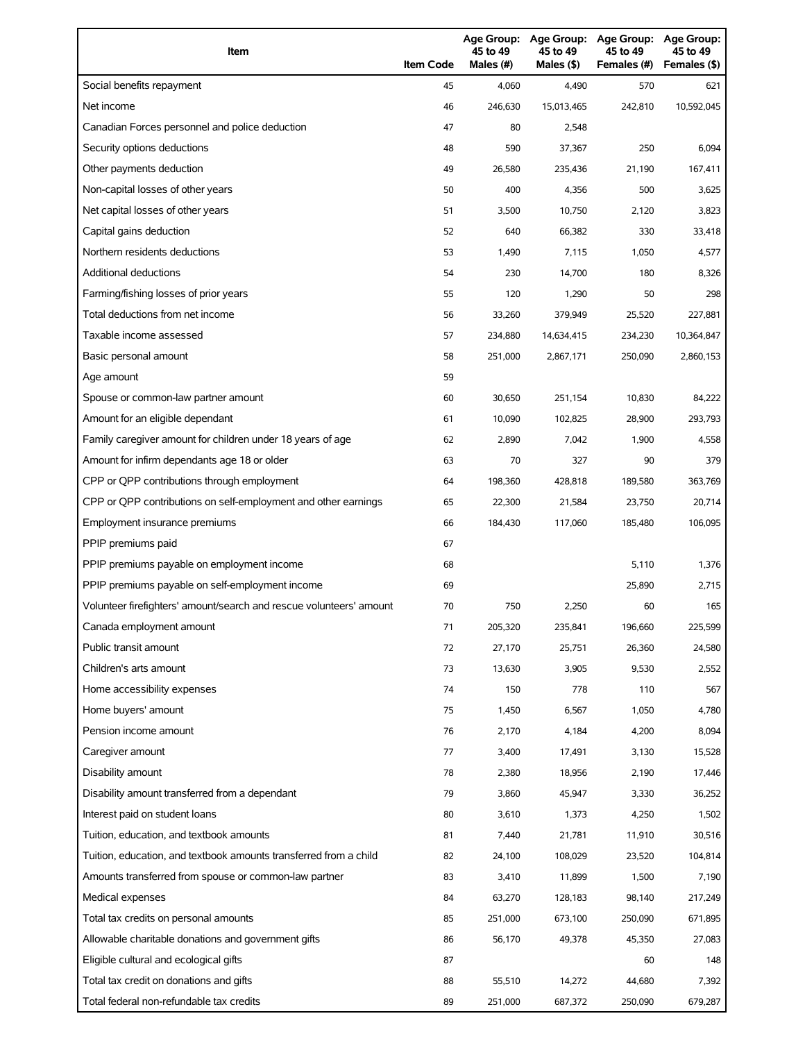| Item                                                                | <b>Item Code</b> | Age Group:<br>45 to 49<br>Males (#) | Age Group:<br>45 to 49<br>Males (\$) | <b>Age Group:</b><br>45 to 49<br>Females (#) | <b>Age Group:</b><br>45 to 49<br>Females (\$) |
|---------------------------------------------------------------------|------------------|-------------------------------------|--------------------------------------|----------------------------------------------|-----------------------------------------------|
| Social benefits repayment                                           | 45               | 4,060                               | 4,490                                | 570                                          | 621                                           |
| Net income                                                          | 46               | 246.630                             | 15,013,465                           | 242,810                                      | 10,592,045                                    |
| Canadian Forces personnel and police deduction                      | 47               | 80                                  | 2,548                                |                                              |                                               |
| Security options deductions                                         | 48               | 590                                 | 37,367                               | 250                                          | 6,094                                         |
| Other payments deduction                                            | 49               | 26,580                              | 235,436                              | 21,190                                       | 167,411                                       |
| Non-capital losses of other years                                   | 50               | 400                                 | 4,356                                | 500                                          | 3,625                                         |
| Net capital losses of other years                                   | 51               | 3,500                               | 10,750                               | 2,120                                        | 3,823                                         |
| Capital gains deduction                                             | 52               | 640                                 | 66,382                               | 330                                          | 33,418                                        |
| Northern residents deductions                                       | 53               | 1,490                               | 7,115                                | 1,050                                        | 4,577                                         |
| <b>Additional deductions</b>                                        | 54               | 230                                 | 14,700                               | 180                                          | 8,326                                         |
| Farming/fishing losses of prior years                               | 55               | 120                                 | 1,290                                | 50                                           | 298                                           |
| Total deductions from net income                                    | 56               | 33,260                              | 379,949                              | 25,520                                       | 227,881                                       |
| Taxable income assessed                                             | 57               | 234,880                             | 14,634,415                           | 234,230                                      | 10,364,847                                    |
| Basic personal amount                                               | 58               | 251,000                             | 2,867,171                            | 250,090                                      | 2,860,153                                     |
| Age amount                                                          | 59               |                                     |                                      |                                              |                                               |
| Spouse or common-law partner amount                                 | 60               | 30,650                              | 251,154                              | 10,830                                       | 84,222                                        |
| Amount for an eligible dependant                                    | 61               | 10,090                              | 102,825                              | 28,900                                       | 293,793                                       |
| Family caregiver amount for children under 18 years of age          | 62               | 2,890                               | 7,042                                | 1,900                                        | 4,558                                         |
| Amount for infirm dependants age 18 or older                        | 63               | 70                                  | 327                                  | 90                                           | 379                                           |
| CPP or QPP contributions through employment                         | 64               | 198,360                             | 428,818                              | 189,580                                      | 363,769                                       |
| CPP or QPP contributions on self-employment and other earnings      | 65               | 22,300                              | 21,584                               | 23,750                                       | 20,714                                        |
| Employment insurance premiums                                       | 66               | 184,430                             | 117,060                              | 185,480                                      | 106,095                                       |
| PPIP premiums paid                                                  | 67               |                                     |                                      |                                              |                                               |
| PPIP premiums payable on employment income                          | 68               |                                     |                                      | 5,110                                        | 1,376                                         |
| PPIP premiums payable on self-employment income                     | 69               |                                     |                                      | 25,890                                       | 2,715                                         |
| Volunteer firefighters' amount/search and rescue volunteers' amount | 70               | 750                                 | 2,250                                | 60                                           | 165                                           |
| Canada employment amount                                            | 71               | 205,320                             | 235,841                              | 196,660                                      | 225,599                                       |
| Public transit amount                                               | 72               | 27,170                              | 25,751                               | 26,360                                       | 24,580                                        |
| Children's arts amount                                              | 73               | 13,630                              | 3,905                                | 9,530                                        | 2,552                                         |
| Home accessibility expenses                                         | 74               | 150                                 | 778                                  | 110                                          | 567                                           |
| Home buyers' amount                                                 | 75               | 1,450                               | 6,567                                | 1,050                                        | 4,780                                         |
| Pension income amount                                               | 76               | 2,170                               | 4,184                                | 4,200                                        | 8,094                                         |
| Caregiver amount                                                    | 77               | 3,400                               | 17,491                               | 3,130                                        | 15,528                                        |
| Disability amount                                                   | 78               | 2,380                               | 18,956                               | 2,190                                        | 17,446                                        |
| Disability amount transferred from a dependant                      | 79               | 3,860                               | 45,947                               | 3,330                                        | 36,252                                        |
| Interest paid on student loans                                      | 80               | 3,610                               | 1,373                                | 4,250                                        | 1,502                                         |
| Tuition, education, and textbook amounts                            | 81               | 7,440                               | 21,781                               | 11,910                                       | 30,516                                        |
| Tuition, education, and textbook amounts transferred from a child   | 82               | 24,100                              | 108,029                              | 23,520                                       | 104,814                                       |
| Amounts transferred from spouse or common-law partner               | 83               | 3,410                               | 11,899                               | 1,500                                        | 7,190                                         |
| Medical expenses                                                    | 84               | 63,270                              | 128,183                              | 98,140                                       | 217,249                                       |
| Total tax credits on personal amounts                               | 85               | 251,000                             | 673,100                              | 250,090                                      | 671,895                                       |
| Allowable charitable donations and government gifts                 | 86               | 56,170                              | 49,378                               | 45,350                                       | 27,083                                        |
| Eligible cultural and ecological gifts                              | 87               |                                     |                                      | 60                                           | 148                                           |
| Total tax credit on donations and gifts                             | 88               | 55,510                              | 14,272                               | 44,680                                       | 7,392                                         |
| Total federal non-refundable tax credits                            | 89               | 251,000                             | 687,372                              | 250,090                                      | 679,287                                       |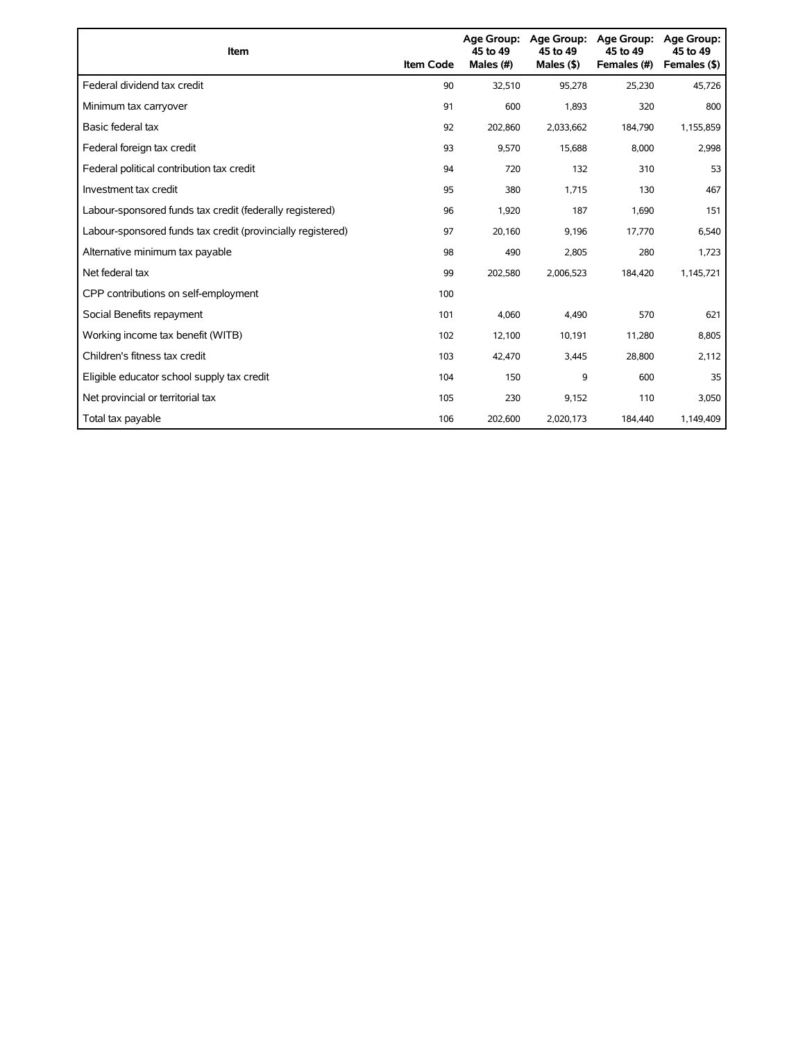| Item                                                        | <b>Item Code</b> | <b>Age Group:</b><br>45 to 49<br>Males (#) | Age Group:<br>45 to 49<br>Males $(§)$ | <b>Age Group:</b><br>45 to 49<br>Females (#) | <b>Age Group:</b><br>45 to 49<br>Females (\$) |
|-------------------------------------------------------------|------------------|--------------------------------------------|---------------------------------------|----------------------------------------------|-----------------------------------------------|
| Federal dividend tax credit                                 | 90               | 32,510                                     | 95,278                                | 25,230                                       | 45,726                                        |
| Minimum tax carryover                                       | 91               | 600                                        | 1,893                                 | 320                                          | 800                                           |
| Basic federal tax                                           | 92               | 202,860                                    | 2,033,662                             | 184,790                                      | 1,155,859                                     |
| Federal foreign tax credit                                  | 93               | 9,570                                      | 15,688                                | 8,000                                        | 2,998                                         |
| Federal political contribution tax credit                   | 94               | 720                                        | 132                                   | 310                                          | 53                                            |
| Investment tax credit                                       | 95               | 380                                        | 1,715                                 | 130                                          | 467                                           |
| Labour-sponsored funds tax credit (federally registered)    | 96               | 1,920                                      | 187                                   | 1,690                                        | 151                                           |
| Labour-sponsored funds tax credit (provincially registered) | 97               | 20,160                                     | 9,196                                 | 17,770                                       | 6,540                                         |
| Alternative minimum tax payable                             | 98               | 490                                        | 2,805                                 | 280                                          | 1,723                                         |
| Net federal tax                                             | 99               | 202,580                                    | 2,006,523                             | 184,420                                      | 1,145,721                                     |
| CPP contributions on self-employment                        | 100              |                                            |                                       |                                              |                                               |
| Social Benefits repayment                                   | 101              | 4,060                                      | 4,490                                 | 570                                          | 621                                           |
| Working income tax benefit (WITB)                           | 102              | 12,100                                     | 10,191                                | 11,280                                       | 8,805                                         |
| Children's fitness tax credit                               | 103              | 42,470                                     | 3,445                                 | 28,800                                       | 2,112                                         |
| Eligible educator school supply tax credit                  | 104              | 150                                        | 9                                     | 600                                          | 35                                            |
| Net provincial or territorial tax                           | 105              | 230                                        | 9,152                                 | 110                                          | 3,050                                         |
| Total tax payable                                           | 106              | 202,600                                    | 2,020,173                             | 184,440                                      | 1,149,409                                     |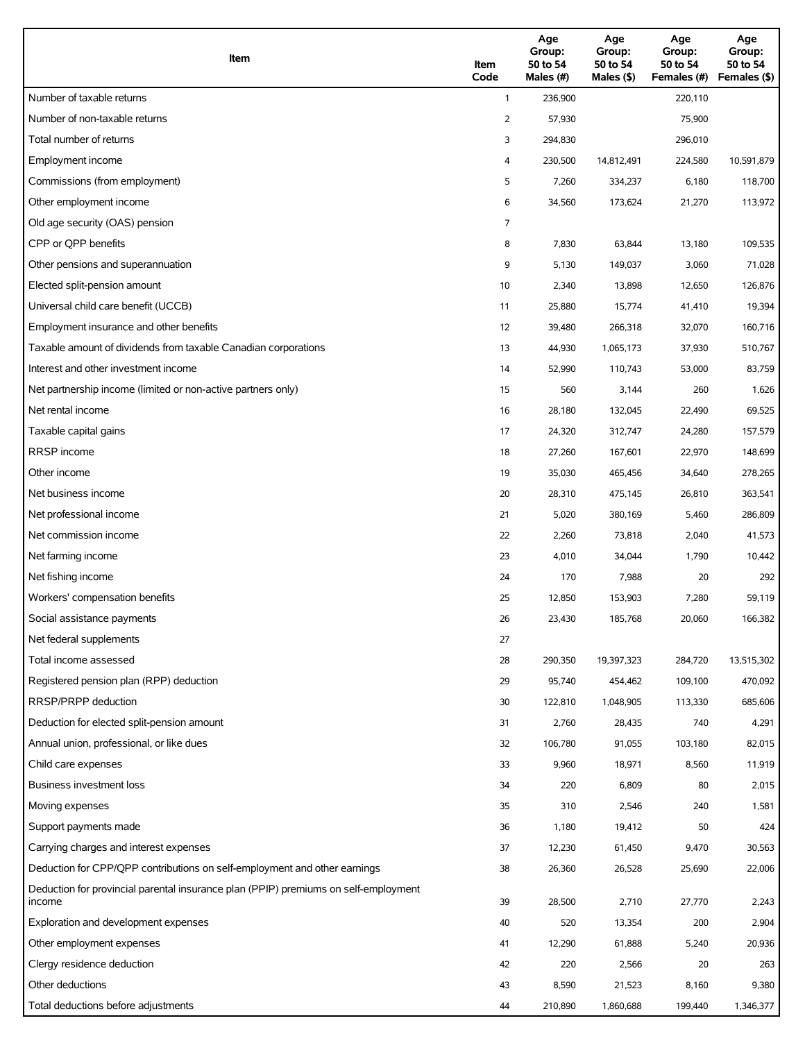| Item                                                                                          | Item<br>Code | Age<br>Group:<br>50 to 54<br>Males (#) | Age<br>Group:<br>50 to 54<br>Males (\$) | Age<br>Group:<br>50 to 54<br>Females (#) | Age<br>Group:<br>50 to 54<br>Females (\$) |
|-----------------------------------------------------------------------------------------------|--------------|----------------------------------------|-----------------------------------------|------------------------------------------|-------------------------------------------|
| Number of taxable returns                                                                     | $\mathbf{1}$ | 236,900                                |                                         | 220,110                                  |                                           |
| Number of non-taxable returns                                                                 | 2            | 57,930                                 |                                         | 75,900                                   |                                           |
| Total number of returns                                                                       | 3            | 294,830                                |                                         | 296,010                                  |                                           |
| Employment income                                                                             | 4            | 230,500                                | 14,812,491                              | 224,580                                  | 10,591,879                                |
| Commissions (from employment)                                                                 | 5            | 7,260                                  | 334,237                                 | 6,180                                    | 118,700                                   |
| Other employment income                                                                       | 6            | 34,560                                 | 173,624                                 | 21,270                                   | 113,972                                   |
| Old age security (OAS) pension                                                                | 7            |                                        |                                         |                                          |                                           |
| CPP or QPP benefits                                                                           | 8            | 7,830                                  | 63,844                                  | 13,180                                   | 109,535                                   |
| Other pensions and superannuation                                                             | 9            | 5,130                                  | 149,037                                 | 3,060                                    | 71,028                                    |
| Elected split-pension amount                                                                  | 10           | 2,340                                  | 13,898                                  | 12,650                                   | 126,876                                   |
| Universal child care benefit (UCCB)                                                           | 11           | 25,880                                 | 15,774                                  | 41,410                                   | 19,394                                    |
| Employment insurance and other benefits                                                       | 12           | 39,480                                 | 266,318                                 | 32,070                                   | 160,716                                   |
| Taxable amount of dividends from taxable Canadian corporations                                | 13           | 44,930                                 | 1,065,173                               | 37,930                                   | 510,767                                   |
| Interest and other investment income                                                          | 14           | 52,990                                 | 110,743                                 | 53,000                                   | 83,759                                    |
| Net partnership income (limited or non-active partners only)                                  | 15           | 560                                    | 3,144                                   | 260                                      | 1,626                                     |
| Net rental income                                                                             | 16           | 28,180                                 | 132,045                                 | 22,490                                   | 69,525                                    |
| Taxable capital gains                                                                         | 17           | 24,320                                 | 312,747                                 | 24,280                                   | 157,579                                   |
| <b>RRSP</b> income                                                                            | 18           | 27,260                                 | 167,601                                 | 22,970                                   | 148,699                                   |
| Other income                                                                                  | 19           | 35,030                                 | 465,456                                 | 34,640                                   | 278,265                                   |
| Net business income                                                                           | 20           | 28,310                                 | 475,145                                 | 26,810                                   | 363,541                                   |
| Net professional income                                                                       | 21           | 5,020                                  | 380,169                                 | 5,460                                    | 286,809                                   |
| Net commission income                                                                         | 22           | 2,260                                  | 73,818                                  | 2,040                                    | 41,573                                    |
| Net farming income                                                                            | 23           | 4,010                                  | 34,044                                  | 1,790                                    | 10,442                                    |
| Net fishing income                                                                            | 24           | 170                                    | 7,988                                   | 20                                       | 292                                       |
| Workers' compensation benefits                                                                | 25           | 12,850                                 | 153,903                                 | 7,280                                    | 59,119                                    |
| Social assistance payments                                                                    | 26           | 23,430                                 | 185,768                                 | 20,060                                   | 166,382                                   |
| Net federal supplements                                                                       | 27           |                                        |                                         |                                          |                                           |
| Total income assessed                                                                         | 28           | 290,350                                | 19,397,323                              | 284,720                                  | 13,515,302                                |
| Registered pension plan (RPP) deduction                                                       | 29           | 95,740                                 | 454,462                                 | 109,100                                  | 470,092                                   |
| RRSP/PRPP deduction                                                                           | 30           | 122,810                                | 1,048,905                               | 113,330                                  | 685,606                                   |
| Deduction for elected split-pension amount                                                    | 31           | 2,760                                  | 28,435                                  | 740                                      | 4,291                                     |
| Annual union, professional, or like dues                                                      | 32           | 106,780                                | 91,055                                  | 103,180                                  | 82,015                                    |
| Child care expenses                                                                           | 33           | 9,960                                  | 18,971                                  | 8,560                                    | 11,919                                    |
| Business investment loss                                                                      | 34           | 220                                    | 6,809                                   | 80                                       | 2,015                                     |
| Moving expenses                                                                               | 35           | 310                                    | 2,546                                   | 240                                      | 1,581                                     |
| Support payments made                                                                         | 36           | 1,180                                  | 19,412                                  | 50                                       | 424                                       |
| Carrying charges and interest expenses                                                        | 37           | 12,230                                 | 61,450                                  | 9,470                                    | 30,563                                    |
| Deduction for CPP/QPP contributions on self-employment and other earnings                     | 38           | 26,360                                 | 26,528                                  | 25,690                                   | 22,006                                    |
| Deduction for provincial parental insurance plan (PPIP) premiums on self-employment<br>income | 39           | 28,500                                 | 2,710                                   | 27,770                                   | 2,243                                     |
| Exploration and development expenses                                                          | 40           | 520                                    | 13,354                                  | 200                                      | 2,904                                     |
| Other employment expenses                                                                     | 41           | 12,290                                 | 61,888                                  | 5,240                                    | 20,936                                    |
| Clergy residence deduction                                                                    | 42           | 220                                    | 2,566                                   | 20                                       | 263                                       |
| Other deductions                                                                              | 43           | 8,590                                  | 21,523                                  | 8,160                                    | 9,380                                     |
| Total deductions before adjustments                                                           | 44           | 210,890                                | 1,860,688                               | 199,440                                  | 1,346,377                                 |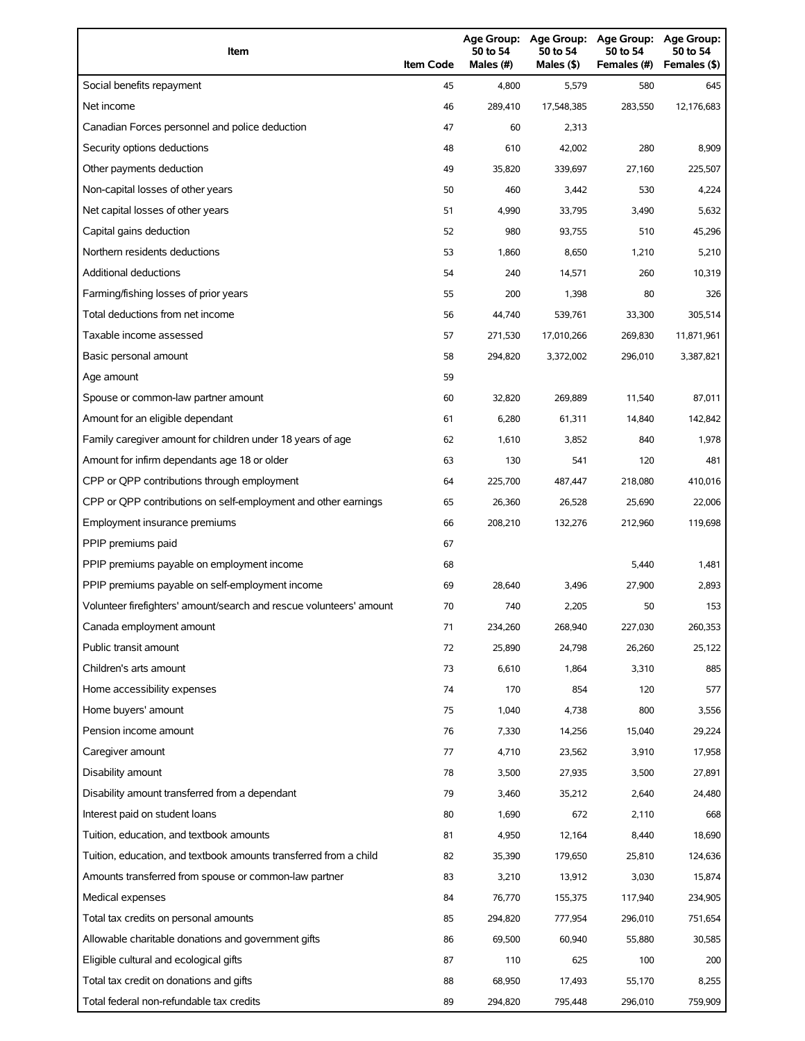| Item                                                                | <b>Item Code</b> | Age Group:<br>50 to 54<br>Males (#) | Age Group:<br>50 to 54<br>Males (\$) | <b>Age Group:</b><br>50 to 54<br>Females (#) | <b>Age Group:</b><br>50 to 54<br>Females (\$) |
|---------------------------------------------------------------------|------------------|-------------------------------------|--------------------------------------|----------------------------------------------|-----------------------------------------------|
| Social benefits repayment                                           | 45               | 4,800                               | 5,579                                | 580                                          | 645                                           |
| Net income                                                          | 46               | 289,410                             | 17,548,385                           | 283,550                                      | 12,176,683                                    |
| Canadian Forces personnel and police deduction                      | 47               | 60                                  | 2,313                                |                                              |                                               |
| Security options deductions                                         | 48               | 610                                 | 42,002                               | 280                                          | 8,909                                         |
| Other payments deduction                                            | 49               | 35,820                              | 339,697                              | 27,160                                       | 225,507                                       |
| Non-capital losses of other years                                   | 50               | 460                                 | 3,442                                | 530                                          | 4,224                                         |
| Net capital losses of other years                                   | 51               | 4,990                               | 33,795                               | 3,490                                        | 5,632                                         |
| Capital gains deduction                                             | 52               | 980                                 | 93,755                               | 510                                          | 45,296                                        |
| Northern residents deductions                                       | 53               | 1,860                               | 8,650                                | 1,210                                        | 5,210                                         |
| <b>Additional deductions</b>                                        | 54               | 240                                 | 14,571                               | 260                                          | 10,319                                        |
| Farming/fishing losses of prior years                               | 55               | 200                                 | 1,398                                | 80                                           | 326                                           |
| Total deductions from net income                                    | 56               | 44,740                              | 539,761                              | 33,300                                       | 305,514                                       |
| Taxable income assessed                                             | 57               | 271,530                             | 17,010,266                           | 269,830                                      | 11,871,961                                    |
| Basic personal amount                                               | 58               | 294,820                             | 3,372,002                            | 296,010                                      | 3,387,821                                     |
| Age amount                                                          | 59               |                                     |                                      |                                              |                                               |
| Spouse or common-law partner amount                                 | 60               | 32,820                              | 269,889                              | 11,540                                       | 87,011                                        |
| Amount for an eligible dependant                                    | 61               | 6,280                               | 61,311                               | 14,840                                       | 142,842                                       |
| Family caregiver amount for children under 18 years of age          | 62               | 1,610                               | 3,852                                | 840                                          | 1,978                                         |
| Amount for infirm dependants age 18 or older                        | 63               | 130                                 | 541                                  | 120                                          | 481                                           |
| CPP or QPP contributions through employment                         | 64               | 225,700                             | 487,447                              | 218,080                                      | 410,016                                       |
| CPP or QPP contributions on self-employment and other earnings      | 65               | 26,360                              | 26,528                               | 25,690                                       | 22,006                                        |
| Employment insurance premiums                                       | 66               | 208,210                             | 132,276                              | 212,960                                      | 119,698                                       |
| PPIP premiums paid                                                  | 67               |                                     |                                      |                                              |                                               |
| PPIP premiums payable on employment income                          | 68               |                                     |                                      | 5,440                                        | 1,481                                         |
| PPIP premiums payable on self-employment income                     | 69               | 28,640                              | 3,496                                | 27,900                                       | 2,893                                         |
| Volunteer firefighters' amount/search and rescue volunteers' amount | 70               | 740                                 | 2,205                                | 50                                           | 153                                           |
| Canada employment amount                                            | 71               | 234,260                             | 268,940                              | 227,030                                      | 260,353                                       |
| Public transit amount                                               | 72               | 25,890                              | 24,798                               | 26,260                                       | 25,122                                        |
| Children's arts amount                                              | 73               | 6,610                               | 1,864                                | 3,310                                        | 885                                           |
| Home accessibility expenses                                         | 74               | 170                                 | 854                                  | 120                                          | 577                                           |
| Home buyers' amount                                                 | 75               | 1,040                               | 4,738                                | 800                                          | 3,556                                         |
| Pension income amount                                               | 76               | 7,330                               | 14,256                               | 15,040                                       | 29,224                                        |
| Caregiver amount                                                    | 77               | 4,710                               | 23,562                               | 3,910                                        | 17,958                                        |
| Disability amount                                                   | 78               | 3,500                               | 27,935                               | 3,500                                        | 27,891                                        |
| Disability amount transferred from a dependant                      | 79               | 3,460                               | 35,212                               | 2,640                                        | 24,480                                        |
| Interest paid on student loans                                      | 80               | 1,690                               | 672                                  | 2,110                                        | 668                                           |
| Tuition, education, and textbook amounts                            | 81               | 4,950                               | 12,164                               | 8,440                                        | 18,690                                        |
| Tuition, education, and textbook amounts transferred from a child   | 82               | 35,390                              | 179,650                              | 25,810                                       | 124,636                                       |
| Amounts transferred from spouse or common-law partner               | 83               | 3,210                               | 13,912                               | 3,030                                        | 15,874                                        |
| Medical expenses                                                    | 84               | 76,770                              | 155,375                              | 117,940                                      | 234,905                                       |
| Total tax credits on personal amounts                               | 85               | 294,820                             | 777,954                              | 296,010                                      | 751,654                                       |
| Allowable charitable donations and government gifts                 | 86               | 69,500                              | 60,940                               | 55,880                                       | 30,585                                        |
| Eligible cultural and ecological gifts                              | 87               | 110                                 | 625                                  | 100                                          | 200                                           |
| Total tax credit on donations and gifts                             | 88               | 68,950                              | 17,493                               | 55,170                                       | 8,255                                         |
| Total federal non-refundable tax credits                            | 89               | 294,820                             | 795,448                              | 296,010                                      | 759,909                                       |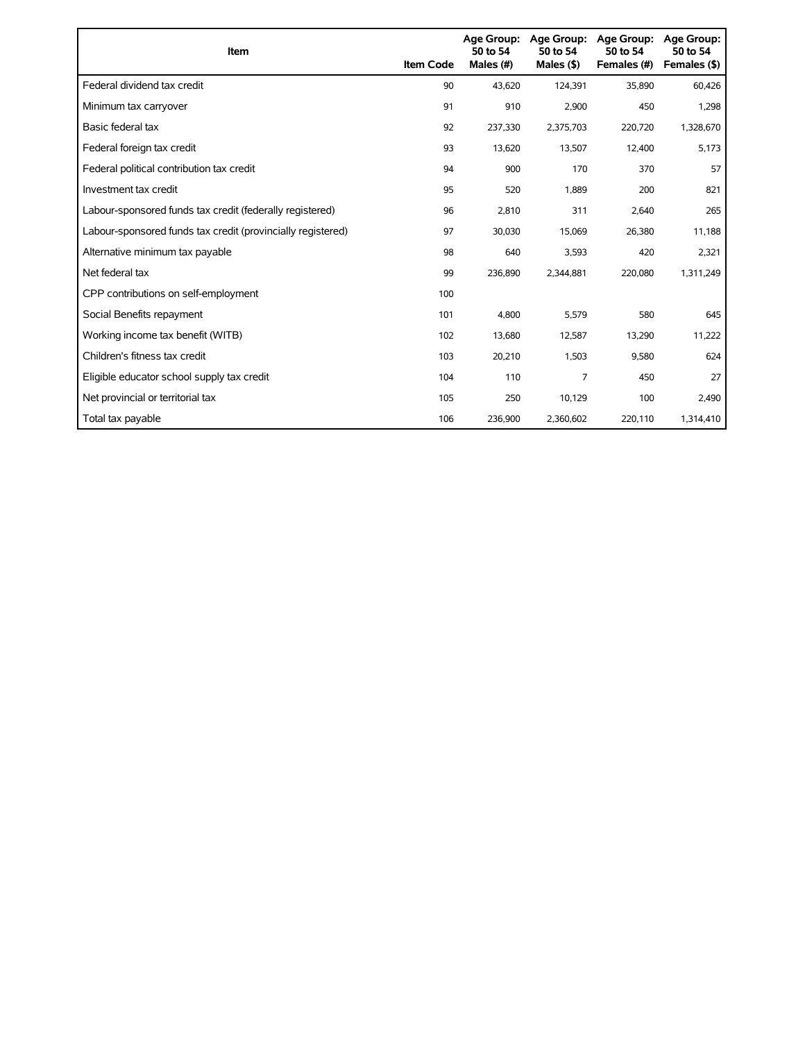| Item                                                        | <b>Item Code</b> | 50 to 54<br>Males (#) | Age Group: Age Group:<br>50 to 54<br>Males (\$) | <b>Age Group:</b><br>50 to 54<br>Females (#) | <b>Age Group:</b><br>50 to 54<br>Females (\$) |
|-------------------------------------------------------------|------------------|-----------------------|-------------------------------------------------|----------------------------------------------|-----------------------------------------------|
| Federal dividend tax credit                                 | 90               | 43.620                | 124,391                                         | 35,890                                       | 60,426                                        |
| Minimum tax carryover                                       | 91               | 910                   | 2,900                                           | 450                                          | 1,298                                         |
| Basic federal tax                                           | 92               | 237,330               | 2,375,703                                       | 220,720                                      | 1,328,670                                     |
| Federal foreign tax credit                                  | 93               | 13,620                | 13,507                                          | 12,400                                       | 5,173                                         |
| Federal political contribution tax credit                   | 94               | 900                   | 170                                             | 370                                          | 57                                            |
| Investment tax credit                                       | 95               | 520                   | 1,889                                           | 200                                          | 821                                           |
| Labour-sponsored funds tax credit (federally registered)    | 96               | 2,810                 | 311                                             | 2,640                                        | 265                                           |
| Labour-sponsored funds tax credit (provincially registered) | 97               | 30,030                | 15,069                                          | 26,380                                       | 11,188                                        |
| Alternative minimum tax payable                             | 98               | 640                   | 3,593                                           | 420                                          | 2,321                                         |
| Net federal tax                                             | 99               | 236,890               | 2,344,881                                       | 220,080                                      | 1,311,249                                     |
| CPP contributions on self-employment                        | 100              |                       |                                                 |                                              |                                               |
| Social Benefits repayment                                   | 101              | 4,800                 | 5,579                                           | 580                                          | 645                                           |
| Working income tax benefit (WITB)                           | 102              | 13,680                | 12,587                                          | 13,290                                       | 11,222                                        |
| Children's fitness tax credit                               | 103              | 20,210                | 1,503                                           | 9,580                                        | 624                                           |
| Eligible educator school supply tax credit                  | 104              | 110                   | 7                                               | 450                                          | 27                                            |
| Net provincial or territorial tax                           | 105              | 250                   | 10,129                                          | 100                                          | 2,490                                         |
| Total tax payable                                           | 106              | 236,900               | 2,360,602                                       | 220,110                                      | 1,314,410                                     |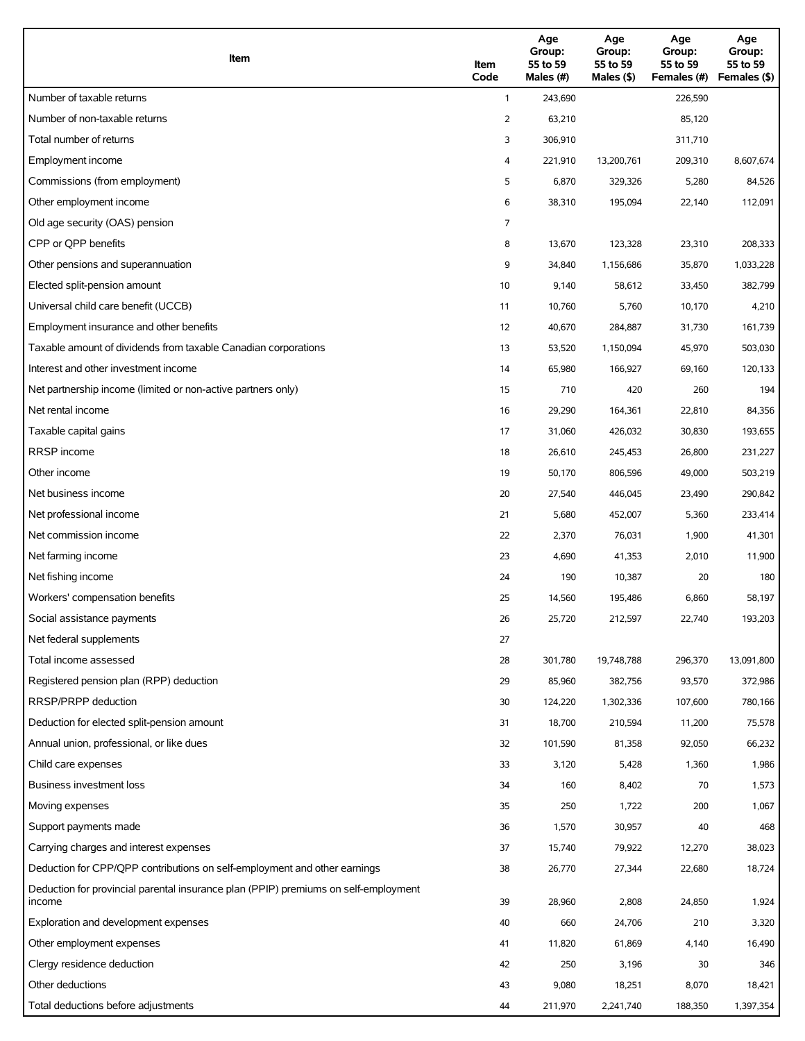| Item                                                                                          | Item<br>Code | Age<br>Group:<br>55 to 59<br>Males (#) | Age<br>Group:<br>55 to 59<br>Males $(\$)$ | Age<br>Group:<br>55 to 59<br>Females (#) | Age<br>Group:<br>55 to 59<br>Females (\$) |
|-----------------------------------------------------------------------------------------------|--------------|----------------------------------------|-------------------------------------------|------------------------------------------|-------------------------------------------|
| Number of taxable returns                                                                     | $\mathbf{1}$ | 243,690                                |                                           | 226,590                                  |                                           |
| Number of non-taxable returns                                                                 | 2            | 63,210                                 |                                           | 85,120                                   |                                           |
| Total number of returns                                                                       | 3            | 306,910                                |                                           | 311,710                                  |                                           |
| Employment income                                                                             | 4            | 221,910                                | 13,200,761                                | 209,310                                  | 8,607,674                                 |
| Commissions (from employment)                                                                 | 5            | 6,870                                  | 329,326                                   | 5,280                                    | 84,526                                    |
| Other employment income                                                                       | 6            | 38,310                                 | 195,094                                   | 22,140                                   | 112,091                                   |
| Old age security (OAS) pension                                                                | 7            |                                        |                                           |                                          |                                           |
| CPP or QPP benefits                                                                           | 8            | 13,670                                 | 123,328                                   | 23,310                                   | 208,333                                   |
| Other pensions and superannuation                                                             | 9            | 34,840                                 | 1,156,686                                 | 35,870                                   | 1,033,228                                 |
| Elected split-pension amount                                                                  | 10           | 9,140                                  | 58,612                                    | 33,450                                   | 382,799                                   |
| Universal child care benefit (UCCB)                                                           | 11           | 10,760                                 | 5,760                                     | 10,170                                   | 4,210                                     |
| Employment insurance and other benefits                                                       | 12           | 40,670                                 | 284,887                                   | 31,730                                   | 161,739                                   |
| Taxable amount of dividends from taxable Canadian corporations                                | 13           | 53,520                                 | 1,150,094                                 | 45,970                                   | 503,030                                   |
| Interest and other investment income                                                          | 14           | 65,980                                 | 166,927                                   | 69,160                                   | 120,133                                   |
| Net partnership income (limited or non-active partners only)                                  | 15           | 710                                    | 420                                       | 260                                      | 194                                       |
| Net rental income                                                                             | 16           | 29,290                                 | 164,361                                   | 22,810                                   | 84,356                                    |
| Taxable capital gains                                                                         | 17           | 31,060                                 | 426,032                                   | 30,830                                   | 193,655                                   |
| <b>RRSP</b> income                                                                            | 18           | 26,610                                 | 245,453                                   | 26,800                                   | 231,227                                   |
| Other income                                                                                  | 19           | 50,170                                 | 806,596                                   | 49,000                                   | 503,219                                   |
| Net business income                                                                           | 20           | 27,540                                 | 446,045                                   | 23,490                                   | 290,842                                   |
| Net professional income                                                                       | 21           | 5,680                                  | 452,007                                   | 5,360                                    | 233,414                                   |
| Net commission income                                                                         | 22           | 2,370                                  | 76,031                                    | 1,900                                    | 41,301                                    |
| Net farming income                                                                            | 23           | 4,690                                  | 41,353                                    | 2,010                                    | 11,900                                    |
| Net fishing income                                                                            | 24           | 190                                    | 10,387                                    | 20                                       | 180                                       |
| Workers' compensation benefits                                                                | 25           | 14,560                                 | 195,486                                   | 6,860                                    | 58,197                                    |
| Social assistance payments                                                                    | 26           | 25,720                                 | 212,597                                   | 22,740                                   | 193,203                                   |
| Net federal supplements                                                                       | 27           |                                        |                                           |                                          |                                           |
| Total income assessed                                                                         | 28           | 301,780                                | 19,748,788                                | 296,370                                  | 13,091,800                                |
| Registered pension plan (RPP) deduction                                                       | 29           | 85,960                                 | 382,756                                   | 93,570                                   | 372,986                                   |
| RRSP/PRPP deduction                                                                           | 30           | 124,220                                | 1,302,336                                 | 107,600                                  | 780,166                                   |
| Deduction for elected split-pension amount                                                    | 31           | 18,700                                 | 210,594                                   | 11,200                                   | 75,578                                    |
| Annual union, professional, or like dues                                                      | 32           | 101,590                                | 81,358                                    | 92,050                                   | 66,232                                    |
| Child care expenses                                                                           | 33           | 3,120                                  | 5,428                                     | 1,360                                    | 1,986                                     |
| Business investment loss                                                                      | 34           | 160                                    | 8,402                                     | 70                                       | 1,573                                     |
| Moving expenses                                                                               | 35           | 250                                    | 1,722                                     | 200                                      | 1,067                                     |
| Support payments made                                                                         | 36           | 1,570                                  | 30,957                                    | 40                                       | 468                                       |
| Carrying charges and interest expenses                                                        | 37           | 15,740                                 | 79,922                                    | 12,270                                   | 38,023                                    |
| Deduction for CPP/QPP contributions on self-employment and other earnings                     | 38           | 26,770                                 | 27,344                                    | 22,680                                   | 18,724                                    |
| Deduction for provincial parental insurance plan (PPIP) premiums on self-employment<br>income | 39           | 28,960                                 | 2,808                                     | 24,850                                   | 1,924                                     |
| Exploration and development expenses                                                          | 40           | 660                                    | 24,706                                    | 210                                      | 3,320                                     |
| Other employment expenses                                                                     | 41           | 11,820                                 | 61,869                                    | 4,140                                    | 16,490                                    |
| Clergy residence deduction                                                                    | 42           | 250                                    | 3,196                                     | 30                                       | 346                                       |
| Other deductions                                                                              | 43           | 9,080                                  | 18,251                                    | 8,070                                    | 18,421                                    |
| Total deductions before adjustments                                                           | 44           | 211,970                                | 2,241,740                                 | 188,350                                  | 1,397,354                                 |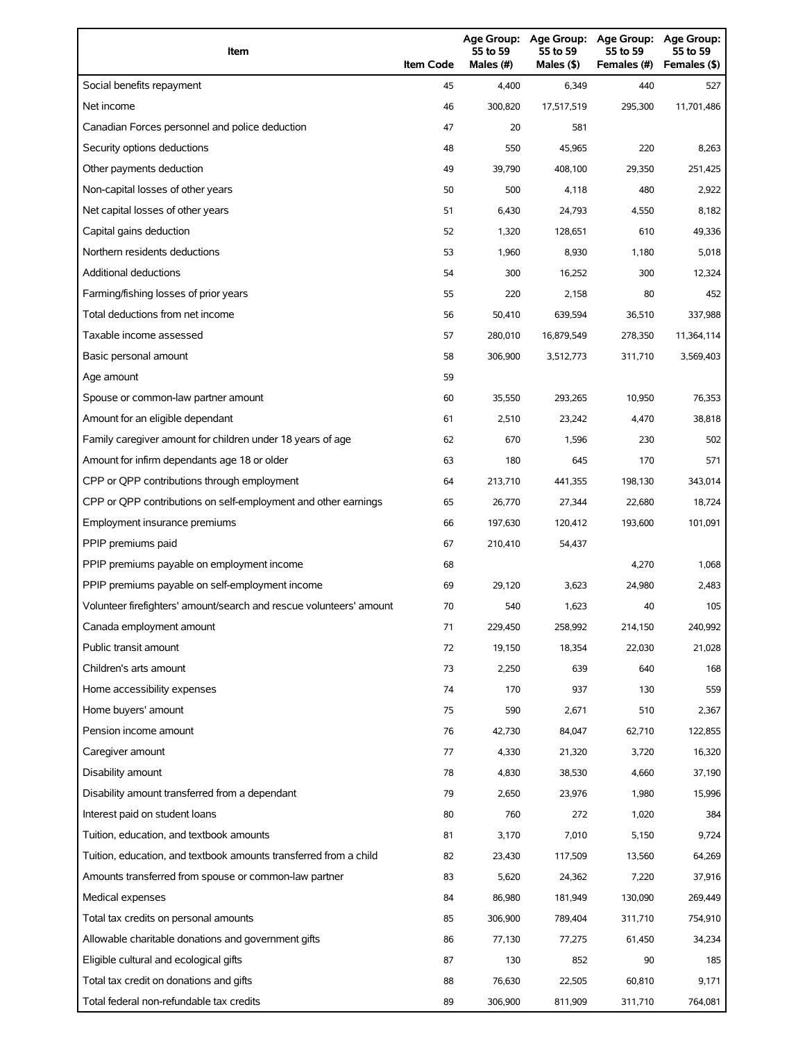| Item                                                                | <b>Item Code</b> | Age Group:<br>55 to 59<br>Males (#) | <b>Age Group:</b><br>55 to 59<br>Males (\$) | <b>Age Group:</b><br>55 to 59<br>Females (#) | <b>Age Group:</b><br>55 to 59<br>Females (\$) |
|---------------------------------------------------------------------|------------------|-------------------------------------|---------------------------------------------|----------------------------------------------|-----------------------------------------------|
| Social benefits repayment                                           | 45               | 4,400                               | 6,349                                       | 440                                          | 527                                           |
| Net income                                                          | 46               | 300,820                             | 17,517,519                                  | 295,300                                      | 11,701,486                                    |
| Canadian Forces personnel and police deduction                      | 47               | 20                                  | 581                                         |                                              |                                               |
| Security options deductions                                         | 48               | 550                                 | 45,965                                      | 220                                          | 8,263                                         |
| Other payments deduction                                            | 49               | 39,790                              | 408,100                                     | 29,350                                       | 251,425                                       |
| Non-capital losses of other years                                   | 50               | 500                                 | 4,118                                       | 480                                          | 2,922                                         |
| Net capital losses of other years                                   | 51               | 6,430                               | 24,793                                      | 4,550                                        | 8,182                                         |
| Capital gains deduction                                             | 52               | 1,320                               | 128,651                                     | 610                                          | 49,336                                        |
| Northern residents deductions                                       | 53               | 1,960                               | 8,930                                       | 1,180                                        | 5,018                                         |
| <b>Additional deductions</b>                                        | 54               | 300                                 | 16,252                                      | 300                                          | 12,324                                        |
| Farming/fishing losses of prior years                               | 55               | 220                                 | 2,158                                       | 80                                           | 452                                           |
| Total deductions from net income                                    | 56               | 50,410                              | 639,594                                     | 36,510                                       | 337,988                                       |
| Taxable income assessed                                             | 57               | 280,010                             | 16,879,549                                  | 278,350                                      | 11,364,114                                    |
| Basic personal amount                                               | 58               | 306,900                             | 3,512,773                                   | 311,710                                      | 3,569,403                                     |
| Age amount                                                          | 59               |                                     |                                             |                                              |                                               |
| Spouse or common-law partner amount                                 | 60               | 35,550                              | 293,265                                     | 10,950                                       | 76,353                                        |
| Amount for an eligible dependant                                    | 61               | 2,510                               | 23,242                                      | 4,470                                        | 38,818                                        |
| Family caregiver amount for children under 18 years of age          | 62               | 670                                 | 1,596                                       | 230                                          | 502                                           |
| Amount for infirm dependants age 18 or older                        | 63               | 180                                 | 645                                         | 170                                          | 571                                           |
| CPP or QPP contributions through employment                         | 64               | 213,710                             | 441,355                                     | 198,130                                      | 343,014                                       |
| CPP or QPP contributions on self-employment and other earnings      | 65               | 26,770                              | 27,344                                      | 22,680                                       | 18,724                                        |
| Employment insurance premiums                                       | 66               | 197,630                             | 120,412                                     | 193,600                                      | 101,091                                       |
| PPIP premiums paid                                                  | 67               | 210,410                             | 54,437                                      |                                              |                                               |
| PPIP premiums payable on employment income                          | 68               |                                     |                                             | 4,270                                        | 1,068                                         |
| PPIP premiums payable on self-employment income                     | 69               | 29.120                              | 3,623                                       | 24,980                                       | 2,483                                         |
| Volunteer firefighters' amount/search and rescue volunteers' amount | 70               | 540                                 | 1,623                                       | 40                                           | 105                                           |
| Canada employment amount                                            | 71               | 229,450                             | 258,992                                     | 214,150                                      | 240,992                                       |
| Public transit amount                                               | 72               | 19,150                              | 18,354                                      | 22,030                                       | 21,028                                        |
| Children's arts amount                                              | 73               | 2,250                               | 639                                         | 640                                          | 168                                           |
| Home accessibility expenses                                         | 74               | 170                                 | 937                                         | 130                                          | 559                                           |
| Home buyers' amount                                                 | 75               | 590                                 | 2,671                                       | 510                                          | 2,367                                         |
| Pension income amount                                               | 76               | 42,730                              | 84,047                                      | 62,710                                       | 122,855                                       |
| Caregiver amount                                                    | 77               | 4,330                               | 21,320                                      | 3,720                                        | 16,320                                        |
| Disability amount                                                   | 78               | 4,830                               | 38,530                                      | 4,660                                        | 37,190                                        |
| Disability amount transferred from a dependant                      | 79               | 2,650                               | 23,976                                      | 1,980                                        | 15,996                                        |
| Interest paid on student loans                                      | 80               | 760                                 | 272                                         | 1,020                                        | 384                                           |
| Tuition, education, and textbook amounts                            | 81               | 3,170                               | 7,010                                       | 5,150                                        | 9,724                                         |
| Tuition, education, and textbook amounts transferred from a child   | 82               | 23,430                              | 117,509                                     | 13,560                                       | 64,269                                        |
| Amounts transferred from spouse or common-law partner               | 83               | 5,620                               | 24,362                                      | 7,220                                        | 37,916                                        |
| Medical expenses                                                    | 84               | 86,980                              | 181,949                                     | 130,090                                      | 269,449                                       |
| Total tax credits on personal amounts                               | 85               | 306,900                             | 789,404                                     | 311,710                                      | 754,910                                       |
| Allowable charitable donations and government gifts                 | 86               | 77,130                              | 77,275                                      | 61,450                                       | 34,234                                        |
| Eligible cultural and ecological gifts                              | 87               | 130                                 | 852                                         | 90                                           | 185                                           |
| Total tax credit on donations and gifts                             | 88               | 76,630                              | 22,505                                      | 60,810                                       | 9,171                                         |
| Total federal non-refundable tax credits                            | 89               | 306,900                             | 811,909                                     | 311,710                                      | 764,081                                       |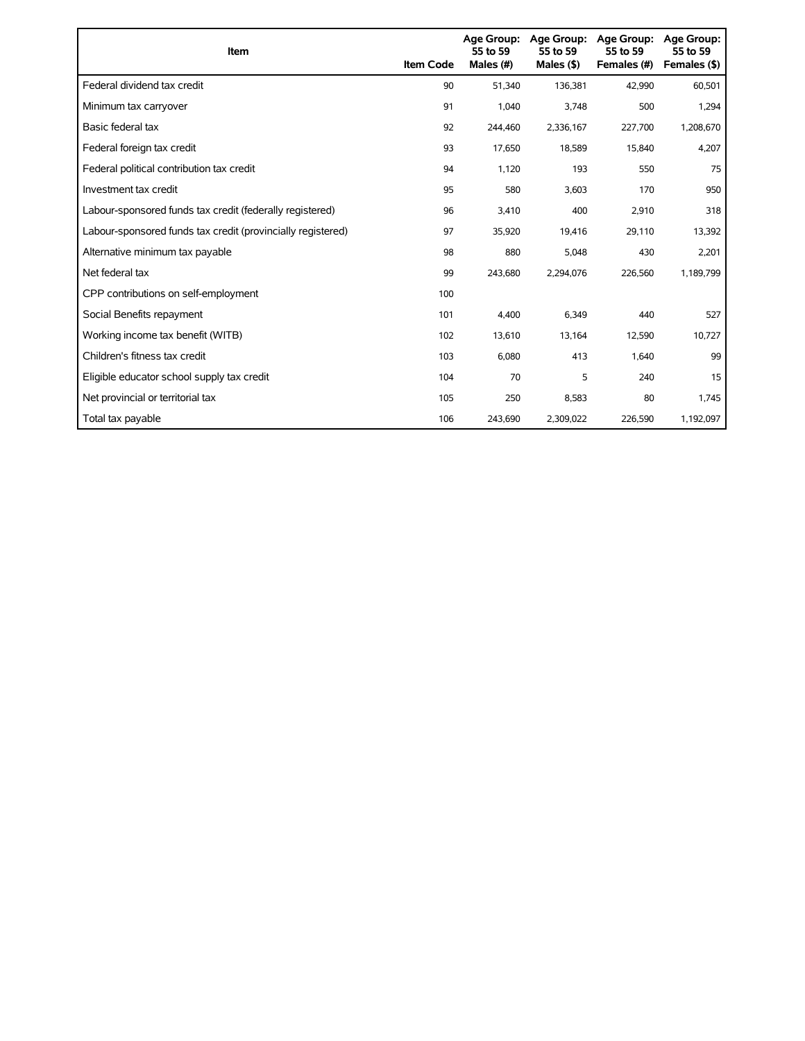| Item                                                        | <b>Item Code</b> | 55 to 59<br>Males (#) | Age Group: Age Group:<br>55 to 59<br>Males (\$) | Age Group:<br>55 to 59<br>Females (#) | Age Group:<br>55 to 59<br>Females (\$) |
|-------------------------------------------------------------|------------------|-----------------------|-------------------------------------------------|---------------------------------------|----------------------------------------|
| Federal dividend tax credit                                 | 90               | 51,340                | 136,381                                         | 42,990                                | 60,501                                 |
| Minimum tax carryover                                       | 91               | 1,040                 | 3,748                                           | 500                                   | 1,294                                  |
| Basic federal tax                                           | 92               | 244,460               | 2,336,167                                       | 227,700                               | 1,208,670                              |
| Federal foreign tax credit                                  | 93               | 17.650                | 18,589                                          | 15,840                                | 4,207                                  |
| Federal political contribution tax credit                   | 94               | 1,120                 | 193                                             | 550                                   | 75                                     |
| Investment tax credit                                       | 95               | 580                   | 3,603                                           | 170                                   | 950                                    |
| Labour-sponsored funds tax credit (federally registered)    | 96               | 3,410                 | 400                                             | 2,910                                 | 318                                    |
| Labour-sponsored funds tax credit (provincially registered) | 97               | 35,920                | 19,416                                          | 29,110                                | 13,392                                 |
| Alternative minimum tax payable                             | 98               | 880                   | 5,048                                           | 430                                   | 2,201                                  |
| Net federal tax                                             | 99               | 243,680               | 2,294,076                                       | 226,560                               | 1,189,799                              |
| CPP contributions on self-employment                        | 100              |                       |                                                 |                                       |                                        |
| Social Benefits repayment                                   | 101              | 4,400                 | 6,349                                           | 440                                   | 527                                    |
| Working income tax benefit (WITB)                           | 102              | 13,610                | 13,164                                          | 12,590                                | 10,727                                 |
| Children's fitness tax credit                               | 103              | 6,080                 | 413                                             | 1,640                                 | 99                                     |
| Eligible educator school supply tax credit                  | 104              | 70                    | 5                                               | 240                                   | 15                                     |
| Net provincial or territorial tax                           | 105              | 250                   | 8,583                                           | 80                                    | 1,745                                  |
| Total tax payable                                           | 106              | 243,690               | 2,309,022                                       | 226,590                               | 1,192,097                              |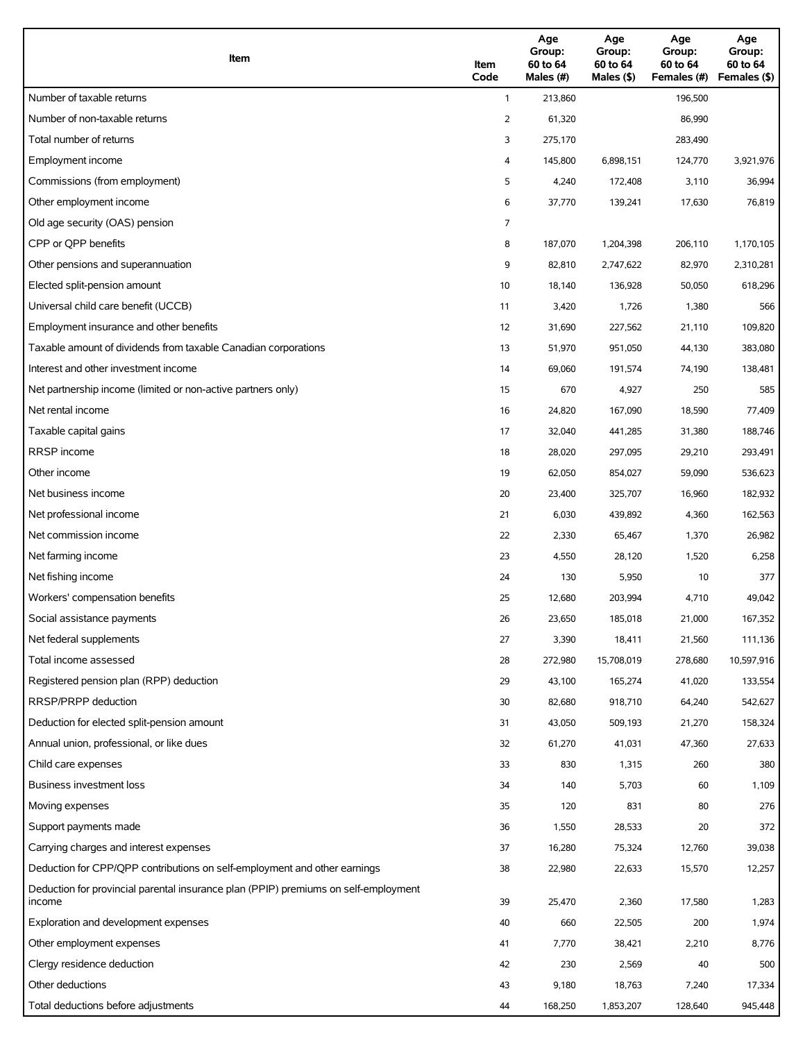| Item                                                                                          | Item<br>Code | Age<br>Group:<br>60 to 64<br>Males (#) | Age<br>Group:<br>60 to 64<br>Males (\$) | Age<br>Group:<br>60 to 64<br>Females (#) | Age<br>Group:<br>60 to 64<br>Females (\$) |
|-----------------------------------------------------------------------------------------------|--------------|----------------------------------------|-----------------------------------------|------------------------------------------|-------------------------------------------|
| Number of taxable returns                                                                     | $\mathbf{1}$ | 213,860                                |                                         | 196,500                                  |                                           |
| Number of non-taxable returns                                                                 | 2            | 61,320                                 |                                         | 86,990                                   |                                           |
| Total number of returns                                                                       | 3            | 275,170                                |                                         | 283,490                                  |                                           |
| Employment income                                                                             | 4            | 145,800                                | 6,898,151                               | 124,770                                  | 3,921,976                                 |
| Commissions (from employment)                                                                 | 5            | 4,240                                  | 172,408                                 | 3,110                                    | 36,994                                    |
| Other employment income                                                                       | 6            | 37,770                                 | 139,241                                 | 17,630                                   | 76,819                                    |
| Old age security (OAS) pension                                                                | 7            |                                        |                                         |                                          |                                           |
| CPP or QPP benefits                                                                           | 8            | 187,070                                | 1,204,398                               | 206,110                                  | 1,170,105                                 |
| Other pensions and superannuation                                                             | 9            | 82,810                                 | 2,747,622                               | 82,970                                   | 2,310,281                                 |
| Elected split-pension amount                                                                  | 10           | 18,140                                 | 136,928                                 | 50,050                                   | 618,296                                   |
| Universal child care benefit (UCCB)                                                           | 11           | 3,420                                  | 1,726                                   | 1,380                                    | 566                                       |
| Employment insurance and other benefits                                                       | 12           | 31,690                                 | 227,562                                 | 21,110                                   | 109,820                                   |
| Taxable amount of dividends from taxable Canadian corporations                                | 13           | 51,970                                 | 951,050                                 | 44,130                                   | 383,080                                   |
| Interest and other investment income                                                          | 14           | 69,060                                 | 191,574                                 | 74,190                                   | 138,481                                   |
| Net partnership income (limited or non-active partners only)                                  | 15           | 670                                    | 4,927                                   | 250                                      | 585                                       |
| Net rental income                                                                             | 16           | 24,820                                 | 167,090                                 | 18,590                                   | 77,409                                    |
| Taxable capital gains                                                                         | 17           | 32,040                                 | 441,285                                 | 31,380                                   | 188,746                                   |
| <b>RRSP</b> income                                                                            | 18           | 28,020                                 | 297,095                                 | 29,210                                   | 293,491                                   |
| Other income                                                                                  | 19           | 62,050                                 | 854,027                                 | 59,090                                   | 536,623                                   |
| Net business income                                                                           | 20           | 23,400                                 | 325,707                                 | 16,960                                   | 182,932                                   |
| Net professional income                                                                       | 21           | 6,030                                  | 439,892                                 | 4,360                                    | 162,563                                   |
| Net commission income                                                                         | 22           | 2,330                                  | 65,467                                  | 1,370                                    | 26,982                                    |
| Net farming income                                                                            | 23           | 4,550                                  | 28,120                                  | 1,520                                    | 6,258                                     |
| Net fishing income                                                                            | 24           | 130                                    | 5,950                                   | 10                                       | 377                                       |
| Workers' compensation benefits                                                                | 25           | 12,680                                 | 203,994                                 | 4,710                                    | 49,042                                    |
| Social assistance payments                                                                    | 26           | 23,650                                 | 185,018                                 | 21,000                                   | 167,352                                   |
| Net federal supplements                                                                       | 27           | 3,390                                  | 18,411                                  | 21,560                                   | 111,136                                   |
| Total income assessed                                                                         | 28           | 272,980                                | 15,708,019                              | 278,680                                  | 10,597,916                                |
| Registered pension plan (RPP) deduction                                                       | 29           | 43,100                                 | 165,274                                 | 41,020                                   | 133,554                                   |
| RRSP/PRPP deduction                                                                           | 30           | 82,680                                 | 918,710                                 | 64,240                                   | 542,627                                   |
| Deduction for elected split-pension amount                                                    | 31           | 43,050                                 | 509,193                                 | 21,270                                   | 158,324                                   |
| Annual union, professional, or like dues                                                      | 32           | 61,270                                 | 41,031                                  | 47,360                                   | 27,633                                    |
| Child care expenses                                                                           | 33           | 830                                    | 1,315                                   | 260                                      | 380                                       |
| Business investment loss                                                                      | 34           | 140                                    | 5,703                                   | 60                                       | 1,109                                     |
| Moving expenses                                                                               | 35           | 120                                    | 831                                     | 80                                       | 276                                       |
| Support payments made                                                                         | 36           | 1,550                                  | 28,533                                  | 20                                       | 372                                       |
| Carrying charges and interest expenses                                                        | 37           | 16,280                                 | 75,324                                  | 12,760                                   | 39,038                                    |
| Deduction for CPP/QPP contributions on self-employment and other earnings                     | 38           | 22,980                                 | 22,633                                  | 15,570                                   | 12,257                                    |
| Deduction for provincial parental insurance plan (PPIP) premiums on self-employment<br>income | 39           | 25,470                                 | 2,360                                   | 17,580                                   | 1,283                                     |
| Exploration and development expenses                                                          | 40           | 660                                    | 22,505                                  | 200                                      | 1,974                                     |
| Other employment expenses                                                                     | 41           | 7,770                                  | 38,421                                  | 2,210                                    | 8,776                                     |
| Clergy residence deduction                                                                    | 42           | 230                                    | 2,569                                   | 40                                       | 500                                       |
| Other deductions                                                                              | 43           | 9,180                                  | 18,763                                  | 7,240                                    | 17,334                                    |
| Total deductions before adjustments                                                           | 44           | 168,250                                | 1,853,207                               | 128,640                                  | 945,448                                   |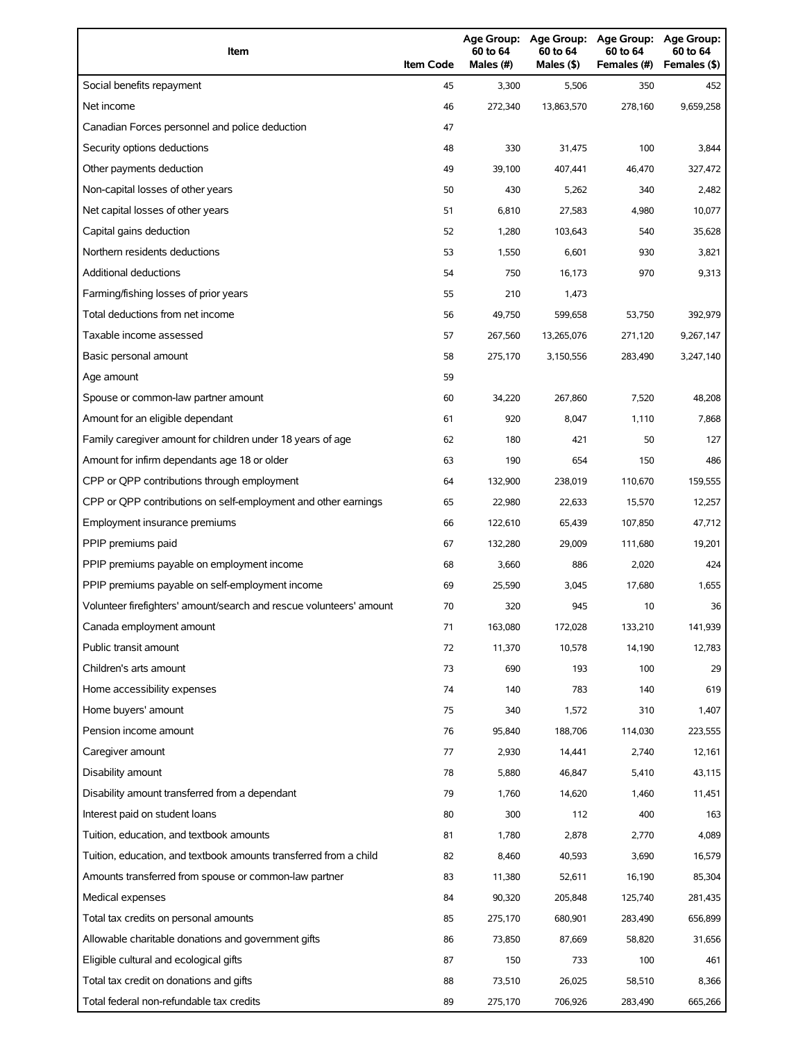| Item                                                                | <b>Item Code</b> | Age Group:<br>60 to 64<br>Males (#) | Age Group:<br>60 to 64<br>Males (\$) | <b>Age Group:</b><br>60 to 64<br>Females (#) | <b>Age Group:</b><br>60 to 64<br>Females (\$) |
|---------------------------------------------------------------------|------------------|-------------------------------------|--------------------------------------|----------------------------------------------|-----------------------------------------------|
| Social benefits repayment                                           | 45               | 3,300                               | 5,506                                | 350                                          | 452                                           |
| Net income                                                          | 46               | 272,340                             | 13,863,570                           | 278,160                                      | 9,659,258                                     |
| Canadian Forces personnel and police deduction                      | 47               |                                     |                                      |                                              |                                               |
| Security options deductions                                         | 48               | 330                                 | 31,475                               | 100                                          | 3,844                                         |
| Other payments deduction                                            | 49               | 39,100                              | 407,441                              | 46,470                                       | 327,472                                       |
| Non-capital losses of other years                                   | 50               | 430                                 | 5,262                                | 340                                          | 2,482                                         |
| Net capital losses of other years                                   | 51               | 6,810                               | 27,583                               | 4,980                                        | 10,077                                        |
| Capital gains deduction                                             | 52               | 1,280                               | 103,643                              | 540                                          | 35,628                                        |
| Northern residents deductions                                       | 53               | 1,550                               | 6,601                                | 930                                          | 3,821                                         |
| Additional deductions                                               | 54               | 750                                 | 16,173                               | 970                                          | 9,313                                         |
| Farming/fishing losses of prior years                               | 55               | 210                                 | 1,473                                |                                              |                                               |
| Total deductions from net income                                    | 56               | 49,750                              | 599,658                              | 53,750                                       | 392,979                                       |
| Taxable income assessed                                             | 57               | 267,560                             | 13,265,076                           | 271,120                                      | 9,267,147                                     |
| Basic personal amount                                               | 58               | 275,170                             | 3,150,556                            | 283,490                                      | 3,247,140                                     |
| Age amount                                                          | 59               |                                     |                                      |                                              |                                               |
| Spouse or common-law partner amount                                 | 60               | 34,220                              | 267,860                              | 7,520                                        | 48,208                                        |
| Amount for an eligible dependant                                    | 61               | 920                                 | 8,047                                | 1,110                                        | 7,868                                         |
| Family caregiver amount for children under 18 years of age          | 62               | 180                                 | 421                                  | 50                                           | 127                                           |
| Amount for infirm dependants age 18 or older                        | 63               | 190                                 | 654                                  | 150                                          | 486                                           |
| CPP or QPP contributions through employment                         | 64               | 132,900                             | 238,019                              | 110,670                                      | 159,555                                       |
| CPP or QPP contributions on self-employment and other earnings      | 65               | 22,980                              | 22,633                               | 15,570                                       | 12,257                                        |
| Employment insurance premiums                                       | 66               | 122,610                             | 65,439                               | 107,850                                      | 47,712                                        |
| PPIP premiums paid                                                  | 67               | 132,280                             | 29,009                               | 111,680                                      | 19,201                                        |
| PPIP premiums payable on employment income                          | 68               | 3,660                               | 886                                  | 2,020                                        | 424                                           |
| PPIP premiums payable on self-employment income                     | 69               | 25,590                              | 3,045                                | 17,680                                       | 1,655                                         |
| Volunteer firefighters' amount/search and rescue volunteers' amount | 70               | 320                                 | 945                                  | 10                                           | 36                                            |
| Canada employment amount                                            | 71               | 163,080                             | 172,028                              | 133,210                                      | 141,939                                       |
| Public transit amount                                               | 72               | 11,370                              | 10,578                               | 14,190                                       | 12,783                                        |
| Children's arts amount                                              | 73               | 690                                 | 193                                  | 100                                          | 29                                            |
| Home accessibility expenses                                         | 74               | 140                                 | 783                                  | 140                                          | 619                                           |
| Home buyers' amount                                                 | 75               | 340                                 | 1,572                                | 310                                          | 1,407                                         |
| Pension income amount                                               | 76               | 95,840                              | 188,706                              | 114,030                                      | 223,555                                       |
| Caregiver amount                                                    | 77               | 2,930                               | 14,441                               | 2,740                                        | 12,161                                        |
| Disability amount                                                   | 78               | 5,880                               | 46,847                               | 5,410                                        | 43,115                                        |
| Disability amount transferred from a dependant                      | 79               | 1,760                               | 14,620                               | 1,460                                        | 11,451                                        |
| Interest paid on student loans                                      | 80               | 300                                 | 112                                  | 400                                          | 163                                           |
| Tuition, education, and textbook amounts                            | 81               | 1,780                               | 2,878                                | 2,770                                        | 4,089                                         |
| Tuition, education, and textbook amounts transferred from a child   | 82               | 8,460                               | 40,593                               | 3,690                                        | 16,579                                        |
| Amounts transferred from spouse or common-law partner               | 83               | 11,380                              | 52,611                               | 16,190                                       | 85,304                                        |
| Medical expenses                                                    | 84               | 90,320                              | 205,848                              | 125,740                                      | 281,435                                       |
| Total tax credits on personal amounts                               | 85               | 275,170                             | 680,901                              | 283,490                                      | 656,899                                       |
| Allowable charitable donations and government gifts                 | 86               | 73,850                              | 87,669                               | 58,820                                       | 31,656                                        |
| Eligible cultural and ecological gifts                              | 87               | 150                                 | 733                                  | 100                                          | 461                                           |
| Total tax credit on donations and gifts                             | 88               | 73,510                              | 26,025                               | 58,510                                       | 8,366                                         |
| Total federal non-refundable tax credits                            | 89               | 275,170                             | 706,926                              | 283,490                                      | 665,266                                       |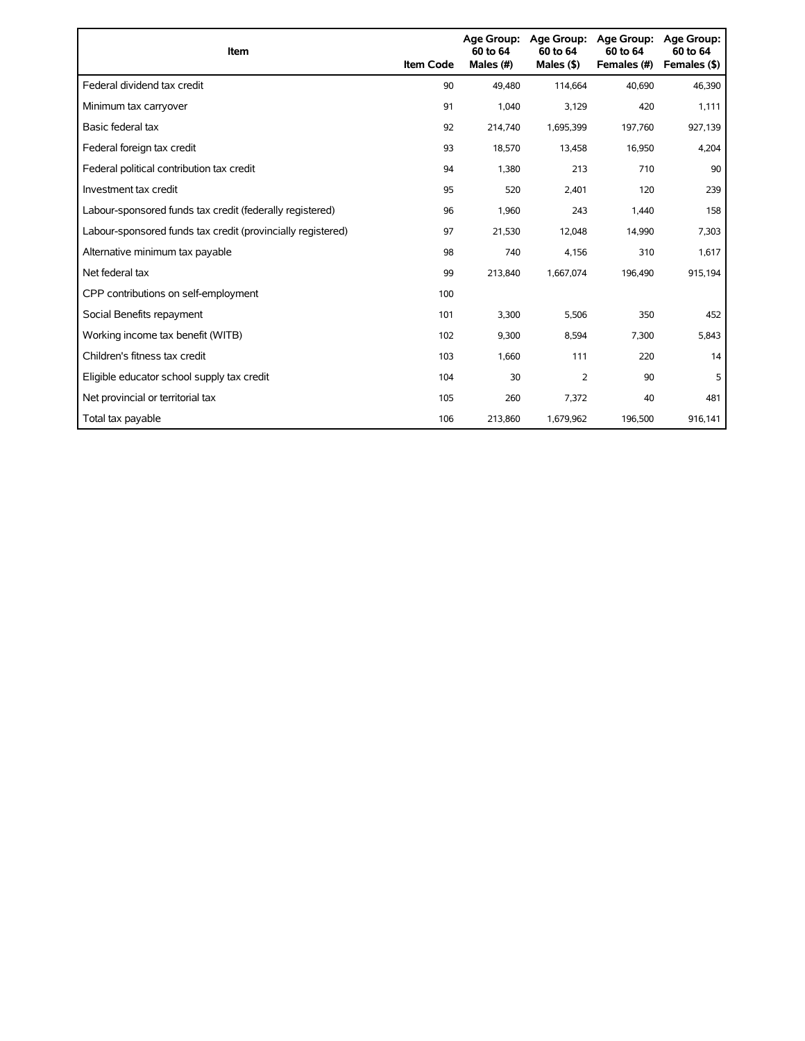| <b>Item</b>                                                 | <b>Item Code</b> | <b>Age Group:</b><br>60 to 64<br>Males (#) | Age Group:<br>60 to 64<br>Males $($ \$) | <b>Age Group:</b><br>60 to 64<br>Females (#) | <b>Age Group:</b><br>60 to 64<br>Females (\$) |
|-------------------------------------------------------------|------------------|--------------------------------------------|-----------------------------------------|----------------------------------------------|-----------------------------------------------|
| Federal dividend tax credit                                 | 90               | 49,480                                     | 114,664                                 | 40,690                                       | 46,390                                        |
| Minimum tax carryover                                       | 91               | 1,040                                      | 3,129                                   | 420                                          | 1,111                                         |
| Basic federal tax                                           | 92               | 214,740                                    | 1,695,399                               | 197,760                                      | 927,139                                       |
| Federal foreign tax credit                                  | 93               | 18,570                                     | 13,458                                  | 16,950                                       | 4,204                                         |
| Federal political contribution tax credit                   | 94               | 1,380                                      | 213                                     | 710                                          | 90                                            |
| Investment tax credit                                       | 95               | 520                                        | 2,401                                   | 120                                          | 239                                           |
| Labour-sponsored funds tax credit (federally registered)    | 96               | 1,960                                      | 243                                     | 1,440                                        | 158                                           |
| Labour-sponsored funds tax credit (provincially registered) | 97               | 21,530                                     | 12,048                                  | 14,990                                       | 7,303                                         |
| Alternative minimum tax payable                             | 98               | 740                                        | 4,156                                   | 310                                          | 1,617                                         |
| Net federal tax                                             | 99               | 213,840                                    | 1,667,074                               | 196,490                                      | 915,194                                       |
| CPP contributions on self-employment                        | 100              |                                            |                                         |                                              |                                               |
| Social Benefits repayment                                   | 101              | 3,300                                      | 5,506                                   | 350                                          | 452                                           |
| Working income tax benefit (WITB)                           | 102              | 9,300                                      | 8,594                                   | 7,300                                        | 5,843                                         |
| Children's fitness tax credit                               | 103              | 1,660                                      | 111                                     | 220                                          | 14                                            |
| Eligible educator school supply tax credit                  | 104              | 30                                         | $\overline{2}$                          | 90                                           | 5                                             |
| Net provincial or territorial tax                           | 105              | 260                                        | 7,372                                   | 40                                           | 481                                           |
| Total tax payable                                           | 106              | 213,860                                    | 1,679,962                               | 196,500                                      | 916,141                                       |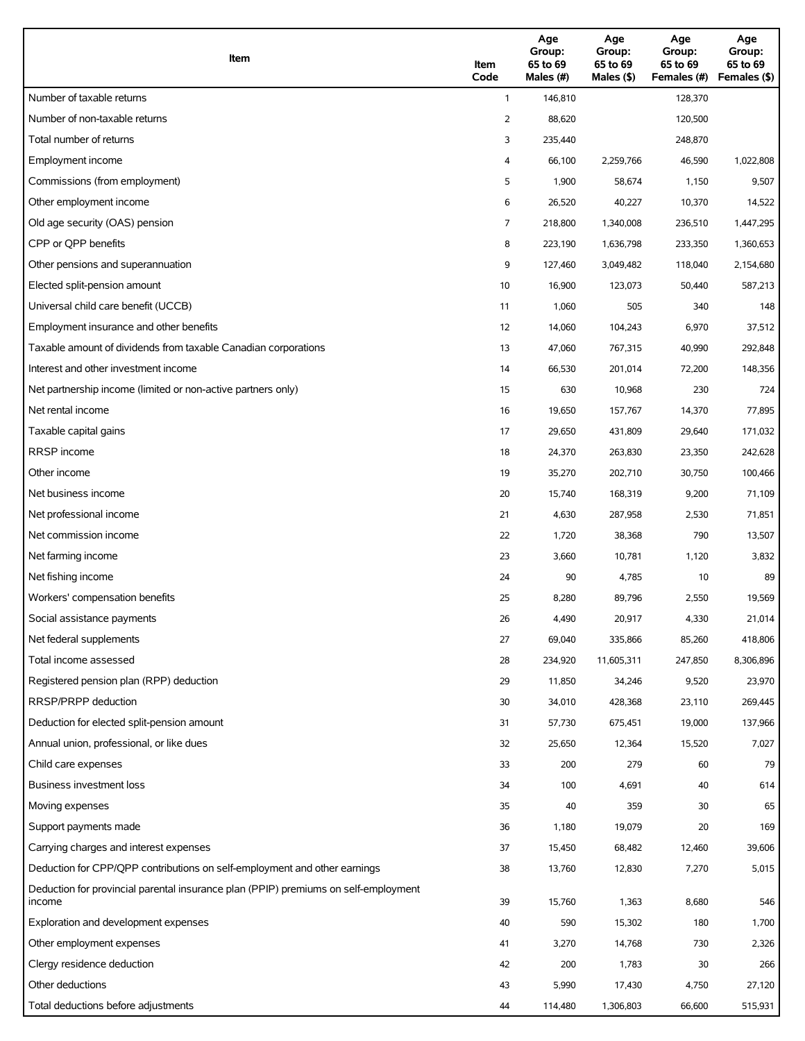| Item                                                                                          | Item<br>Code   | Age<br>Group:<br>65 to 69<br>Males (#) | Age<br>Group:<br>65 to 69<br>Males (\$) | Age<br>Group:<br>65 to 69<br>Females (#) | Age<br>Group:<br>65 to 69<br>Females (\$) |
|-----------------------------------------------------------------------------------------------|----------------|----------------------------------------|-----------------------------------------|------------------------------------------|-------------------------------------------|
| Number of taxable returns                                                                     | $\mathbf{1}$   | 146,810                                |                                         | 128,370                                  |                                           |
| Number of non-taxable returns                                                                 | 2              | 88,620                                 |                                         | 120,500                                  |                                           |
| Total number of returns                                                                       | 3              | 235,440                                |                                         | 248,870                                  |                                           |
| Employment income                                                                             | 4              | 66,100                                 | 2,259,766                               | 46,590                                   | 1,022,808                                 |
| Commissions (from employment)                                                                 | 5              | 1,900                                  | 58,674                                  | 1,150                                    | 9,507                                     |
| Other employment income                                                                       | 6              | 26,520                                 | 40,227                                  | 10,370                                   | 14,522                                    |
| Old age security (OAS) pension                                                                | $\overline{7}$ | 218,800                                | 1,340,008                               | 236,510                                  | 1,447,295                                 |
| CPP or OPP benefits                                                                           | 8              | 223,190                                | 1,636,798                               | 233,350                                  | 1,360,653                                 |
| Other pensions and superannuation                                                             | 9              | 127,460                                | 3,049,482                               | 118,040                                  | 2,154,680                                 |
| Elected split-pension amount                                                                  | 10             | 16,900                                 | 123,073                                 | 50,440                                   | 587,213                                   |
| Universal child care benefit (UCCB)                                                           | 11             | 1,060                                  | 505                                     | 340                                      | 148                                       |
| Employment insurance and other benefits                                                       | 12             | 14,060                                 | 104,243                                 | 6,970                                    | 37,512                                    |
| Taxable amount of dividends from taxable Canadian corporations                                | 13             | 47,060                                 | 767,315                                 | 40,990                                   | 292,848                                   |
| Interest and other investment income                                                          | 14             | 66,530                                 | 201,014                                 | 72,200                                   | 148,356                                   |
| Net partnership income (limited or non-active partners only)                                  | 15             | 630                                    | 10,968                                  | 230                                      | 724                                       |
| Net rental income                                                                             | 16             | 19,650                                 | 157,767                                 | 14,370                                   | 77,895                                    |
| Taxable capital gains                                                                         | 17             | 29,650                                 | 431,809                                 | 29,640                                   | 171,032                                   |
| <b>RRSP</b> income                                                                            | 18             | 24,370                                 | 263,830                                 | 23,350                                   | 242,628                                   |
| Other income                                                                                  | 19             | 35,270                                 | 202,710                                 | 30,750                                   | 100,466                                   |
| Net business income                                                                           | 20             | 15,740                                 | 168,319                                 | 9,200                                    | 71,109                                    |
| Net professional income                                                                       | 21             | 4,630                                  | 287,958                                 | 2,530                                    | 71,851                                    |
| Net commission income                                                                         | 22             | 1,720                                  | 38,368                                  | 790                                      | 13,507                                    |
| Net farming income                                                                            | 23             | 3,660                                  | 10,781                                  | 1,120                                    | 3,832                                     |
| Net fishing income                                                                            | 24             | 90                                     | 4,785                                   | 10                                       | 89                                        |
| Workers' compensation benefits                                                                | 25             | 8,280                                  | 89,796                                  | 2,550                                    | 19,569                                    |
| Social assistance payments                                                                    | 26             | 4,490                                  | 20,917                                  | 4,330                                    | 21,014                                    |
| Net federal supplements                                                                       | 27             | 69,040                                 | 335,866                                 | 85,260                                   | 418,806                                   |
| Total income assessed                                                                         | 28             | 234,920                                | 11,605,311                              | 247,850                                  | 8,306,896                                 |
| Registered pension plan (RPP) deduction                                                       | 29             | 11,850                                 | 34,246                                  | 9,520                                    | 23,970                                    |
| RRSP/PRPP deduction                                                                           | 30             | 34,010                                 | 428,368                                 | 23,110                                   | 269,445                                   |
| Deduction for elected split-pension amount                                                    | 31             | 57,730                                 | 675,451                                 | 19,000                                   | 137,966                                   |
| Annual union, professional, or like dues                                                      | 32             | 25,650                                 | 12,364                                  | 15,520                                   | 7,027                                     |
| Child care expenses                                                                           | 33             | 200                                    | 279                                     | 60                                       | 79                                        |
| Business investment loss                                                                      | 34             | 100                                    | 4,691                                   | 40                                       | 614                                       |
| Moving expenses                                                                               | 35             | 40                                     | 359                                     | 30                                       | 65                                        |
| Support payments made                                                                         | 36             | 1,180                                  | 19,079                                  | 20                                       | 169                                       |
| Carrying charges and interest expenses                                                        | 37             | 15,450                                 | 68,482                                  | 12,460                                   | 39,606                                    |
| Deduction for CPP/QPP contributions on self-employment and other earnings                     | 38             | 13,760                                 | 12,830                                  | 7,270                                    | 5,015                                     |
| Deduction for provincial parental insurance plan (PPIP) premiums on self-employment<br>income | 39             | 15,760                                 | 1,363                                   | 8,680                                    | 546                                       |
| Exploration and development expenses                                                          | 40             | 590                                    | 15,302                                  | 180                                      | 1,700                                     |
| Other employment expenses                                                                     | 41             | 3,270                                  | 14,768                                  | 730                                      | 2,326                                     |
| Clergy residence deduction                                                                    | 42             | 200                                    | 1,783                                   | 30                                       | 266                                       |
| Other deductions                                                                              | 43             | 5,990                                  | 17,430                                  | 4,750                                    | 27,120                                    |
| Total deductions before adjustments                                                           | 44             | 114,480                                | 1,306,803                               | 66,600                                   | 515,931                                   |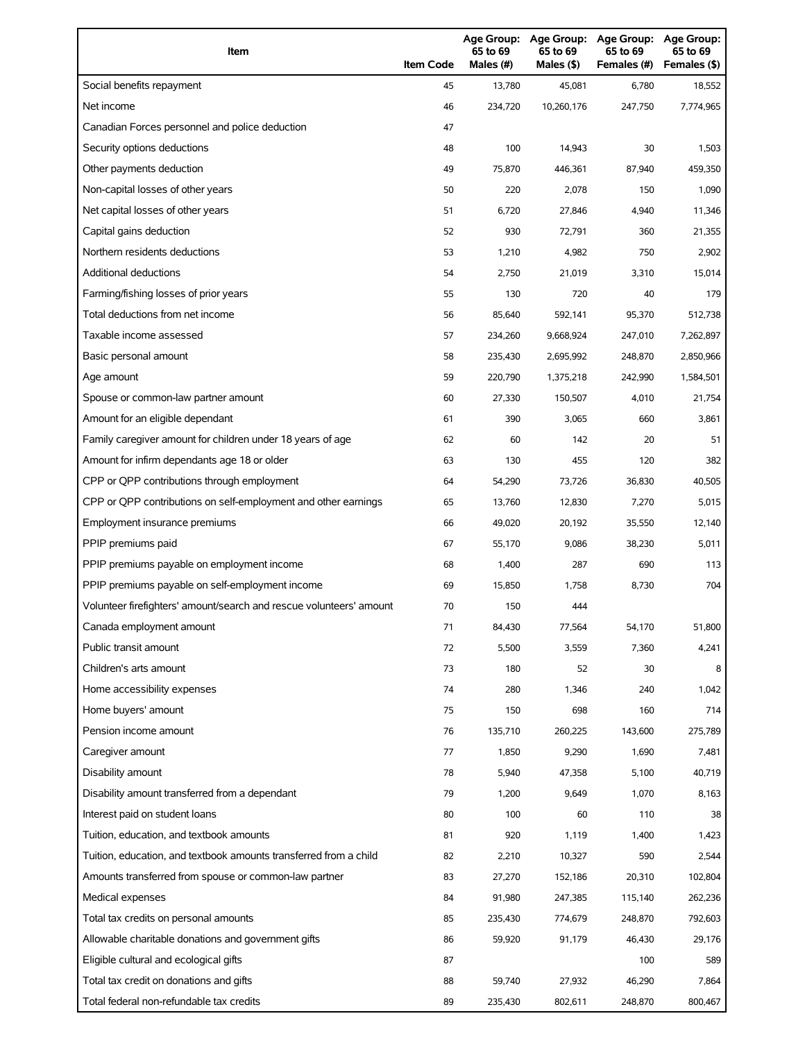| Item                                                                | <b>Item Code</b> | 65 to 69<br>Males (#) | Age Group: Age Group:<br>65 to 69<br>Males (\$) | <b>Age Group:</b><br>65 to 69<br>Females (#) | <b>Age Group:</b><br>65 to 69<br>Females (\$) |
|---------------------------------------------------------------------|------------------|-----------------------|-------------------------------------------------|----------------------------------------------|-----------------------------------------------|
| Social benefits repayment                                           | 45               | 13,780                | 45,081                                          | 6,780                                        | 18,552                                        |
| Net income                                                          | 46               | 234,720               | 10,260,176                                      | 247,750                                      | 7,774,965                                     |
| Canadian Forces personnel and police deduction                      | 47               |                       |                                                 |                                              |                                               |
| Security options deductions                                         | 48               | 100                   | 14,943                                          | 30                                           | 1,503                                         |
| Other payments deduction                                            | 49               | 75,870                | 446,361                                         | 87,940                                       | 459,350                                       |
| Non-capital losses of other years                                   | 50               | 220                   | 2,078                                           | 150                                          | 1,090                                         |
| Net capital losses of other years                                   | 51               | 6,720                 | 27,846                                          | 4,940                                        | 11,346                                        |
| Capital gains deduction                                             | 52               | 930                   | 72,791                                          | 360                                          | 21,355                                        |
| Northern residents deductions                                       | 53               | 1,210                 | 4,982                                           | 750                                          | 2,902                                         |
| <b>Additional deductions</b>                                        | 54               | 2,750                 | 21,019                                          | 3,310                                        | 15,014                                        |
| Farming/fishing losses of prior years                               | 55               | 130                   | 720                                             | 40                                           | 179                                           |
| Total deductions from net income                                    | 56               | 85,640                | 592,141                                         | 95,370                                       | 512,738                                       |
| Taxable income assessed                                             | 57               | 234,260               | 9,668,924                                       | 247,010                                      | 7,262,897                                     |
| Basic personal amount                                               | 58               | 235,430               | 2,695,992                                       | 248,870                                      | 2,850,966                                     |
| Age amount                                                          | 59               | 220,790               | 1,375,218                                       | 242,990                                      | 1,584,501                                     |
| Spouse or common-law partner amount                                 | 60               | 27,330                | 150,507                                         | 4,010                                        | 21,754                                        |
| Amount for an eligible dependant                                    | 61               | 390                   | 3,065                                           | 660                                          | 3,861                                         |
| Family caregiver amount for children under 18 years of age          | 62               | 60                    | 142                                             | 20                                           | 51                                            |
| Amount for infirm dependants age 18 or older                        | 63               | 130                   | 455                                             | 120                                          | 382                                           |
| CPP or QPP contributions through employment                         | 64               | 54,290                | 73,726                                          | 36,830                                       | 40,505                                        |
| CPP or QPP contributions on self-employment and other earnings      | 65               | 13,760                | 12,830                                          | 7,270                                        | 5,015                                         |
| Employment insurance premiums                                       | 66               | 49,020                | 20,192                                          | 35,550                                       | 12,140                                        |
| PPIP premiums paid                                                  | 67               | 55,170                | 9,086                                           | 38,230                                       | 5,011                                         |
| PPIP premiums payable on employment income                          | 68               | 1,400                 | 287                                             | 690                                          | 113                                           |
| PPIP premiums payable on self-employment income                     | 69               | 15,850                | 1,758                                           | 8,730                                        | 704                                           |
| Volunteer firefighters' amount/search and rescue volunteers' amount | 70               | 150                   | 444                                             |                                              |                                               |
| Canada employment amount                                            | 71               | 84,430                | 77,564                                          | 54,170                                       | 51,800                                        |
| Public transit amount                                               | 72               | 5,500                 | 3,559                                           | 7,360                                        | 4,241                                         |
| Children's arts amount                                              | 73               | 180                   | 52                                              | 30                                           | 8                                             |
| Home accessibility expenses                                         | 74               | 280                   | 1,346                                           | 240                                          | 1,042                                         |
| Home buyers' amount                                                 | 75               | 150                   | 698                                             | 160                                          | 714                                           |
| Pension income amount                                               | 76               | 135,710               | 260,225                                         | 143,600                                      | 275,789                                       |
| Caregiver amount                                                    | 77               | 1,850                 | 9,290                                           | 1,690                                        | 7,481                                         |
| Disability amount                                                   | 78               | 5,940                 | 47,358                                          | 5,100                                        | 40,719                                        |
| Disability amount transferred from a dependant                      | 79               | 1,200                 | 9,649                                           | 1,070                                        | 8,163                                         |
| Interest paid on student loans                                      | 80               | 100                   | 60                                              | 110                                          | 38                                            |
| Tuition, education, and textbook amounts                            | 81               | 920                   | 1,119                                           | 1,400                                        | 1,423                                         |
| Tuition, education, and textbook amounts transferred from a child   | 82               | 2,210                 | 10,327                                          | 590                                          | 2,544                                         |
| Amounts transferred from spouse or common-law partner               | 83               | 27,270                | 152,186                                         | 20,310                                       | 102,804                                       |
| Medical expenses                                                    | 84               | 91,980                | 247,385                                         | 115,140                                      | 262,236                                       |
| Total tax credits on personal amounts                               | 85               | 235,430               | 774,679                                         | 248,870                                      | 792,603                                       |
| Allowable charitable donations and government gifts                 | 86               | 59,920                | 91,179                                          | 46,430                                       | 29,176                                        |
| Eligible cultural and ecological gifts                              | 87               |                       |                                                 | 100                                          | 589                                           |
| Total tax credit on donations and gifts                             | 88               | 59,740                | 27,932                                          | 46,290                                       | 7,864                                         |
| Total federal non-refundable tax credits                            | 89               | 235,430               | 802,611                                         | 248,870                                      | 800,467                                       |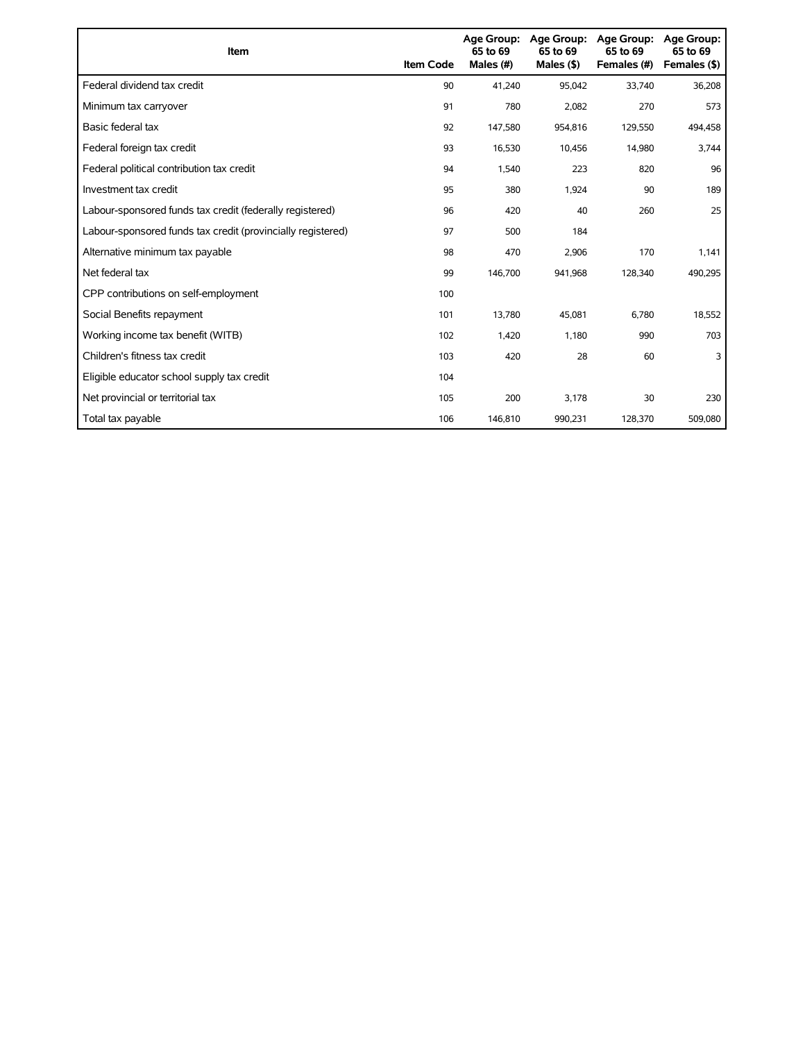| Item                                                        | <b>Item Code</b> | 65 to 69<br>Males (#) | Age Group: Age Group:<br>65 to 69<br>Males $(§)$ | Age Group:<br>65 to 69<br>Females (#) | Age Group:<br>65 to 69<br>Females (\$) |
|-------------------------------------------------------------|------------------|-----------------------|--------------------------------------------------|---------------------------------------|----------------------------------------|
| Federal dividend tax credit                                 | 90               | 41,240                | 95,042                                           | 33,740                                | 36,208                                 |
| Minimum tax carryover                                       | 91               | 780                   | 2,082                                            | 270                                   | 573                                    |
| Basic federal tax                                           | 92               | 147,580               | 954,816                                          | 129,550                               | 494,458                                |
| Federal foreign tax credit                                  | 93               | 16,530                | 10,456                                           | 14,980                                | 3,744                                  |
| Federal political contribution tax credit                   | 94               | 1,540                 | 223                                              | 820                                   | 96                                     |
| Investment tax credit                                       | 95               | 380                   | 1,924                                            | 90                                    | 189                                    |
| Labour-sponsored funds tax credit (federally registered)    | 96               | 420                   | 40                                               | 260                                   | 25                                     |
| Labour-sponsored funds tax credit (provincially registered) | 97               | 500                   | 184                                              |                                       |                                        |
| Alternative minimum tax payable                             | 98               | 470                   | 2,906                                            | 170                                   | 1,141                                  |
| Net federal tax                                             | 99               | 146,700               | 941,968                                          | 128,340                               | 490,295                                |
| CPP contributions on self-employment                        | 100              |                       |                                                  |                                       |                                        |
| Social Benefits repayment                                   | 101              | 13,780                | 45,081                                           | 6,780                                 | 18,552                                 |
| Working income tax benefit (WITB)                           | 102              | 1,420                 | 1,180                                            | 990                                   | 703                                    |
| Children's fitness tax credit                               | 103              | 420                   | 28                                               | 60                                    | 3                                      |
| Eligible educator school supply tax credit                  | 104              |                       |                                                  |                                       |                                        |
| Net provincial or territorial tax                           | 105              | 200                   | 3,178                                            | 30                                    | 230                                    |
| Total tax payable                                           | 106              | 146,810               | 990,231                                          | 128,370                               | 509,080                                |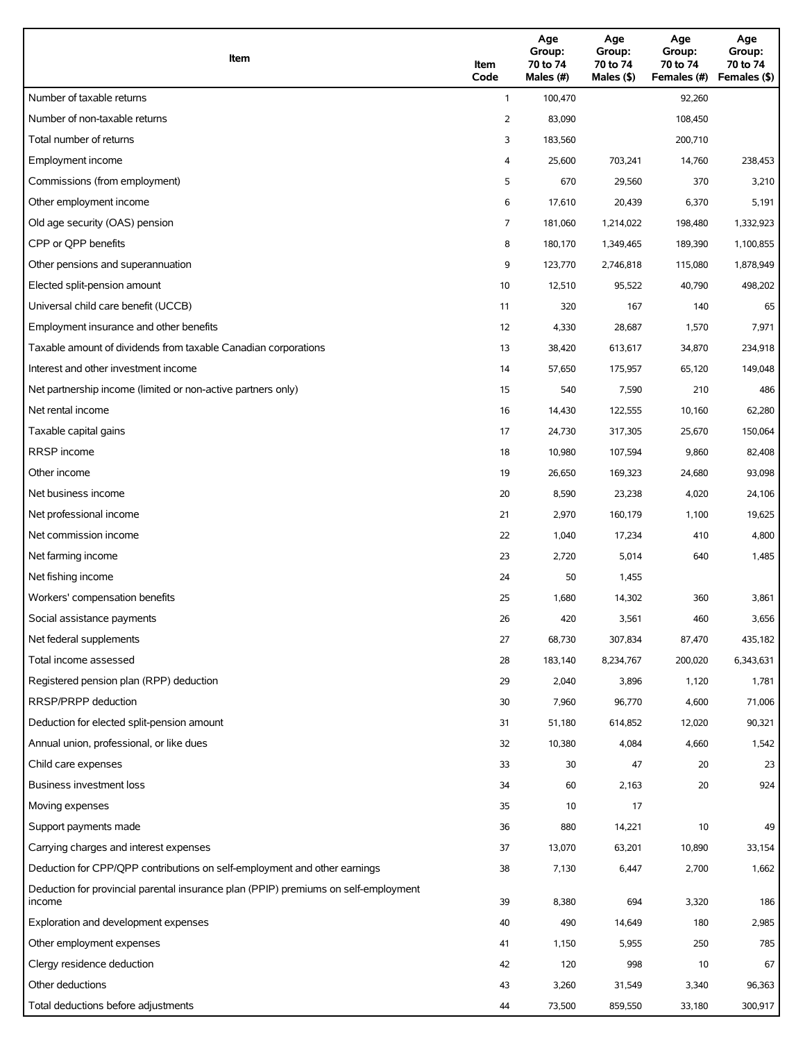| Item                                                                                          | Item<br>Code | Age<br>Group:<br>70 to 74<br>Males (#) | Age<br>Group:<br>70 to 74<br>Males (\$) | Age<br>Group:<br>70 to 74<br>Females (#) | Age<br>Group:<br>70 to 74<br>Females (\$) |
|-----------------------------------------------------------------------------------------------|--------------|----------------------------------------|-----------------------------------------|------------------------------------------|-------------------------------------------|
| Number of taxable returns                                                                     | $\mathbf{1}$ | 100,470                                |                                         | 92,260                                   |                                           |
| Number of non-taxable returns                                                                 | 2            | 83,090                                 |                                         | 108,450                                  |                                           |
| Total number of returns                                                                       | 3            | 183,560                                |                                         | 200,710                                  |                                           |
| Employment income                                                                             | 4            | 25,600                                 | 703,241                                 | 14,760                                   | 238,453                                   |
| Commissions (from employment)                                                                 | 5            | 670                                    | 29,560                                  | 370                                      | 3,210                                     |
| Other employment income                                                                       | 6            | 17,610                                 | 20,439                                  | 6,370                                    | 5,191                                     |
| Old age security (OAS) pension                                                                | 7            | 181,060                                | 1,214,022                               | 198,480                                  | 1,332,923                                 |
| CPP or QPP benefits                                                                           | 8            | 180,170                                | 1,349,465                               | 189,390                                  | 1,100,855                                 |
| Other pensions and superannuation                                                             | 9            | 123,770                                | 2,746,818                               | 115,080                                  | 1,878,949                                 |
| Elected split-pension amount                                                                  | 10           | 12,510                                 | 95,522                                  | 40,790                                   | 498,202                                   |
| Universal child care benefit (UCCB)                                                           | 11           | 320                                    | 167                                     | 140                                      | 65                                        |
| Employment insurance and other benefits                                                       | 12           | 4,330                                  | 28,687                                  | 1,570                                    | 7,971                                     |
| Taxable amount of dividends from taxable Canadian corporations                                | 13           | 38,420                                 | 613,617                                 | 34,870                                   | 234,918                                   |
| Interest and other investment income                                                          | 14           | 57,650                                 | 175,957                                 | 65,120                                   | 149,048                                   |
| Net partnership income (limited or non-active partners only)                                  | 15           | 540                                    | 7,590                                   | 210                                      | 486                                       |
| Net rental income                                                                             | 16           | 14,430                                 | 122,555                                 | 10,160                                   | 62,280                                    |
| Taxable capital gains                                                                         | 17           | 24,730                                 | 317,305                                 | 25,670                                   | 150,064                                   |
| <b>RRSP</b> income                                                                            | 18           | 10,980                                 | 107,594                                 | 9,860                                    | 82,408                                    |
| Other income                                                                                  | 19           | 26,650                                 | 169,323                                 | 24,680                                   | 93,098                                    |
| Net business income                                                                           | 20           | 8,590                                  | 23,238                                  | 4,020                                    | 24,106                                    |
| Net professional income                                                                       | 21           | 2,970                                  | 160,179                                 | 1,100                                    | 19,625                                    |
| Net commission income                                                                         | 22           | 1,040                                  | 17,234                                  | 410                                      | 4,800                                     |
| Net farming income                                                                            | 23           | 2,720                                  | 5,014                                   | 640                                      | 1,485                                     |
| Net fishing income                                                                            | 24           | 50                                     | 1,455                                   |                                          |                                           |
| Workers' compensation benefits                                                                | 25           | 1,680                                  | 14,302                                  | 360                                      | 3,861                                     |
| Social assistance payments                                                                    | 26           | 420                                    | 3,561                                   | 460                                      | 3,656                                     |
| Net federal supplements                                                                       | 27           | 68,730                                 | 307,834                                 | 87,470                                   | 435,182                                   |
| Total income assessed                                                                         | 28           | 183,140                                | 8,234,767                               | 200,020                                  | 6,343,631                                 |
| Registered pension plan (RPP) deduction                                                       | 29           | 2,040                                  | 3,896                                   | 1,120                                    | 1,781                                     |
| RRSP/PRPP deduction                                                                           | 30           | 7,960                                  | 96,770                                  | 4,600                                    | 71,006                                    |
| Deduction for elected split-pension amount                                                    | 31           | 51,180                                 | 614,852                                 | 12,020                                   | 90,321                                    |
| Annual union, professional, or like dues                                                      | 32           | 10,380                                 | 4,084                                   | 4,660                                    | 1,542                                     |
| Child care expenses                                                                           | 33           | 30                                     | 47                                      | 20                                       | 23                                        |
| Business investment loss                                                                      | 34           | 60                                     | 2,163                                   | 20                                       | 924                                       |
| Moving expenses                                                                               | 35           | 10                                     | 17                                      |                                          |                                           |
| Support payments made                                                                         | 36           | 880                                    | 14,221                                  | 10                                       | 49                                        |
| Carrying charges and interest expenses                                                        | 37           | 13,070                                 | 63,201                                  | 10,890                                   | 33,154                                    |
| Deduction for CPP/QPP contributions on self-employment and other earnings                     | 38           | 7,130                                  | 6,447                                   | 2,700                                    | 1,662                                     |
| Deduction for provincial parental insurance plan (PPIP) premiums on self-employment<br>income | 39           | 8,380                                  | 694                                     | 3,320                                    | 186                                       |
| Exploration and development expenses                                                          | 40           | 490                                    | 14,649                                  | 180                                      | 2,985                                     |
| Other employment expenses                                                                     | 41           | 1,150                                  | 5,955                                   | 250                                      | 785                                       |
| Clergy residence deduction                                                                    | 42           | 120                                    | 998                                     | 10                                       | 67                                        |
| Other deductions                                                                              | 43           | 3,260                                  | 31,549                                  | 3,340                                    | 96,363                                    |
| Total deductions before adjustments                                                           | 44           | 73,500                                 | 859,550                                 | 33,180                                   | 300,917                                   |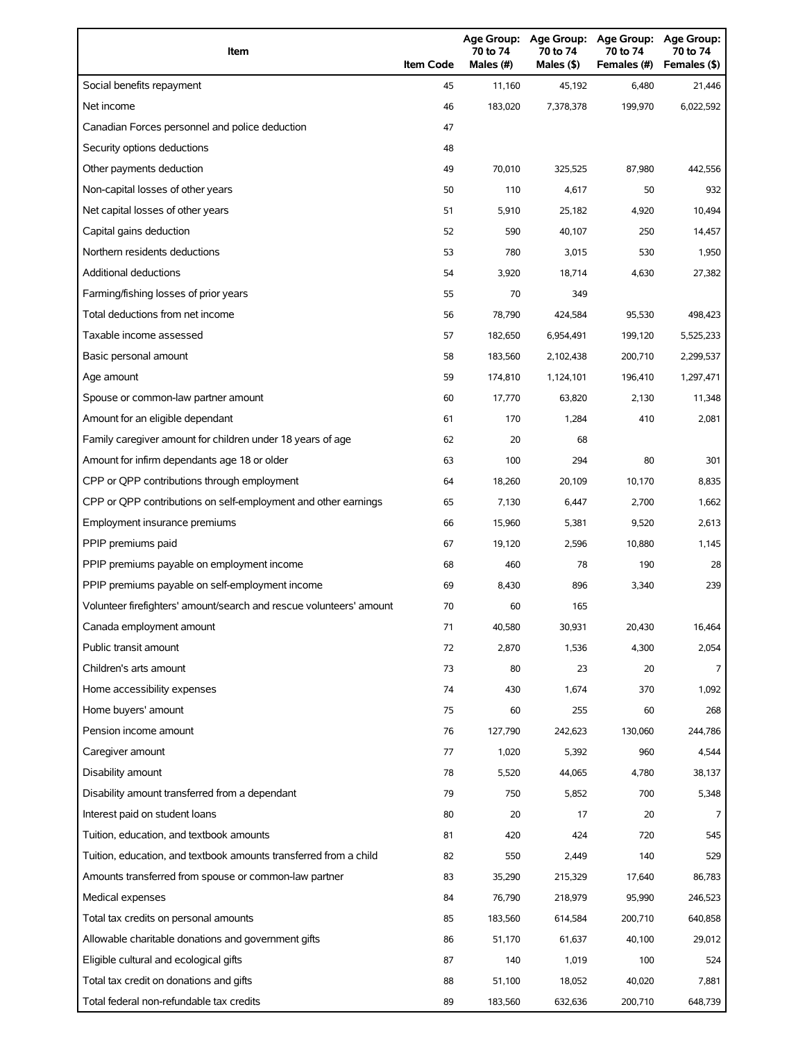| Item                                                                | <b>Item Code</b> | Age Group:<br>70 to 74<br>Males (#) | Age Group:<br>70 to 74<br>Males (\$) | <b>Age Group:</b><br>70 to 74<br>Females (#) | <b>Age Group:</b><br>70 to 74<br>Females (\$) |
|---------------------------------------------------------------------|------------------|-------------------------------------|--------------------------------------|----------------------------------------------|-----------------------------------------------|
| Social benefits repayment                                           | 45               | 11,160                              | 45,192                               | 6,480                                        | 21,446                                        |
| Net income                                                          | 46               | 183.020                             | 7,378,378                            | 199,970                                      | 6,022,592                                     |
| Canadian Forces personnel and police deduction                      | 47               |                                     |                                      |                                              |                                               |
| Security options deductions                                         | 48               |                                     |                                      |                                              |                                               |
| Other payments deduction                                            | 49               | 70.010                              | 325,525                              | 87,980                                       | 442,556                                       |
| Non-capital losses of other years                                   | 50               | 110                                 | 4,617                                | 50                                           | 932                                           |
| Net capital losses of other years                                   | 51               | 5,910                               | 25,182                               | 4,920                                        | 10,494                                        |
| Capital gains deduction                                             | 52               | 590                                 | 40,107                               | 250                                          | 14,457                                        |
| Northern residents deductions                                       | 53               | 780                                 | 3,015                                | 530                                          | 1,950                                         |
| <b>Additional deductions</b>                                        | 54               | 3,920                               | 18,714                               | 4,630                                        | 27,382                                        |
| Farming/fishing losses of prior years                               | 55               | 70                                  | 349                                  |                                              |                                               |
| Total deductions from net income                                    | 56               | 78,790                              | 424,584                              | 95,530                                       | 498,423                                       |
| Taxable income assessed                                             | 57               | 182,650                             | 6,954,491                            | 199,120                                      | 5,525,233                                     |
| Basic personal amount                                               | 58               | 183,560                             | 2,102,438                            | 200,710                                      | 2,299,537                                     |
| Age amount                                                          | 59               | 174,810                             | 1,124,101                            | 196,410                                      | 1,297,471                                     |
| Spouse or common-law partner amount                                 | 60               | 17,770                              | 63,820                               | 2,130                                        | 11,348                                        |
| Amount for an eligible dependant                                    | 61               | 170                                 | 1,284                                | 410                                          | 2,081                                         |
| Family caregiver amount for children under 18 years of age          | 62               | 20                                  | 68                                   |                                              |                                               |
| Amount for infirm dependants age 18 or older                        | 63               | 100                                 | 294                                  | 80                                           | 301                                           |
| CPP or QPP contributions through employment                         | 64               | 18,260                              | 20,109                               | 10,170                                       | 8,835                                         |
| CPP or QPP contributions on self-employment and other earnings      | 65               | 7,130                               | 6,447                                | 2,700                                        | 1,662                                         |
| Employment insurance premiums                                       | 66               | 15,960                              | 5,381                                | 9,520                                        | 2,613                                         |
| PPIP premiums paid                                                  | 67               | 19,120                              | 2,596                                | 10,880                                       | 1,145                                         |
| PPIP premiums payable on employment income                          | 68               | 460                                 | 78                                   | 190                                          | 28                                            |
| PPIP premiums payable on self-employment income                     | 69               | 8,430                               | 896                                  | 3,340                                        | 239                                           |
| Volunteer firefighters' amount/search and rescue volunteers' amount | 70               | 60                                  | 165                                  |                                              |                                               |
| Canada employment amount                                            | 71               | 40,580                              | 30,931                               | 20,430                                       | 16,464                                        |
| Public transit amount                                               | 72               | 2,870                               | 1,536                                | 4,300                                        | 2,054                                         |
| Children's arts amount                                              | 73               | 80                                  | 23                                   | 20                                           | 7                                             |
| Home accessibility expenses                                         | 74               | 430                                 | 1,674                                | 370                                          | 1,092                                         |
| Home buyers' amount                                                 | 75               | 60                                  | 255                                  | 60                                           | 268                                           |
| Pension income amount                                               | 76               | 127,790                             | 242,623                              | 130,060                                      | 244,786                                       |
| Caregiver amount                                                    | 77               | 1,020                               | 5,392                                | 960                                          | 4,544                                         |
| Disability amount                                                   | 78               | 5,520                               | 44,065                               | 4,780                                        | 38,137                                        |
| Disability amount transferred from a dependant                      | 79               | 750                                 | 5,852                                | 700                                          | 5,348                                         |
| Interest paid on student loans                                      | 80               | 20                                  | 17                                   | 20                                           | 7                                             |
| Tuition, education, and textbook amounts                            | 81               | 420                                 | 424                                  | 720                                          | 545                                           |
| Tuition, education, and textbook amounts transferred from a child   | 82               | 550                                 | 2,449                                | 140                                          | 529                                           |
| Amounts transferred from spouse or common-law partner               | 83               | 35,290                              | 215,329                              | 17,640                                       | 86,783                                        |
| Medical expenses                                                    | 84               | 76,790                              | 218,979                              | 95,990                                       | 246,523                                       |
| Total tax credits on personal amounts                               | 85               | 183,560                             | 614,584                              | 200,710                                      | 640,858                                       |
| Allowable charitable donations and government gifts                 | 86               | 51,170                              | 61,637                               | 40,100                                       | 29,012                                        |
| Eligible cultural and ecological gifts                              | 87               | 140                                 | 1,019                                | 100                                          | 524                                           |
| Total tax credit on donations and gifts                             | 88               | 51,100                              | 18,052                               | 40,020                                       | 7,881                                         |
| Total federal non-refundable tax credits                            | 89               | 183,560                             | 632,636                              | 200,710                                      | 648,739                                       |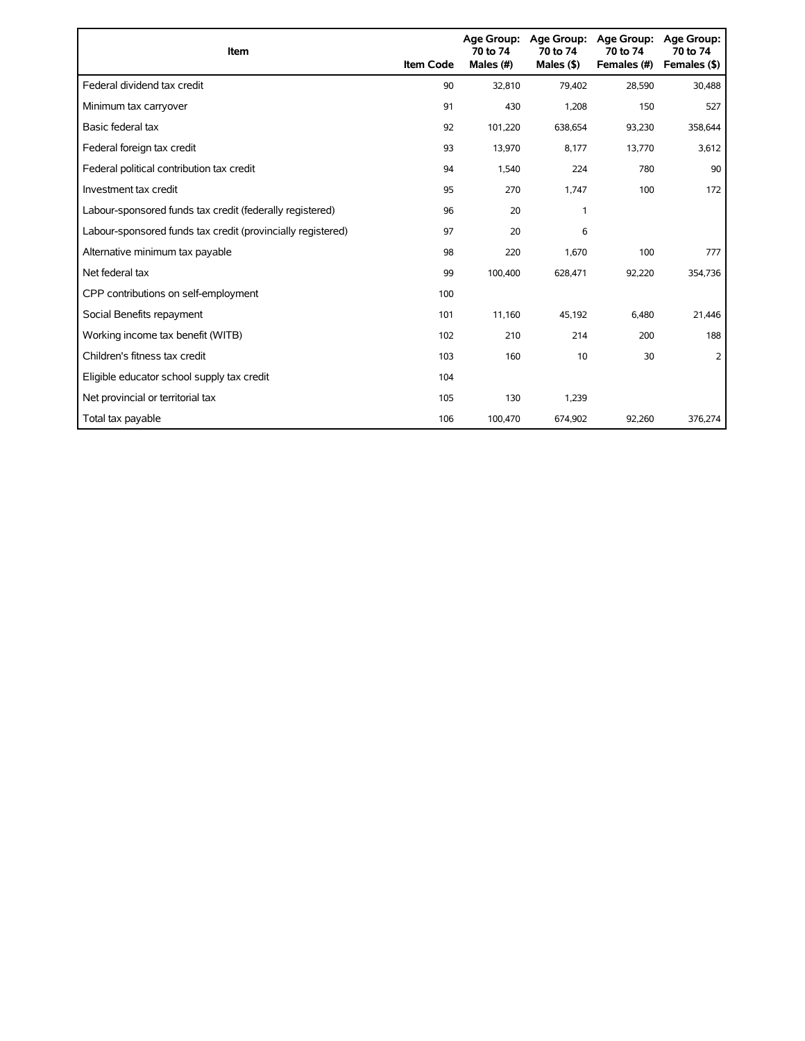| Item                                                        | <b>Item Code</b> | 70 to 74<br>Males (#) | Age Group: Age Group:<br>70 to 74<br>Males $($ \$) | Age Group:<br>70 to 74<br>Females (#) | Age Group:<br>70 to 74<br>Females (\$) |
|-------------------------------------------------------------|------------------|-----------------------|----------------------------------------------------|---------------------------------------|----------------------------------------|
| Federal dividend tax credit                                 | 90               | 32,810                | 79,402                                             | 28,590                                | 30,488                                 |
| Minimum tax carryover                                       | 91               | 430                   | 1,208                                              | 150                                   | 527                                    |
| Basic federal tax                                           | 92               | 101,220               | 638,654                                            | 93,230                                | 358,644                                |
| Federal foreign tax credit                                  | 93               | 13,970                | 8,177                                              | 13,770                                | 3,612                                  |
| Federal political contribution tax credit                   | 94               | 1,540                 | 224                                                | 780                                   | 90                                     |
| Investment tax credit                                       | 95               | 270                   | 1,747                                              | 100                                   | 172                                    |
| Labour-sponsored funds tax credit (federally registered)    | 96               | 20                    | 1                                                  |                                       |                                        |
| Labour-sponsored funds tax credit (provincially registered) | 97               | 20                    | 6                                                  |                                       |                                        |
| Alternative minimum tax payable                             | 98               | 220                   | 1,670                                              | 100                                   | 777                                    |
| Net federal tax                                             | 99               | 100,400               | 628,471                                            | 92,220                                | 354,736                                |
| CPP contributions on self-employment                        | 100              |                       |                                                    |                                       |                                        |
| Social Benefits repayment                                   | 101              | 11,160                | 45,192                                             | 6,480                                 | 21,446                                 |
| Working income tax benefit (WITB)                           | 102              | 210                   | 214                                                | 200                                   | 188                                    |
| Children's fitness tax credit                               | 103              | 160                   | 10                                                 | 30                                    | 2                                      |
| Eligible educator school supply tax credit                  | 104              |                       |                                                    |                                       |                                        |
| Net provincial or territorial tax                           | 105              | 130                   | 1,239                                              |                                       |                                        |
| Total tax payable                                           | 106              | 100,470               | 674,902                                            | 92,260                                | 376,274                                |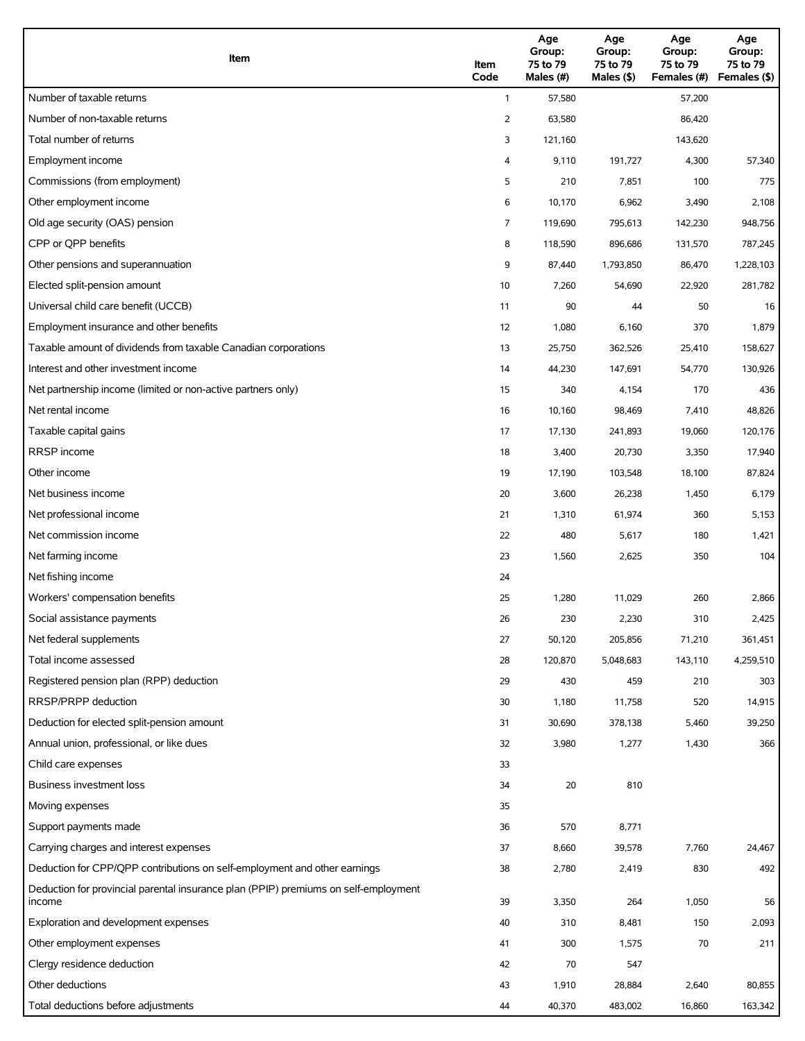| Item                                                                                          | Item<br>Code   | Age<br>Group:<br>75 to 79<br>Males (#) | Age<br>Group:<br>75 to 79<br>Males (\$) | Age<br>Group:<br>75 to 79<br>Females (#) | Age<br>Group:<br>75 to 79<br>Females (\$) |
|-----------------------------------------------------------------------------------------------|----------------|----------------------------------------|-----------------------------------------|------------------------------------------|-------------------------------------------|
| Number of taxable returns                                                                     | $\mathbf{1}$   | 57,580                                 |                                         | 57,200                                   |                                           |
| Number of non-taxable returns                                                                 | $\overline{2}$ | 63,580                                 |                                         | 86,420                                   |                                           |
| Total number of returns                                                                       | 3              | 121,160                                |                                         | 143,620                                  |                                           |
| Employment income                                                                             | 4              | 9,110                                  | 191,727                                 | 4,300                                    | 57,340                                    |
| Commissions (from employment)                                                                 | 5              | 210                                    | 7,851                                   | 100                                      | 775                                       |
| Other employment income                                                                       | 6              | 10,170                                 | 6,962                                   | 3,490                                    | 2,108                                     |
| Old age security (OAS) pension                                                                | 7              | 119,690                                | 795,613                                 | 142,230                                  | 948,756                                   |
| CPP or QPP benefits                                                                           | 8              | 118,590                                | 896,686                                 | 131,570                                  | 787,245                                   |
| Other pensions and superannuation                                                             | 9              | 87,440                                 | 1,793,850                               | 86,470                                   | 1,228,103                                 |
| Elected split-pension amount                                                                  | 10             | 7,260                                  | 54,690                                  | 22,920                                   | 281,782                                   |
| Universal child care benefit (UCCB)                                                           | 11             | 90                                     | 44                                      | 50                                       | 16                                        |
| Employment insurance and other benefits                                                       | 12             | 1,080                                  | 6,160                                   | 370                                      | 1,879                                     |
| Taxable amount of dividends from taxable Canadian corporations                                | 13             | 25,750                                 | 362,526                                 | 25,410                                   | 158,627                                   |
| Interest and other investment income                                                          | 14             | 44,230                                 | 147,691                                 | 54,770                                   | 130,926                                   |
| Net partnership income (limited or non-active partners only)                                  | 15             | 340                                    | 4,154                                   | 170                                      | 436                                       |
| Net rental income                                                                             | 16             | 10,160                                 | 98,469                                  | 7,410                                    | 48,826                                    |
| Taxable capital gains                                                                         | 17             | 17,130                                 | 241,893                                 | 19,060                                   | 120,176                                   |
| <b>RRSP</b> income                                                                            | 18             | 3,400                                  | 20,730                                  | 3,350                                    | 17,940                                    |
| Other income                                                                                  | 19             | 17,190                                 | 103,548                                 | 18,100                                   | 87,824                                    |
| Net business income                                                                           | 20             | 3,600                                  | 26,238                                  | 1,450                                    | 6,179                                     |
| Net professional income                                                                       | 21             | 1,310                                  | 61,974                                  | 360                                      | 5,153                                     |
| Net commission income                                                                         | 22             | 480                                    | 5,617                                   | 180                                      | 1,421                                     |
| Net farming income                                                                            | 23             | 1,560                                  | 2,625                                   | 350                                      | 104                                       |
| Net fishing income                                                                            | 24             |                                        |                                         |                                          |                                           |
| Workers' compensation benefits                                                                | 25             | 1,280                                  | 11,029                                  | 260                                      | 2,866                                     |
| Social assistance payments                                                                    | 26             | 230                                    | 2,230                                   | 310                                      | 2,425                                     |
| Net federal supplements                                                                       | 27             | 50,120                                 | 205,856                                 | 71,210                                   | 361,451                                   |
| Total income assessed                                                                         | 28             | 120,870                                | 5,048,683                               | 143,110                                  | 4,259,510                                 |
| Registered pension plan (RPP) deduction                                                       | 29             | 430                                    | 459                                     | 210                                      | 303                                       |
| RRSP/PRPP deduction                                                                           | 30             | 1,180                                  | 11,758                                  | 520                                      | 14,915                                    |
| Deduction for elected split-pension amount                                                    | 31             | 30,690                                 | 378,138                                 | 5,460                                    | 39,250                                    |
| Annual union, professional, or like dues                                                      | 32             | 3,980                                  | 1,277                                   | 1,430                                    | 366                                       |
| Child care expenses                                                                           | 33             |                                        |                                         |                                          |                                           |
| Business investment loss                                                                      | 34             | 20                                     | 810                                     |                                          |                                           |
| Moving expenses                                                                               | 35             |                                        |                                         |                                          |                                           |
| Support payments made                                                                         | 36             | 570                                    | 8,771                                   |                                          |                                           |
| Carrying charges and interest expenses                                                        | 37             | 8,660                                  | 39,578                                  | 7,760                                    | 24,467                                    |
| Deduction for CPP/QPP contributions on self-employment and other earnings                     | 38             | 2,780                                  | 2,419                                   | 830                                      | 492                                       |
| Deduction for provincial parental insurance plan (PPIP) premiums on self-employment<br>income | 39             | 3,350                                  | 264                                     | 1,050                                    | 56                                        |
| Exploration and development expenses                                                          | 40             | 310                                    | 8,481                                   | 150                                      | 2,093                                     |
| Other employment expenses                                                                     | 41             | 300                                    | 1,575                                   | 70                                       | 211                                       |
| Clergy residence deduction                                                                    | 42             | 70                                     | 547                                     |                                          |                                           |
| Other deductions                                                                              | 43             | 1,910                                  | 28,884                                  | 2,640                                    | 80,855                                    |
| Total deductions before adjustments                                                           | 44             | 40,370                                 | 483,002                                 | 16,860                                   | 163,342                                   |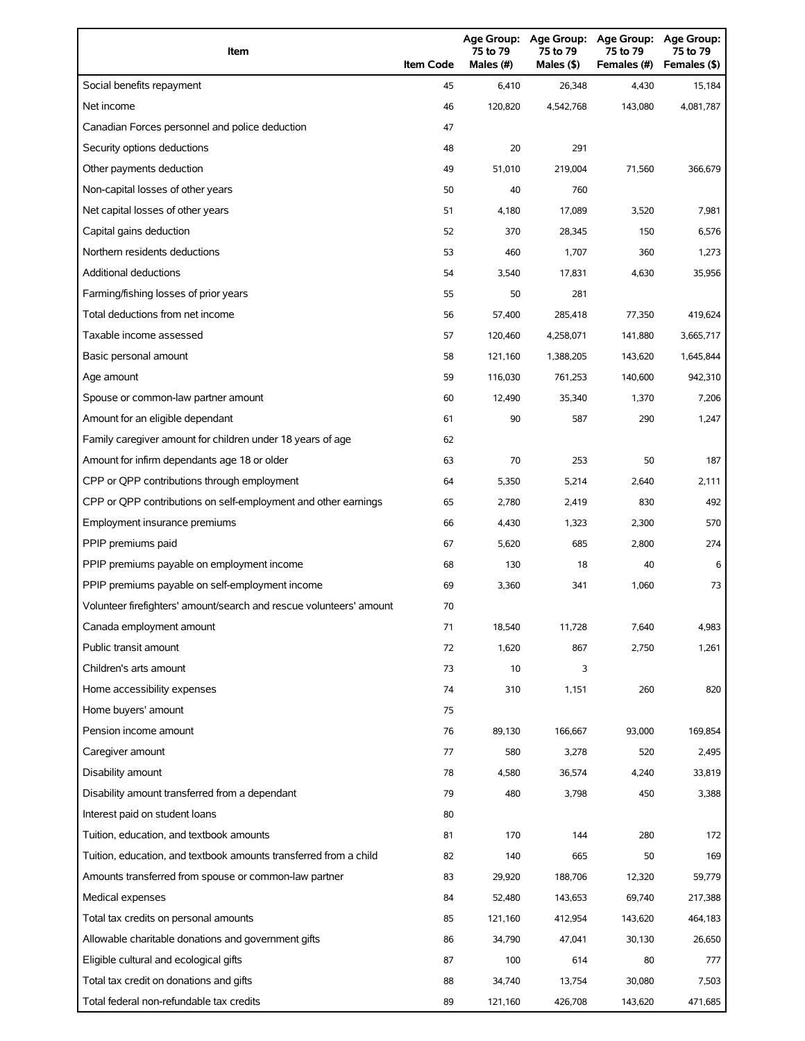| Item                                                                | <b>Item Code</b> | Age Group:<br>75 to 79<br>Males (#) | <b>Age Group:</b><br>75 to 79<br>Males (\$) | <b>Age Group:</b><br>75 to 79<br>Females (#) | <b>Age Group:</b><br>75 to 79<br>Females (\$) |
|---------------------------------------------------------------------|------------------|-------------------------------------|---------------------------------------------|----------------------------------------------|-----------------------------------------------|
| Social benefits repayment                                           | 45               | 6,410                               | 26,348                                      | 4,430                                        | 15,184                                        |
| Net income                                                          | 46               | 120,820                             | 4,542,768                                   | 143,080                                      | 4,081,787                                     |
| Canadian Forces personnel and police deduction                      | 47               |                                     |                                             |                                              |                                               |
| Security options deductions                                         | 48               | 20                                  | 291                                         |                                              |                                               |
| Other payments deduction                                            | 49               | 51,010                              | 219,004                                     | 71,560                                       | 366,679                                       |
| Non-capital losses of other years                                   | 50               | 40                                  | 760                                         |                                              |                                               |
| Net capital losses of other years                                   | 51               | 4,180                               | 17,089                                      | 3,520                                        | 7,981                                         |
| Capital gains deduction                                             | 52               | 370                                 | 28,345                                      | 150                                          | 6,576                                         |
| Northern residents deductions                                       | 53               | 460                                 | 1,707                                       | 360                                          | 1,273                                         |
| Additional deductions                                               | 54               | 3,540                               | 17,831                                      | 4,630                                        | 35,956                                        |
| Farming/fishing losses of prior years                               | 55               | 50                                  | 281                                         |                                              |                                               |
| Total deductions from net income                                    | 56               | 57,400                              | 285,418                                     | 77,350                                       | 419,624                                       |
| Taxable income assessed                                             | 57               | 120,460                             | 4,258,071                                   | 141,880                                      | 3,665,717                                     |
| Basic personal amount                                               | 58               | 121,160                             | 1,388,205                                   | 143,620                                      | 1,645,844                                     |
| Age amount                                                          | 59               | 116,030                             | 761,253                                     | 140,600                                      | 942,310                                       |
| Spouse or common-law partner amount                                 | 60               | 12,490                              | 35,340                                      | 1,370                                        | 7,206                                         |
| Amount for an eligible dependant                                    | 61               | 90                                  | 587                                         | 290                                          | 1,247                                         |
| Family caregiver amount for children under 18 years of age          | 62               |                                     |                                             |                                              |                                               |
| Amount for infirm dependants age 18 or older                        | 63               | 70                                  | 253                                         | 50                                           | 187                                           |
| CPP or QPP contributions through employment                         | 64               | 5,350                               | 5,214                                       | 2,640                                        | 2,111                                         |
| CPP or QPP contributions on self-employment and other earnings      | 65               | 2,780                               | 2,419                                       | 830                                          | 492                                           |
| Employment insurance premiums                                       | 66               | 4,430                               | 1,323                                       | 2,300                                        | 570                                           |
| PPIP premiums paid                                                  | 67               | 5,620                               | 685                                         | 2,800                                        | 274                                           |
| PPIP premiums payable on employment income                          | 68               | 130                                 | 18                                          | 40                                           | 6                                             |
| PPIP premiums payable on self-employment income                     | 69               | 3,360                               | 341                                         | 1,060                                        | 73                                            |
| Volunteer firefighters' amount/search and rescue volunteers' amount | 70               |                                     |                                             |                                              |                                               |
| Canada employment amount                                            | 71               | 18,540                              | 11,728                                      | 7,640                                        | 4,983                                         |
| Public transit amount                                               | 72               | 1,620                               | 867                                         | 2,750                                        | 1,261                                         |
| Children's arts amount                                              | 73               | 10                                  | 3                                           |                                              |                                               |
| Home accessibility expenses                                         | 74               | 310                                 | 1,151                                       | 260                                          | 820                                           |
| Home buyers' amount                                                 | 75               |                                     |                                             |                                              |                                               |
| Pension income amount                                               | 76               | 89,130                              | 166,667                                     | 93,000                                       | 169,854                                       |
| Caregiver amount                                                    | 77               | 580                                 | 3,278                                       | 520                                          | 2,495                                         |
| Disability amount                                                   | 78               | 4,580                               | 36,574                                      | 4,240                                        | 33,819                                        |
| Disability amount transferred from a dependant                      | 79               | 480                                 | 3,798                                       | 450                                          | 3,388                                         |
| Interest paid on student loans                                      | 80               |                                     |                                             |                                              |                                               |
| Tuition, education, and textbook amounts                            | 81               | 170                                 | 144                                         | 280                                          | 172                                           |
| Tuition, education, and textbook amounts transferred from a child   | 82               | 140                                 | 665                                         | 50                                           | 169                                           |
| Amounts transferred from spouse or common-law partner               | 83               | 29,920                              | 188,706                                     | 12,320                                       | 59,779                                        |
| Medical expenses                                                    | 84               | 52,480                              | 143,653                                     | 69,740                                       | 217,388                                       |
| Total tax credits on personal amounts                               | 85               | 121,160                             | 412,954                                     | 143,620                                      | 464,183                                       |
| Allowable charitable donations and government gifts                 | 86               | 34,790                              | 47,041                                      | 30,130                                       | 26,650                                        |
| Eligible cultural and ecological gifts                              | 87               | 100                                 | 614                                         | 80                                           | 777                                           |
| Total tax credit on donations and gifts                             | 88               | 34,740                              | 13,754                                      | 30,080                                       | 7,503                                         |
| Total federal non-refundable tax credits                            | 89               | 121,160                             | 426,708                                     | 143,620                                      | 471,685                                       |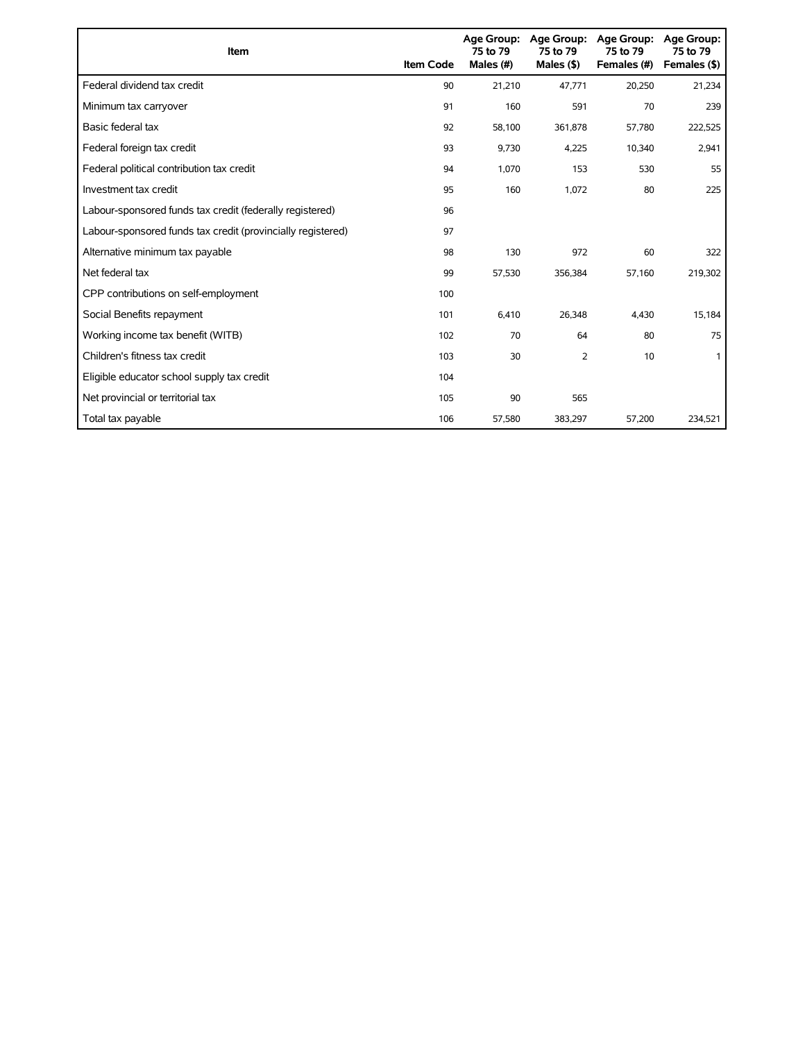| <b>Item</b>                                                 | <b>Item Code</b> | 75 to 79<br>Males (#) | Age Group: Age Group:<br>75 to 79<br>Males $($ \$) | <b>Age Group:</b><br>75 to 79<br>Females (#) | <b>Age Group:</b><br>75 to 79<br>Females (\$) |
|-------------------------------------------------------------|------------------|-----------------------|----------------------------------------------------|----------------------------------------------|-----------------------------------------------|
| Federal dividend tax credit                                 | 90               | 21,210                | 47.771                                             | 20,250                                       | 21,234                                        |
| Minimum tax carryover                                       | 91               | 160                   | 591                                                | 70                                           | 239                                           |
| Basic federal tax                                           | 92               | 58,100                | 361,878                                            | 57,780                                       | 222,525                                       |
| Federal foreign tax credit                                  | 93               | 9,730                 | 4,225                                              | 10,340                                       | 2,941                                         |
| Federal political contribution tax credit                   | 94               | 1,070                 | 153                                                | 530                                          | 55                                            |
| Investment tax credit                                       | 95               | 160                   | 1,072                                              | 80                                           | 225                                           |
| Labour-sponsored funds tax credit (federally registered)    | 96               |                       |                                                    |                                              |                                               |
| Labour-sponsored funds tax credit (provincially registered) | 97               |                       |                                                    |                                              |                                               |
| Alternative minimum tax payable                             | 98               | 130                   | 972                                                | 60                                           | 322                                           |
| Net federal tax                                             | 99               | 57,530                | 356,384                                            | 57,160                                       | 219,302                                       |
| CPP contributions on self-employment                        | 100              |                       |                                                    |                                              |                                               |
| Social Benefits repayment                                   | 101              | 6,410                 | 26,348                                             | 4,430                                        | 15,184                                        |
| Working income tax benefit (WITB)                           | 102              | 70                    | 64                                                 | 80                                           | 75                                            |
| Children's fitness tax credit                               | 103              | 30                    | 2                                                  | 10                                           |                                               |
| Eligible educator school supply tax credit                  | 104              |                       |                                                    |                                              |                                               |
| Net provincial or territorial tax                           | 105              | 90                    | 565                                                |                                              |                                               |
| Total tax payable                                           | 106              | 57,580                | 383,297                                            | 57,200                                       | 234,521                                       |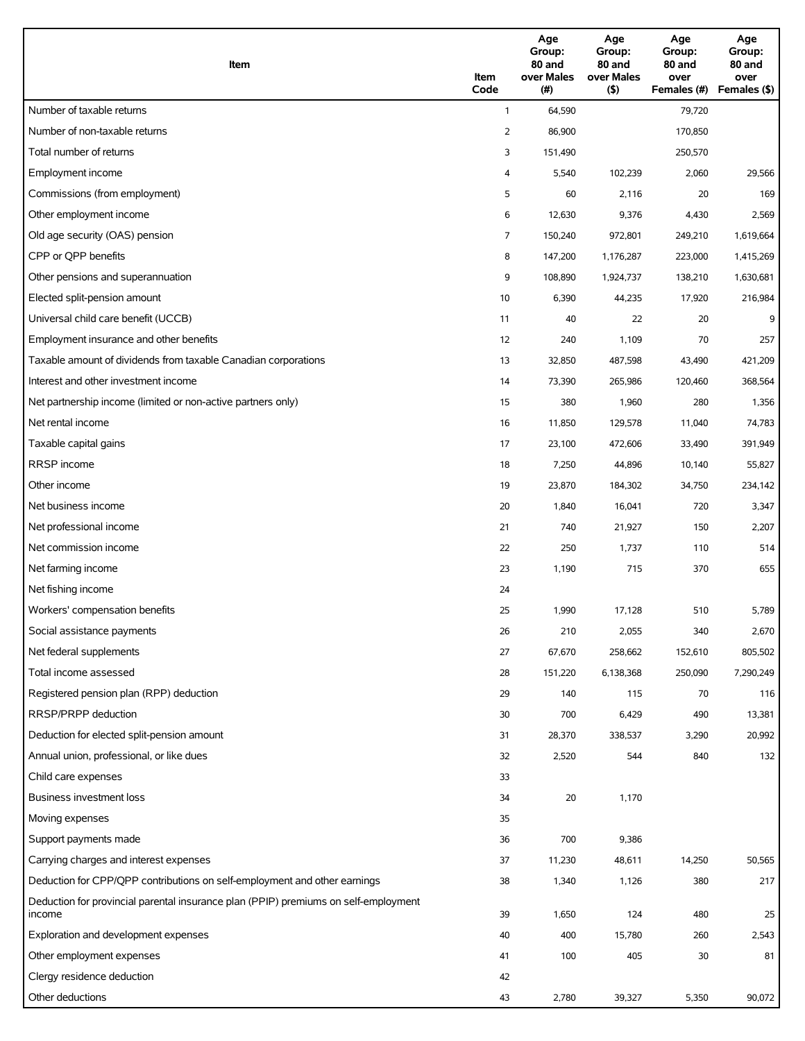| Item                                                                                                   | Item<br>Code   | Age<br>Group:<br>80 and<br>over Males<br>(#) | Age<br>Group:<br>80 and<br>over Males<br>(5) | Age<br>Group:<br>80 and<br>over<br>Females (#) | Age<br>Group:<br>80 and<br>over<br>Females (\$) |
|--------------------------------------------------------------------------------------------------------|----------------|----------------------------------------------|----------------------------------------------|------------------------------------------------|-------------------------------------------------|
| Number of taxable returns                                                                              | $\mathbf{1}$   | 64,590                                       |                                              | 79,720                                         |                                                 |
| Number of non-taxable returns                                                                          | $\overline{2}$ | 86,900                                       |                                              | 170,850                                        |                                                 |
| Total number of returns                                                                                | 3              | 151,490                                      |                                              | 250,570                                        |                                                 |
| Employment income                                                                                      | 4              | 5,540                                        | 102,239                                      | 2,060                                          | 29,566                                          |
| Commissions (from employment)                                                                          | 5              | 60                                           | 2,116                                        | 20                                             | 169                                             |
| Other employment income                                                                                | 6              | 12,630                                       | 9,376                                        | 4,430                                          | 2,569                                           |
| Old age security (OAS) pension                                                                         | 7              | 150,240                                      | 972,801                                      | 249,210                                        | 1,619,664                                       |
| CPP or QPP benefits                                                                                    | 8              | 147,200                                      | 1,176,287                                    | 223,000                                        | 1,415,269                                       |
| Other pensions and superannuation                                                                      | 9              | 108,890                                      | 1,924,737                                    | 138,210                                        | 1,630,681                                       |
| Elected split-pension amount                                                                           | 10             | 6,390                                        | 44,235                                       | 17,920                                         | 216,984                                         |
| Universal child care benefit (UCCB)                                                                    | 11             | 40                                           | 22                                           | 20                                             | 9                                               |
| Employment insurance and other benefits                                                                | 12             | 240                                          | 1,109                                        | 70                                             | 257                                             |
|                                                                                                        |                |                                              |                                              |                                                |                                                 |
| Taxable amount of dividends from taxable Canadian corporations<br>Interest and other investment income | 13             | 32,850                                       | 487,598                                      | 43,490                                         | 421,209                                         |
|                                                                                                        | 14             | 73,390                                       | 265,986                                      | 120,460                                        | 368,564                                         |
| Net partnership income (limited or non-active partners only)                                           | 15             | 380                                          | 1,960                                        | 280                                            | 1,356                                           |
| Net rental income                                                                                      | 16             | 11,850                                       | 129,578                                      | 11,040                                         | 74,783                                          |
| Taxable capital gains                                                                                  | 17             | 23,100                                       | 472,606                                      | 33,490                                         | 391,949                                         |
| RRSP income                                                                                            | 18             | 7,250                                        | 44,896                                       | 10,140                                         | 55,827                                          |
| Other income                                                                                           | 19             | 23,870                                       | 184,302                                      | 34,750                                         | 234,142                                         |
| Net business income                                                                                    | 20             | 1,840                                        | 16,041                                       | 720                                            | 3,347                                           |
| Net professional income                                                                                | 21             | 740                                          | 21,927                                       | 150                                            | 2,207                                           |
| Net commission income                                                                                  | 22             | 250                                          | 1,737                                        | 110                                            | 514                                             |
| Net farming income                                                                                     | 23             | 1,190                                        | 715                                          | 370                                            | 655                                             |
| Net fishing income                                                                                     | 24             |                                              |                                              |                                                |                                                 |
| Workers' compensation benefits                                                                         | 25             | 1,990                                        | 17,128                                       | 510                                            | 5,789                                           |
| Social assistance payments                                                                             | 26             | 210                                          | 2,055                                        | 340                                            | 2,670                                           |
| Net federal supplements                                                                                | 27             | 67,670                                       | 258,662                                      | 152,610                                        | 805,502                                         |
| Total income assessed                                                                                  | 28             | 151,220                                      | 6,138,368                                    | 250,090                                        | 7,290,249                                       |
| Registered pension plan (RPP) deduction                                                                | 29             | 140                                          | 115                                          | 70                                             | 116                                             |
| RRSP/PRPP deduction                                                                                    | 30             | 700                                          | 6,429                                        | 490                                            | 13,381                                          |
| Deduction for elected split-pension amount                                                             | 31             | 28,370                                       | 338,537                                      | 3,290                                          | 20,992                                          |
| Annual union, professional, or like dues                                                               | 32             | 2,520                                        | 544                                          | 840                                            | 132                                             |
| Child care expenses                                                                                    | 33             |                                              |                                              |                                                |                                                 |
| Business investment loss                                                                               | 34             | 20                                           | 1,170                                        |                                                |                                                 |
| Moving expenses                                                                                        | 35             |                                              |                                              |                                                |                                                 |
| Support payments made                                                                                  | 36             | 700                                          | 9,386                                        |                                                |                                                 |
| Carrying charges and interest expenses                                                                 | 37             | 11,230                                       | 48,611                                       | 14,250                                         | 50,565                                          |
| Deduction for CPP/QPP contributions on self-employment and other earnings                              | 38             | 1,340                                        | 1,126                                        | 380                                            | 217                                             |
| Deduction for provincial parental insurance plan (PPIP) premiums on self-employment                    |                |                                              |                                              |                                                |                                                 |
| income                                                                                                 | 39             | 1,650                                        | 124                                          | 480                                            | 25                                              |
| Exploration and development expenses                                                                   | 40             | 400                                          | 15,780                                       | 260                                            | 2,543                                           |
| Other employment expenses                                                                              | 41             | 100                                          | 405                                          | 30                                             | 81                                              |
| Clergy residence deduction                                                                             | 42             |                                              |                                              |                                                |                                                 |
| Other deductions                                                                                       | 43             | 2,780                                        | 39,327                                       | 5,350                                          | 90,072                                          |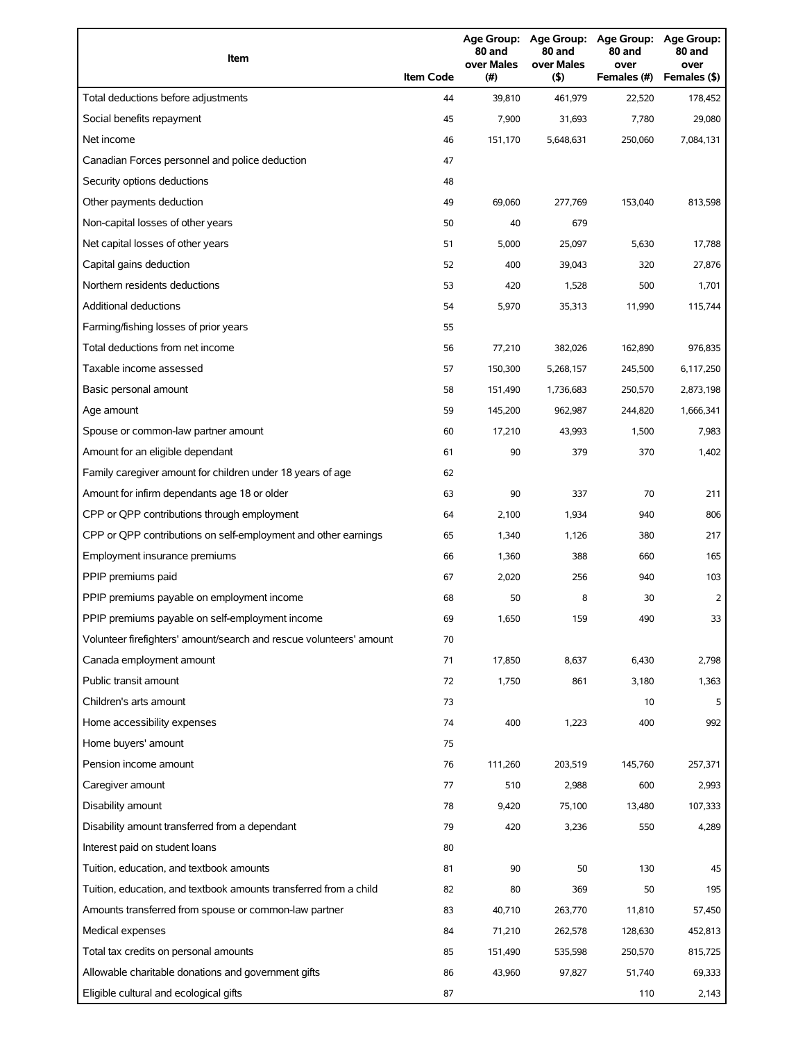| Item                                                                | <b>Item Code</b> | 80 and<br>over Males<br>(#) | 80 and<br>over Males<br>(5) | Age Group: Age Group: Age Group: Age Group:<br>80 and<br>over<br>Females (#) | 80 and<br>over<br>Females (\$) |
|---------------------------------------------------------------------|------------------|-----------------------------|-----------------------------|------------------------------------------------------------------------------|--------------------------------|
| Total deductions before adjustments                                 | 44               | 39,810                      | 461,979                     | 22,520                                                                       | 178,452                        |
| Social benefits repayment                                           | 45               | 7,900                       | 31,693                      | 7,780                                                                        | 29,080                         |
| Net income                                                          | 46               | 151,170                     | 5,648,631                   | 250,060                                                                      | 7,084,131                      |
| Canadian Forces personnel and police deduction                      | 47               |                             |                             |                                                                              |                                |
| Security options deductions                                         | 48               |                             |                             |                                                                              |                                |
| Other payments deduction                                            | 49               | 69,060                      | 277,769                     | 153,040                                                                      | 813,598                        |
| Non-capital losses of other years                                   | 50               | 40                          | 679                         |                                                                              |                                |
| Net capital losses of other years                                   | 51               | 5,000                       | 25,097                      | 5,630                                                                        | 17,788                         |
| Capital gains deduction                                             | 52               | 400                         | 39,043                      | 320                                                                          | 27,876                         |
| Northern residents deductions                                       | 53               | 420                         | 1,528                       | 500                                                                          | 1,701                          |
| <b>Additional deductions</b>                                        | 54               | 5,970                       | 35,313                      | 11,990                                                                       | 115,744                        |
| Farming/fishing losses of prior years                               | 55               |                             |                             |                                                                              |                                |
| Total deductions from net income                                    | 56               | 77,210                      | 382,026                     | 162,890                                                                      | 976,835                        |
| Taxable income assessed                                             | 57               | 150,300                     | 5,268,157                   | 245,500                                                                      | 6,117,250                      |
| Basic personal amount                                               | 58               | 151,490                     | 1,736,683                   | 250,570                                                                      | 2,873,198                      |
| Age amount                                                          | 59               | 145,200                     | 962,987                     | 244,820                                                                      | 1,666,341                      |
| Spouse or common-law partner amount                                 | 60               | 17,210                      | 43,993                      | 1,500                                                                        | 7,983                          |
| Amount for an eligible dependant                                    | 61               | 90                          | 379                         | 370                                                                          | 1,402                          |
| Family caregiver amount for children under 18 years of age          | 62               |                             |                             |                                                                              |                                |
| Amount for infirm dependants age 18 or older                        | 63               | 90                          | 337                         | 70                                                                           | 211                            |
| CPP or QPP contributions through employment                         | 64               | 2,100                       | 1,934                       | 940                                                                          | 806                            |
| CPP or QPP contributions on self-employment and other earnings      | 65               | 1,340                       | 1,126                       | 380                                                                          | 217                            |
| Employment insurance premiums                                       | 66               | 1,360                       | 388                         | 660                                                                          | 165                            |
| PPIP premiums paid                                                  | 67               | 2,020                       | 256                         | 940                                                                          | 103                            |
| PPIP premiums payable on employment income                          | 68               | 50                          | 8                           | 30                                                                           | 2                              |
| PPIP premiums payable on self-employment income                     | 69               | 1,650                       | 159                         | 490                                                                          | 33                             |
| Volunteer firefighters' amount/search and rescue volunteers' amount | 70               |                             |                             |                                                                              |                                |
| Canada employment amount                                            | 71               | 17,850                      | 8,637                       | 6,430                                                                        | 2,798                          |
| Public transit amount                                               | 72               | 1,750                       | 861                         | 3,180                                                                        | 1,363                          |
| Children's arts amount                                              | 73               |                             |                             | 10                                                                           | 5                              |
| Home accessibility expenses                                         | 74               | 400                         | 1,223                       | 400                                                                          | 992                            |
| Home buyers' amount                                                 | 75               |                             |                             |                                                                              |                                |
| Pension income amount                                               | 76               | 111,260                     | 203,519                     | 145,760                                                                      | 257,371                        |
| Caregiver amount                                                    | 77               | 510                         | 2,988                       | 600                                                                          | 2,993                          |
| Disability amount                                                   | 78               | 9,420                       | 75,100                      | 13,480                                                                       | 107,333                        |
| Disability amount transferred from a dependant                      | 79               | 420                         | 3,236                       | 550                                                                          | 4,289                          |
| Interest paid on student loans                                      | 80               |                             |                             |                                                                              |                                |
| Tuition, education, and textbook amounts                            | 81               | 90                          | 50                          | 130                                                                          | 45                             |
| Tuition, education, and textbook amounts transferred from a child   | 82               | 80                          | 369                         | 50                                                                           | 195                            |
| Amounts transferred from spouse or common-law partner               | 83               | 40,710                      | 263,770                     | 11,810                                                                       | 57,450                         |
| Medical expenses                                                    | 84               | 71,210                      | 262,578                     | 128,630                                                                      | 452,813                        |
| Total tax credits on personal amounts                               | 85               | 151,490                     | 535,598                     | 250,570                                                                      | 815,725                        |
| Allowable charitable donations and government gifts                 | 86               | 43,960                      | 97,827                      | 51,740                                                                       | 69,333                         |
| Eligible cultural and ecological gifts                              | 87               |                             |                             | 110                                                                          | 2,143                          |